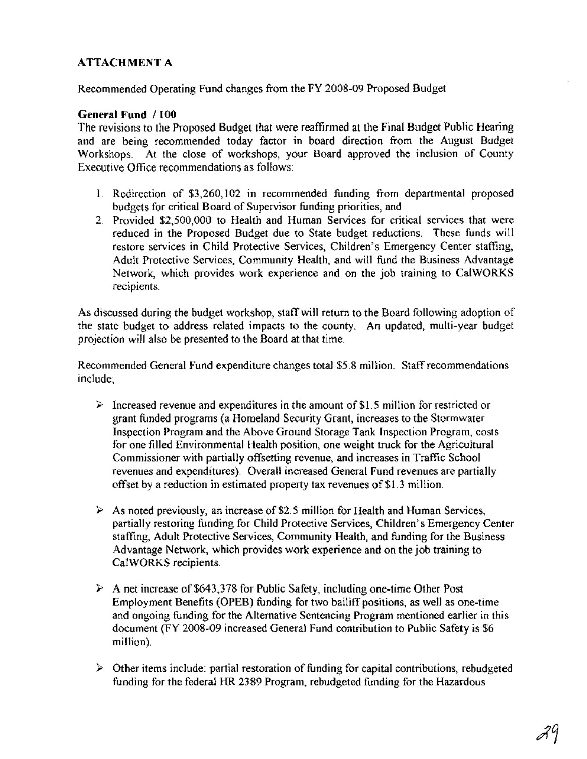# **ATTACHMENT A**

Recommended Operating Fund changes from the FY 2008-09 Proposed Budget

# **General Fund /100**

The revisions to the Proposed Budget that were reaffirmed at the Final Budget Public Hearing and are being recommended today factor in board direction from the August Budget Workshops. At the close of workshops, your Board approved the inclusion of County Executive Office recommendations as follows:

- 1. Redirection of \$3,260,102 in recommended funding from departmental proposed budgets for critical Board of Supervisor funding priorities, and
- 2. Provided \$2,500,000 to Health and Human Services for critical services that were reduced in the Proposed Budget due to State budget reductions. These funds will restore services in Child Protective Services, Children's Emergency Center staffing, Adult Protective Services, Community Health, and will fund the Business Advantage Network, which provides work experience and on the job training to CalWORKS recipients.

As discussed during the budget workshop, staffwill return to the Board following adoption of the state budget to address related impacts to the county. An updated, multi-year budget projection will also be presented to the Board at that time.

Recommended General Fund expenditure changes total \$5.8 million. Staffrecommendations include;

- $\geq$  Increased revenue and expenditures in the amount of \$1.5 million for restricted or grant funded programs (a Homeland Security Grant, increases to the Stormwater Inspection Program and the Above Ground Storage Tank Inspection Program, costs for one filled Environmental Health position, one weight truck for the Agricultural Commissioner with partially offsetting revenue, and increases in Traffic School revenues and expenditures). Overall increased General Fund revenues are partially offset by a reduction in estimated property tax revenues of \$1.3 million.
- $\triangleright$  As noted previously, an increase of \$2.5 million for Health and Human Services, partially restoring funding for Child Protective Services, Children's Emergency Center staffing, Adult Protective Services, Community Health, and funding for the Business Advantage Network, which provides work experience and on the job training to CalWORKS recipients.
- $\triangleright$  A net increase of \$643,378 for Public Safety, including one-time Other Post Employment Benefits (OPEB) funding for two bailiff positions, as well as one-time and ongoing funding for the Alternative Sentencing Program mentioned earlier in this document (FY 2008-09 increased General Fund contribution to Public Safety is \$6 million).
- $\geq$  Other items include: partial restoration of funding for capital contributions, rebudgeted funding for the federal HR 2389 Program, rebudgeted funding for the Hazardous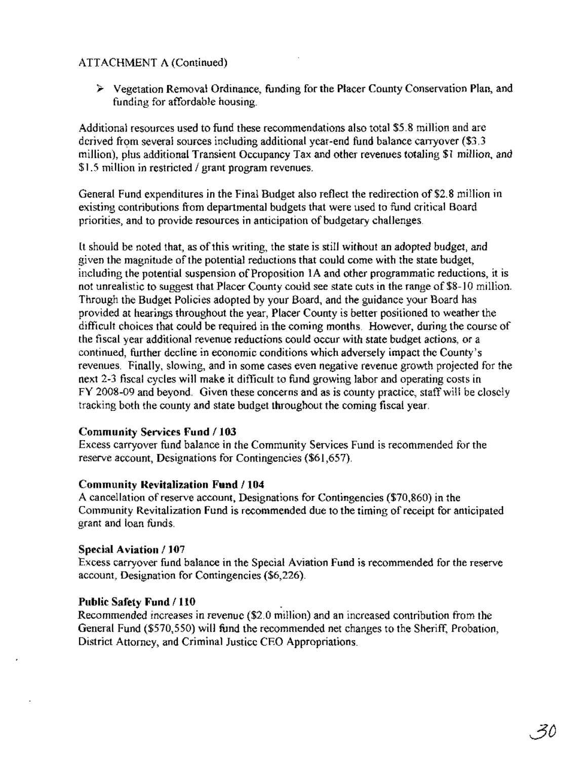Vegetation Removal Ordinance, funding for the Placer County Conservation Plan, and funding for affordable housing.

Additional resources used to fund these recommendations also total \$5.8 million and are derived from several sources including additional year-end fund balance carryover (\$3.3 million), plus additional Transient Occupancy Tax and other revenues totaling \$1 million, and \$1.5 million in restricted / grant program revenues.

General Fund expenditures in the Final Budget also reflect the redirection of \$2.8 million in existing contributions from departmental budgets that were used to fund critical Board priorities, and to provide resources in anticipation of budgetary challenges.

It should be noted that, as of this writing, the state is still without an adopted budget, and given the magnitude of the potential reductions that could come with the state budget, including the potential suspension of Proposition 1A and other programmatic reductions, it is not unrealistic to suggest that Placer County could see state cuts in the range of \$8-10 million. Through the Budget Policies adopted by your Board, and the guidance your Board has provided at hearings throughout the year, Placer County is better positioned to weather the difficult choices that could be required in the coming months. However, during the course of the fiscal year additional revenue reductions could occur with state budget actions, or a continued, further decline in economic conditions which adversely impact the County's revenues. Finally, slowing, and in some cases even negative revenue growth projected for the next 2-3 fiscal cycles will make it difficult to fund growing labor and operating costs in FY 2008-09 and beyond. Given these concerns and as is county practice, staff will be closely tracking both the county and state budget throughout the coming fiscal year.

# **Community Services Fund 1103**

Excess carryover fund balance in the Community Services Fund is recommended for the reserve account, Designations for Contingencies (\$61,657).

# **Community Revitalization Fund / 104**

A cancellation ofreserve account, Designations for Contingencies (\$70,860) in the Community Revitalization Fund is recommended due to the timing ofreceipt for anticipated grant and loan funds.

# **Special Aviation / 107**

Excess carryover fund balance in the Special Aviation Fund is recommended for the reserve account, Designation for Contingencies (\$6,226).

# **Public Safety Fund 1110** .

Recommended increases in revenue (\$2.0 million) and an increased contribution from the General Fund (\$570,550) will fund the recommended net changes to the Sheriff, Probation, District Attorney, and Criminal Justice CEO Appropriations.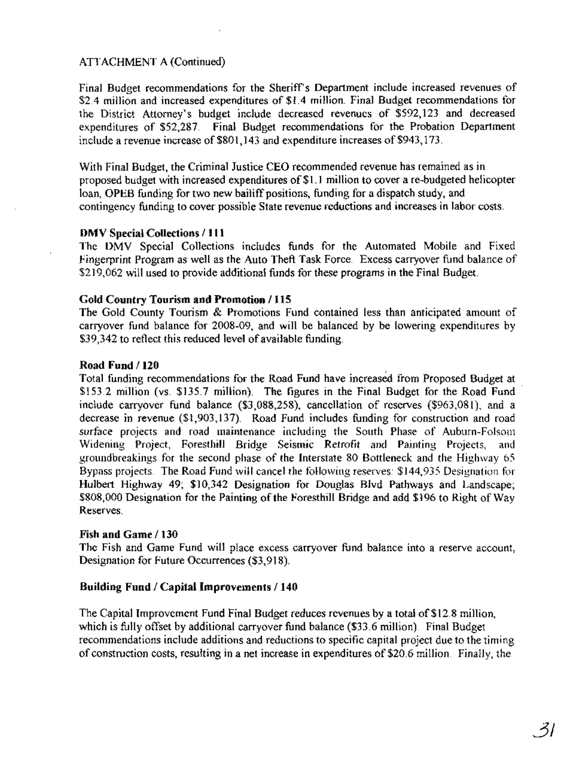Final Budget recommendations for the Sheriff's Department include increased revenues of \$2.4 million and increased expenditures of \$1.4 million. Final Budget recommendations for the District Attorney's budget include decreased revenues of \$592,123 and decreased expenditures of \$52,287. Final Budget recommendations for the Probation Department include a revenue increase of \$801,143 and expenditure increases of \$943,173.

With Final Budget, the Criminal Justice CEO recommended revenue has remained as in proposed budget with increased expenditures of \$1.1 million to cover a re-budgeted helicopter loan, OPEB funding for two new bailiff positions, funding for a dispatch study, and contingency funding to cover possible State revenue reductions and increases in labor costs.

## DMV Special Collections *1111*

The DMV Special Collections includes funds for the Automated Mobile and Fixed Fingerprint Program as well as the Auto Theft Task Force. Excess carryover fund balance of \$219,062 will used to provide additional funds for these programs in the Final Budget.

## Gold Country Tourism and Promotion *1115*

The Gold County Tourism & Promotions Fund contained less than anticipated amount of carryover fund balance for 2008-09, and will be balanced by be lowering expenditures by \$39,342 to reflect this reduced level of available funding.

## Road Fund *1120*

Total funding recommendations for the Road Fund have increased from Proposed Budget at \$153.2 million (vs. \$135.7 million). The figures in the Final Budget for the Road Fund include carryover fund balance (\$3,088,258), cancellation of reserves (\$963,081), and a decrease in revenue (\$1,903,137). Road Fund includes funding for construction and road surface projects and road maintenance including the South Phase of Auburn-Folsom Widening Project, Foresthill Bridge Seismic Retrofit and Painting Projects, and groundbreakings for the second phase of the Interstate 80 Bottleneck and the Highway 65 Bypass projects. The Road Fund will cancel the following reserves: \$144,935 Designation for Hulbert Highway 49; \$10,342 Designation for Douglas Blvd Pathways and Landscape; \$808,000 Designation for the Painting of the Foresthill Bridge and add \$196 to Right of Way Reserves.

## Fish and Game *1130*

The Fish and Game Fund will place excess carryover fund balance into a reserve account, Designation for Future Occurrences (\$3,918).

# Building Fund *I* Capital Improvements *1140*

The Capital Improvement Fund Final Budget reduces revenues by a total of\$12.8 million, which is fully offset by additional carryover fund balance (\$33.6 million). Final Budget recommendations include additions and reductions to specific capital project due to the timing of construction costs, resulting in a net increase in expenditures of\$20.6 million. Finally, the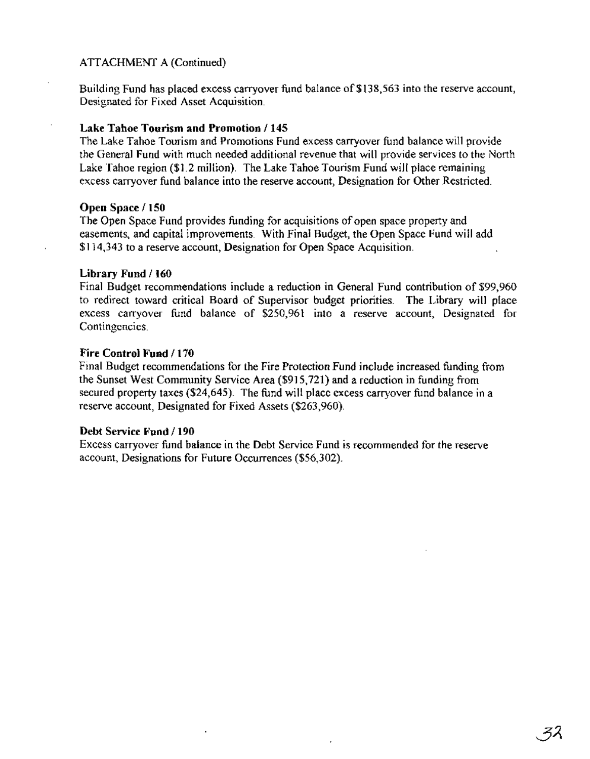Building Fund has placed excess carryover fund balance of \$138,563 into the reserve account, Designated for Fixed Asset Acquisition.

## **Lake Tahoe Tourism and Promotion / 145**

The Lake Tahoe Tourism and Promotions Fund excess carryover fund balance will provide the General Fund with much needed additional revenue that will provide services to the North Lake Tahoe region (\$1.2 million). The Lake Tahoe Tourism Fund will place remaining excess carryover fund balance into the reserve account, Designation for Other Restricted.

## **Open Space / 150**

The Open Space Fund provides funding for acquisitions of open space property and easements, and capital improvements. With Final Budget, the Open Space Fund will add \$114,343 to a reserve account, Designation for Open Space Acquisition.

## **Library Fund / 160**

Final Budget recommendations include a reduction in General Fund contribution of \$99,960 to redirect toward critical Board of Supervisor budget priorities. The Library will place excess carryover fund balance of \$250,961 into a reserve account, Designated for Contingencies.

## **Fire Control Fund / 170**

Final Budget recommendations for the Fire Protection Fund include increased funding from the Sunset West Community Service Area (\$915,721) and a reduction in funding from secured property taxes (\$24,645). The fund will place excess carryover fund balance in a reserve account, Designated for Fixed Assets (\$263,960).

## **Debt Service Fund / 190**

Excess carryover fund balance in the Debt Service Fund is recommended for the reserve account, Designations for Future Occurrences (\$56,302).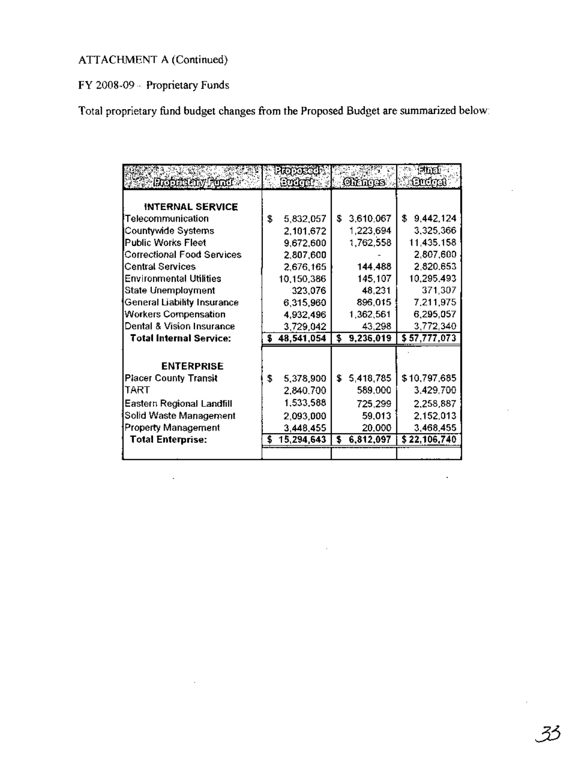FY 2008-09 - Proprietary Funds

Total proprietary fund budget changes from the Proposed Budget are summarized below:

|                                   | mma              |                 | latin.          |
|-----------------------------------|------------------|-----------------|-----------------|
| Republic by Pinci                 | Suité :          | <b>Outnots</b>  | Quina)          |
|                                   |                  |                 |                 |
| <b>INTERNAL SERVICE</b>           |                  |                 |                 |
| Telecommunication                 | \$<br>5,832,057  | \$<br>3,610,067 | \$<br>9,442,124 |
| Countywide Systems                | 2,101,672        | 1,223,694       | 3,325,366       |
| Public Works Fleet                | 9,672,600        | 1,762,558       | 11,435.158      |
| <b>Correctional Food Services</b> | 2,807,600        |                 | 2,807,600       |
| <b>Central Services</b>           | 2,676,165        | 144,488         | 2,820,653       |
| <b>Environmental Utilities</b>    | 10,150,386       | 145,107         | 10,295.493      |
| State Unemployment                | 323,076          | 48,231          | 371,307         |
| General Liability Insurance       | 6,315,960        | 896,015         | 7,211,975       |
| <b>Workers Compensation</b>       | 4,932,496        | 1,362,561       | 6,295,057       |
| Dental & Vision Insurance         | 3,729,042        | 43,298          | 3,772,340       |
| <b>Total Internal Service:</b>    | \$<br>48,541,054 | \$<br>9,236,019 | \$57,777,073    |
|                                   |                  |                 |                 |
| <b>ENTERPRISE</b>                 |                  |                 |                 |
| <b>Placer County Transit</b>      | \$<br>5,378,900  | \$<br>5,418,785 | \$10,797,685    |
| TART                              | 2,840.700        | 589,000         | 3,429,700       |
| Eastern Regional Landfill         | 1,533,588        | 725,299         | 2,258,887       |
| Solid Waste Management            | 2,093,000        | 59,013          | 2,152,013       |
| <b>Property Management</b>        | 3,448,455        | 20,000          | 3,468,455       |
| <b>Total Enterprise:</b>          | \$<br>15,294,643 | \$<br>6,812,097 | \$22,106,740    |
|                                   |                  |                 |                 |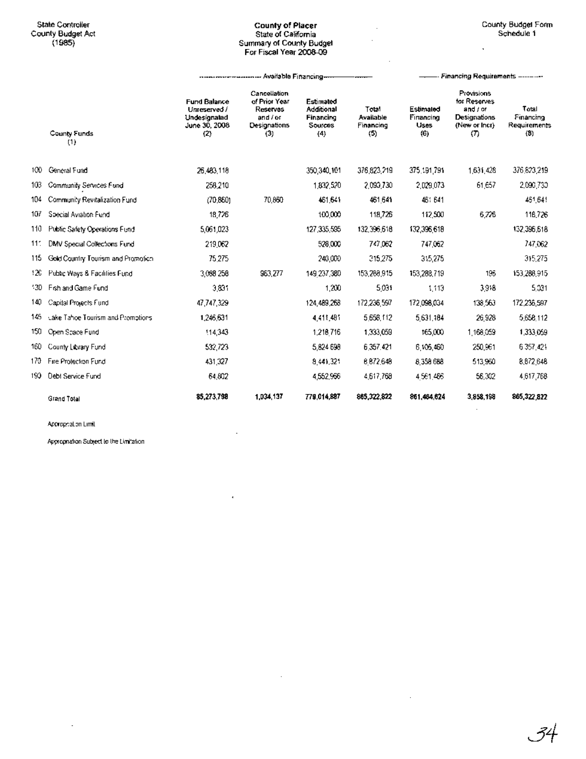## State Controller **County of Placer** County Budget Form County BUdget Act State of California Schedule 1 (1985) Summary of CoUnty Budget For Fiscal Year 2008-09

------------- Available Financing----- ---- Financing Requirements ---------

 $\cdot$ 

|      | County Funds<br>(1)                | <b>Fund Balance</b><br>Unreserved /<br>Undesignated<br>June 30, 2008<br>(2) | Cancellation<br>of Prior Year<br>Reserves<br>and / or<br>Designations<br>(3) | Estimated<br>Additional<br>Financing<br>Sources<br>(4) | Total<br>Available<br>Financing<br>(5) | Estimated<br>Financing<br><b>Uses</b><br>(6) | <b>Provisions</b><br>for Reserves<br>and / or<br>Designations<br>(New or Incr)<br>$\sigma$ | Total<br>Financing<br>Requirements<br>(3) |
|------|------------------------------------|-----------------------------------------------------------------------------|------------------------------------------------------------------------------|--------------------------------------------------------|----------------------------------------|----------------------------------------------|--------------------------------------------------------------------------------------------|-------------------------------------------|
| 100. | General Fund                       | 26.483.118                                                                  |                                                                              | 350,340,101                                            | 376,823,219                            | 375,191,791                                  | 1.631,428                                                                                  | 376,823,219                               |
| 103  | Community Services Fund            | 258,210                                                                     |                                                                              | 1,832,520                                              | 2.090,730                              | 2.029.073                                    | 61,657                                                                                     | 2,090,730                                 |
| 104  | Community Revitalization Fund      | (70.860)                                                                    | 70,860                                                                       | 461.641                                                | 461 641                                | 461 641                                      |                                                                                            | 451,641                                   |
| 107  | Special Aviation Fund              | 18,726                                                                      |                                                                              | 100,000                                                | 118,726                                | 112,500                                      | 6.226                                                                                      | 116.726                                   |
| 110  | Public Safety Operations Fund      | 5,061,023                                                                   |                                                                              | 127.335.595                                            | 132,396,618                            | 132,396,618                                  |                                                                                            | 132,396,618                               |
| 111  | DMV Special Collections Fund       | 219062                                                                      |                                                                              | 528,000                                                | 747.062                                | 747.062                                      |                                                                                            | 747,062                                   |
| 115  | Gold Country Tourism and Promotion | 75 275                                                                      |                                                                              | 240,000                                                | 315.275                                | 315,275                                      |                                                                                            | 315,275                                   |
| 120. | Public Ways & Facilities Fund      | 3,088 258                                                                   | 963.277                                                                      | 149 237,380                                            | 153,288,915                            | 153,288,719                                  | 196                                                                                        | 153,288,915                               |
| 13D  | Fish and Game Fund                 | 3,831                                                                       |                                                                              | 1,200                                                  | 5,031                                  | 1,113                                        | 3.918                                                                                      | 5,031                                     |
| 140. | Capital Projects Fund              | 47,747,329                                                                  |                                                                              | 124,489,268                                            | 172,236,597                            | 172,098,034                                  | 138,563                                                                                    | 172,235,597                               |
| 145  | Lake Tahoe Tourism and Promotions  | 1,246,631                                                                   |                                                                              | 4.411.481                                              | 5 658 112                              | 5.631.184                                    | 26.928                                                                                     | 5,658,112                                 |
| 150  | Open Scace Fund                    | 114.343                                                                     |                                                                              | 1,218716                                               | 1,333,059                              | 165,000                                      | 1.168.059                                                                                  | 1,333,069                                 |
| 160  | County Library Fund                | 532,723                                                                     |                                                                              | 5,824 698                                              | 6 357.421                              | 6 105 460                                    | 250,961                                                                                    | 6 357.421                                 |
| 170- | Fire Profection Fund               | 431,327                                                                     |                                                                              | 8,441,321                                              | 6872.648                               | 8,358 6BB                                    | 513,950                                                                                    | 8,872,648                                 |
| 190. | <b>Debt Service Fund</b>           | 64.802                                                                      |                                                                              | 4,552,956                                              | 4,617,768                              | 4561,466                                     | 56,302                                                                                     | 4,617,768                                 |
|      | Grand Total                        | 85,273,798                                                                  | 1.034.137                                                                    | 779.014,887                                            | 865,322,822                            | 861.484.624                                  | 3,858,198                                                                                  | 865, 322, 822                             |

J.

 $\overline{\phantom{a}}$ 

Appropriation Limit

÷,

Appropriation SUbject to the limitation

**34**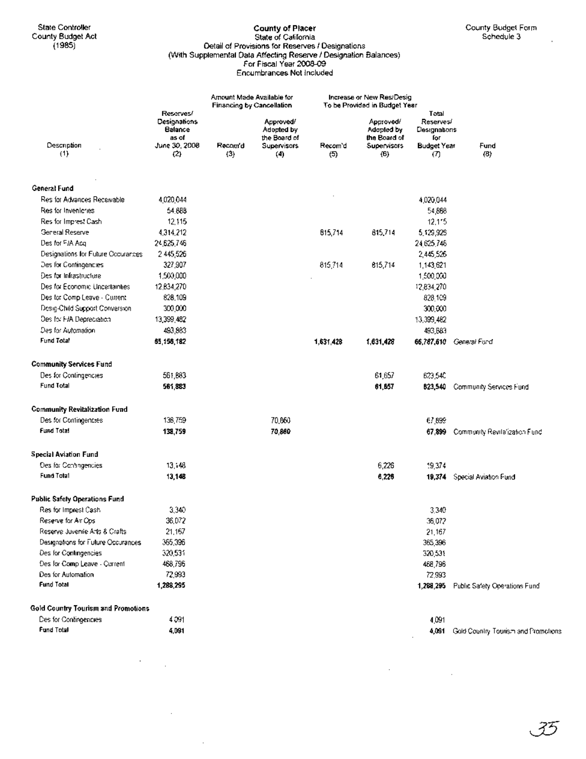## County of Placer State of California Detail of Provisions for Reserves I Designations (With Supplemental Data Affecting Reserve I Designation Balances) For Fiscal Year 2008-09 Encumbrances Not Included

ï

|                                            |                                               | <b>Financing by Cancellation</b> | Amount Made Available for               |              | Increase or New Res/Desig<br>To be Provided in Budget Year |                                           |                                     |
|--------------------------------------------|-----------------------------------------------|----------------------------------|-----------------------------------------|--------------|------------------------------------------------------------|-------------------------------------------|-------------------------------------|
|                                            | Reserves!<br>Designations<br>Balance<br>as of |                                  | Approved/<br>Adopted by<br>the Board of |              | Approvedi<br>Adopted by<br>the Board of                    | Total<br>Reserves/<br>Designations<br>for |                                     |
| Description<br>(1)                         | June 30, 2008<br>(2)                          | Recom d<br>(3)                   | Supervisors<br>(4)                      | Recom'd<br>ශ | Supervisors<br>(6)                                         | <b>Budget Year</b><br>(7)                 | Fund<br>(8)                         |
| General Fund                               |                                               |                                  |                                         |              |                                                            |                                           |                                     |
| Res for Advances Receivable                | 4,020,044                                     |                                  |                                         |              |                                                            | 4.020.044                                 |                                     |
| Res for Inveniones                         | 54.888                                        |                                  |                                         |              |                                                            | 54,888                                    |                                     |
| Res for Imprest Cash                       | 12,115                                        |                                  |                                         |              |                                                            | 12,115                                    |                                     |
| General Reserve                            | 4,314,212                                     |                                  |                                         | 815,714      | 815,714                                                    | 5,129,926                                 |                                     |
| Des for FJA Acq                            | 24,625,746                                    |                                  |                                         |              |                                                            | 24 625 746                                |                                     |
| Designations for Future Cocurances         | 2445,526                                      |                                  |                                         |              |                                                            | 2,445,526                                 |                                     |
| Des for Contingencies                      | 327,907                                       |                                  |                                         | 815,714      | 815,714                                                    | 1,143,621                                 |                                     |
| Des for Infrastructure                     | 1,500,000                                     |                                  |                                         |              |                                                            | 1,500,000                                 |                                     |
| Des for Economic Uncertainties             | 12,834,270                                    |                                  |                                         |              |                                                            | 12.834,270                                |                                     |
| Des for Comp Leave - Current               | 828,109                                       |                                  |                                         |              |                                                            | 828,109                                   |                                     |
| Desig-Child Support Conversion             | 300,000                                       |                                  |                                         |              |                                                            | 300,000                                   |                                     |
| Des for FJA Depreciation                   | 13,399,482                                    |                                  |                                         |              |                                                            | 13,399,482                                |                                     |
| Des for Automation                         | 493,883                                       |                                  |                                         |              |                                                            | 493,683                                   |                                     |
| Fund Total                                 | 65,156,182                                    |                                  |                                         | 1,631,428    | 1,631,428                                                  | 66,787,610                                | General Fund                        |
| <b>Community Services Fund</b>             |                                               |                                  |                                         |              |                                                            |                                           |                                     |
| Des for Contingencies                      | 561,883                                       |                                  |                                         |              | 61,657                                                     | 623,540                                   |                                     |
| Fund Total                                 | 561,883                                       |                                  |                                         |              | 61,857                                                     | 823,540                                   | Community Services Fund             |
| <b>Community Revitalization Fund</b>       |                                               |                                  |                                         |              |                                                            |                                           |                                     |
| Des for Contingencies                      | 138,759                                       |                                  | 70,860                                  |              |                                                            | 67,899                                    |                                     |
| <b>Fund Total</b>                          | 138,759                                       |                                  | 70,860                                  |              |                                                            | 67,899                                    | Community Revitatization Fund       |
| <b>Special Aviation Fund</b>               |                                               |                                  |                                         |              |                                                            |                                           |                                     |
| Des for Contingencies                      | 13, 48                                        |                                  |                                         |              | 6,226                                                      | 19,374                                    |                                     |
| Fund Total                                 | 13,148                                        |                                  |                                         |              | 6,226                                                      | 19,374                                    | Special Aviation Fund               |
| Public Safety Operations Fund              |                                               |                                  |                                         |              |                                                            |                                           |                                     |
| Res for Imprest Cash                       | 3,340                                         |                                  |                                         |              |                                                            | 3,340                                     |                                     |
| Reserve for Air Ops                        | 36,072                                        |                                  |                                         |              |                                                            | 36,072                                    |                                     |
| Reserve Juvenile Arts & Crafts             | 21,167                                        |                                  |                                         |              |                                                            | 21,167                                    |                                     |
| Designations for Future Occurances         | 365,396                                       |                                  |                                         |              |                                                            | 365,396                                   |                                     |
| Des for Contingencies                      | 320,531                                       |                                  |                                         |              |                                                            | 320,531                                   |                                     |
| Des for Comp Leave - Current               | 468,796                                       |                                  |                                         |              |                                                            | 468,796                                   |                                     |
| Des for Automation                         | 72,993                                        |                                  |                                         |              |                                                            | 72,993                                    |                                     |
| <b>Fund Total</b>                          | 1,288,295                                     |                                  |                                         |              |                                                            | 1,268,295                                 | Public Safety Operations Fund       |
| <b>Gold Country Tourism and Promotions</b> |                                               |                                  |                                         |              |                                                            |                                           |                                     |
| Des for Contingencies                      | 4 091                                         |                                  |                                         |              |                                                            | 4,091                                     |                                     |
| Fund Total                                 | 4,091                                         |                                  |                                         |              |                                                            | 4,091                                     | Gold Country Tourism and Promotions |

 $\sim$ 

 $\hat{\mathcal{A}}$ 

 $\sim 0.01$ 

 $\mathcal{A}$ 

 $\sim$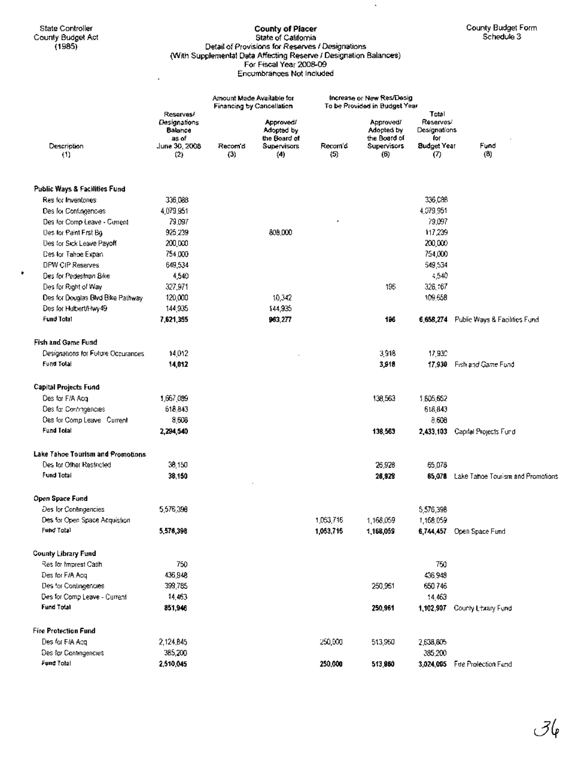$\bullet$ 

J.

#### State Controller **County of Placer County of Placer** County Budget Form **County Budget Form** County Budget Act State of California Schedule 3 (1985) Detail of Provisions for Reserves I Designations (With Supplemental Data Affecting Reserve I Designation·Balances) For Fiscal Year 2008-09 Encumbrances Not Included

 $\ddot{\phantom{a}}$ 

|                                    |                                               |                | Amount Made Available for               | Increase or New Res/Desig |                                         |                                  |                                          |
|------------------------------------|-----------------------------------------------|----------------|-----------------------------------------|---------------------------|-----------------------------------------|----------------------------------|------------------------------------------|
|                                    |                                               |                | Financing by Cancellation               |                           | To be Provided in Budget Year           | Total                            |                                          |
|                                    | Reserves/<br>Designations<br>Balance<br>as of |                | Approved/<br>Adopted by<br>the Board of |                           | Approved/<br>Adopted by<br>the Board of | Reserves/<br>Designations<br>for |                                          |
| Description<br>(1)                 | June 30, 2008<br>$^{(2)}$                     | Recom'd<br>(3) | <b>Supervisors</b><br>(4)               | Recom'd<br>(5)            | <b>Supervisors</b><br>(6)               | <b>Sudget Year</b><br>(7)        | Fund<br>$^{(8)}$                         |
| Public Ways & Facilities Fund      |                                               |                |                                         |                           |                                         |                                  |                                          |
| Res for Inventones                 | 336 088                                       |                |                                         |                           |                                         | 336.C8B                          |                                          |
| Des for Contingencies              | 4,079,951                                     |                |                                         |                           |                                         | 4,079,951                        |                                          |
| Des for Comp Leave - Current       | 79,097                                        |                |                                         |                           |                                         | 79.097                           |                                          |
| Des for Paint First Bg             | 925,239                                       |                | 808,000                                 |                           |                                         | 117,239                          |                                          |
| Des for Sick Leave Payoff          | 200,000                                       |                |                                         |                           |                                         | 200,000                          |                                          |
| Des for Tahoe Expan-               | 754,000                                       |                |                                         |                           |                                         | 754,000                          |                                          |
| DPW CIP Reserves                   | 649,534                                       |                |                                         |                           |                                         | 649,534                          |                                          |
| Des for Pedestrian Bike            | 4,540                                         |                |                                         |                           |                                         | 4,540                            |                                          |
| Des for Right of Way               | 327,971                                       |                |                                         |                           | 196                                     | 328,167                          |                                          |
| Des for Douglas Blvd Bike Pathway  | 120,000                                       |                | 10,342                                  |                           |                                         | 109,658                          |                                          |
| Des for Hulbert/Hwy 49             | 144,935                                       |                | 144,935                                 |                           |                                         |                                  |                                          |
| Fund Total                         | 7,621,355                                     |                | 963,277                                 |                           | 196                                     | 6,658,274                        | Public Ways & Facilities Fund            |
| <b>Fish and Game Fund</b>          |                                               |                |                                         |                           |                                         |                                  |                                          |
| Designations for Future Occurances | 14,012                                        |                |                                         |                           | 3,918                                   | 17,930                           |                                          |
| Fund Tolal                         | 14,012                                        |                |                                         |                           | 3,918                                   | 17,930                           | Fish and Game Fund                       |
| Capital Projects Fund              |                                               |                |                                         |                           |                                         |                                  |                                          |
| Des far F/A Acq                    | 1,667,089                                     |                |                                         |                           | 138,563                                 | 1,805,652                        |                                          |
| Des far Contingencies              | 618,843                                       |                |                                         |                           |                                         | 618,843                          |                                          |
| Des for Comp Leave Current         | 8,608                                         |                |                                         |                           |                                         | 8,608                            |                                          |
| <b>Fund Total</b>                  | 2,294,540                                     |                |                                         |                           | 138,563                                 | 2,433,103                        | Capital Projects Fund                    |
| Lake Tahoe Tourism and Promotions  |                                               |                |                                         |                           |                                         |                                  |                                          |
| Des for Other Restricted           | 38,150                                        |                |                                         |                           | 26,928                                  | 65,078                           |                                          |
| Fund Total                         | 38,150                                        |                |                                         |                           | 26,928                                  |                                  | 65,078 Lake Tahoe Tourism and Promotions |
| Open Space Fund                    |                                               |                |                                         |                           |                                         |                                  |                                          |
| Des for Contingencies              | 5,576,398                                     |                |                                         |                           |                                         | 5,576,398                        |                                          |
| Des for Open Space Acquistion      |                                               |                |                                         | 1,053,716                 | 1,168,059                               | 1,168,059                        |                                          |
| Fund Total                         | 5,576,398                                     |                |                                         | 1,053,716                 | 1,168,059                               |                                  | 6,744,457 Open Space Fund                |
| <b>County Library Fund</b>         |                                               |                |                                         |                           |                                         |                                  |                                          |
| Res for Imprest Cash               | 750                                           |                |                                         |                           |                                         | 750                              |                                          |
| Des for F/A Acq                    | 436,948                                       |                |                                         |                           |                                         | 436,948                          |                                          |
| Des for Contingencies              | 399,785                                       |                |                                         |                           | 250,961                                 | 650746                           |                                          |
| Des for Comp Leave - Current       | 14,463                                        |                |                                         |                           |                                         | 14,463                           |                                          |
| <b>Fund Total</b>                  | 851,946                                       |                |                                         |                           | 250,961                                 |                                  | 1,102,907 County Library Fund            |
| <b>Fire Protection Fund</b>        |                                               |                |                                         |                           |                                         |                                  |                                          |
| Des for FIA Acq                    | 2,124,845                                     |                |                                         | 250,000                   | 513,960                                 | 2,638,805                        |                                          |
| Des for Contingencies              | 385,200                                       |                |                                         |                           |                                         | 385,200                          |                                          |
| Fund Total                         | 2,510,045                                     |                |                                         | 250,000                   | 513,960                                 |                                  | 3,024,005 Fire Profection Fund           |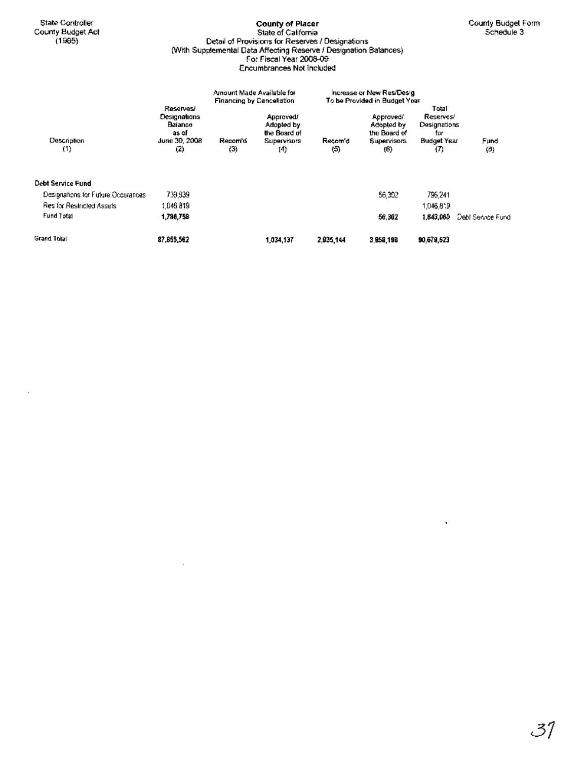$\bar{z}$ 

## **County of Placer** State of California Detail of Provisions for Reserves I Designations (With Supplemental Data Affecting Reserve I Designation Balances) For Fiscal Year 2008-09 Encumbrances Not Included

|                                    |                                                                       | Amount Made Available for<br><b>Financing by Cancellation</b> |                                                               |                             | Increase or New Res/Desig<br>To be Provided in Budget Year           |                                                                             |                   |  |
|------------------------------------|-----------------------------------------------------------------------|---------------------------------------------------------------|---------------------------------------------------------------|-----------------------------|----------------------------------------------------------------------|-----------------------------------------------------------------------------|-------------------|--|
| Description<br>(1)                 | Reserves/<br>Designations<br>Balance<br>as of<br>June 30, 2008<br>(2) | Recom'd<br>$\left(3\right)$                                   | Approved!<br>Adopted by<br>the Board of<br>Supervisors<br>(4) | Recom d<br>$\left(5\right)$ | Approved/<br>Adopted by<br>the Board of<br><b>Supervisors</b><br>(6) | Total<br>Reserves/<br>Designations<br>for<br><b>Budget Year</b><br>$\sigma$ | Fund<br>(B)       |  |
| Debt Service Fund                  |                                                                       |                                                               |                                                               |                             |                                                                      |                                                                             |                   |  |
| Designations for Future Occurances | 739,939                                                               |                                                               |                                                               |                             | 56.302                                                               | 796.241                                                                     |                   |  |
| Res for Restricted Assets          | 1046819                                                               |                                                               |                                                               |                             |                                                                      | 1,046,819                                                                   |                   |  |
| Fund Total                         | 1,786,758                                                             |                                                               |                                                               |                             | 56.302                                                               | 1,843,060                                                                   | Debt Service Fund |  |
| Grand Tolal                        | 87.855.562                                                            |                                                               | 1,034,137                                                     | 2,935,144                   | 3,858,198                                                            | 90,679,623                                                                  |                   |  |

 $\bar{z}$ 

 $\hat{\mathcal{A}}$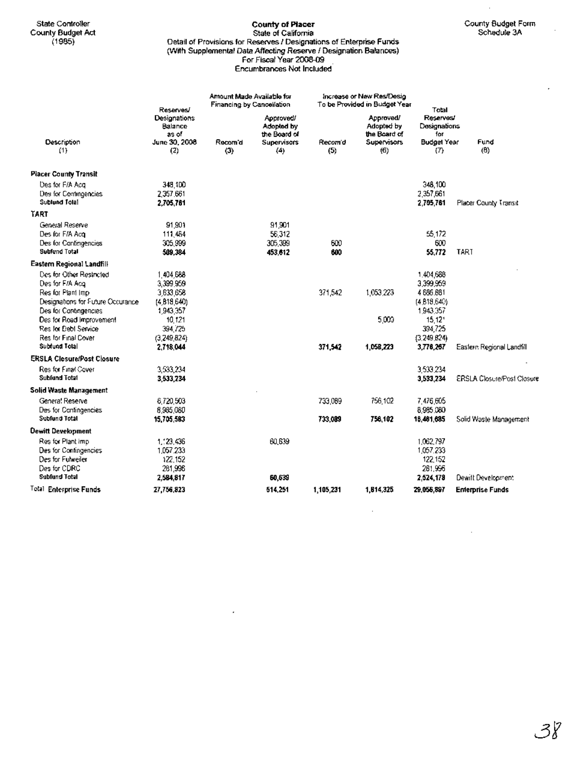## State Controller **County of Placer County of Placer** County Budget Form County Budget Form County Budget Act State of California Schedule3A (1985) Detail of Provisions for Reserves I Designations of Enterprise Funds (With Supplemental Data Affecting Reserve I Designation Balances) For Fiscal Year 2008-09 Encumbrances Not Included

 $\cdot$ 

l,

|                                        | Reserves/                        | Amount Made Available for<br>Financing by Cancellation |                                         |                | Increase or New Res/Desig<br>To be Provided in Budget Year | Total                            |                                   |
|----------------------------------------|----------------------------------|--------------------------------------------------------|-----------------------------------------|----------------|------------------------------------------------------------|----------------------------------|-----------------------------------|
|                                        | Designations<br>Balance<br>as of |                                                        | Approved/<br>Adopted by<br>the Board of |                | Approved/<br>Adopted by<br>the Board of                    | Reserves/<br>Designations<br>for |                                   |
| Description<br>(1)                     | June 30, 2008<br>(2)             | Recom d<br>(3)                                         | Supervisors<br>(4)                      | Recom d<br>(5) | Supervisors<br>(6)                                         | <b>Budget Year</b><br>(T)        | Fund<br>(6)                       |
| <b>Placer County Transit</b>           |                                  |                                                        |                                         |                |                                                            |                                  |                                   |
| Des for F/A Aca                        | 348.1DD                          |                                                        |                                         |                |                                                            | 348.100                          |                                   |
| Des for Contingencies<br>Sublund Tolal | 2.357.661<br>2.705.761           |                                                        |                                         |                |                                                            | 2,357,661<br>2.705.761           | Placer County Transit             |
| TART                                   |                                  |                                                        |                                         |                |                                                            |                                  |                                   |
| General Reserve                        | 91,901                           |                                                        | 91,901                                  |                |                                                            |                                  |                                   |
| Des for F/A Acq                        | 111,464                          |                                                        | 56,312                                  |                |                                                            | 55,172                           |                                   |
| Des for Contingencies                  | 305.999                          |                                                        | 305.399                                 | 600            |                                                            | 600                              |                                   |
| Subfund Total                          | 509.384                          |                                                        | 453,612                                 | 600            |                                                            | 55,772                           | TART                              |
| Eastern Regional Landfill              |                                  |                                                        |                                         |                |                                                            |                                  |                                   |
| Des for Other Restricted               | 1404.688                         |                                                        |                                         |                |                                                            | 1.404,688                        |                                   |
| Des for F/A Acq                        | 3,399,959                        |                                                        |                                         |                |                                                            | 3,399,959                        |                                   |
| Res for Plant Imp                      | 3.633.658                        |                                                        |                                         | 371,542        | 1,053,223                                                  | 4686.881                         |                                   |
| Designations for Future Occurance      | (4, 818, 640)                    |                                                        |                                         |                |                                                            | (4.818.640)                      |                                   |
| Des for Contingencies                  | 1943.357                         |                                                        |                                         |                |                                                            | 1943.357                         |                                   |
| Des for Road Improvement               | 10,121                           |                                                        |                                         |                | 5,000                                                      | 15,121                           |                                   |
| Res for Debt Service                   | 394 / 25                         |                                                        |                                         |                |                                                            | 394.725                          |                                   |
| Res for Final Cover                    | (3,249,824)                      |                                                        |                                         |                |                                                            | (3,249,824)                      |                                   |
| Subfund Total                          | 2.718.044                        |                                                        |                                         | 371.542        | 1,058,223                                                  | 3,776,267                        | Eastern Regional Landfill         |
| <b>ERSLA Closure/Post Closure</b>      |                                  |                                                        |                                         |                |                                                            |                                  |                                   |
| Res for Final Cover                    | 3,533,234                        |                                                        |                                         |                |                                                            | 3,533,234                        |                                   |
| Subfund Total                          | 3,533,234                        |                                                        |                                         |                |                                                            | 3,533,234                        | <b>ERSLA Closure/Post Closure</b> |
| Solid Waste Management                 |                                  |                                                        |                                         |                |                                                            |                                  |                                   |
| Genera! Reserve                        | 6,720,503                        |                                                        |                                         | 733,089        | 756,102                                                    | 7,476,605                        |                                   |
| Des for Contingencies                  | 8,985,080                        |                                                        |                                         |                |                                                            | 8,985,080                        |                                   |
| Subfund Total                          | 15,705,583                       |                                                        |                                         | 733,089        | 756.102                                                    | 18,461,685                       | Solid Waste Management            |
| <b>Dewitt Development</b>              |                                  |                                                        |                                         |                |                                                            |                                  |                                   |
| Res for Plant imp                      | 1.123.436                        |                                                        | 60.639                                  |                |                                                            | 1.062.797                        |                                   |
| Des for Contingencies                  | 1.057.233                        |                                                        |                                         |                |                                                            | 1,057,233                        |                                   |
| Des for Fulweiler                      | 122.152                          |                                                        |                                         |                |                                                            | 122,152                          |                                   |
| Des for CDRC                           | 261,996                          |                                                        |                                         |                |                                                            | 281.996                          |                                   |
| Subfund Total                          | 2,584,817                        |                                                        | 60,539                                  |                |                                                            | 2,524,178                        | Dewitt Development                |
| Total Enterprise Funds                 | 27,756,823                       |                                                        | 514,251                                 | 1,105,231      | 1,814,325                                                  | 29,056,897                       | Enterprise Funds                  |

 $\ddot{\phantom{0}}$ 

 $\bar{\beta}$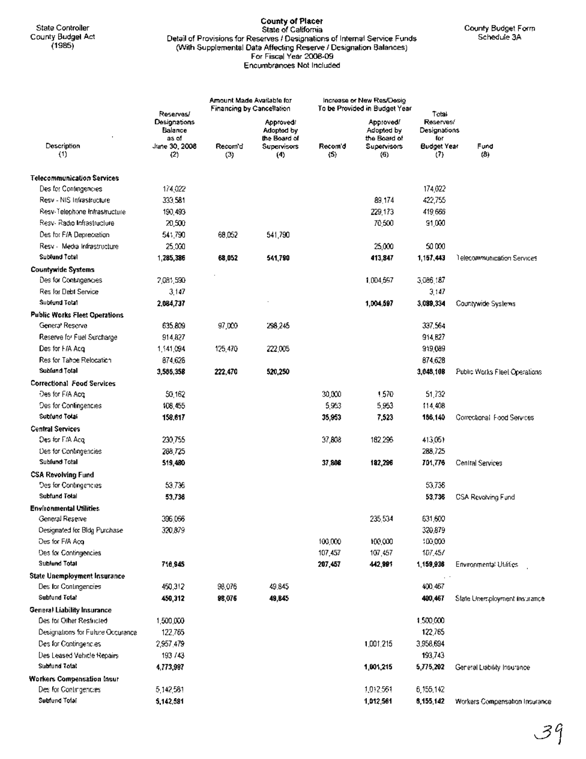## State Controller **County of Placer** State of Califomia County Budget Form County BUdget Act Detail of Provisions for Reserves I Designations of Intemal Service Funds Schedule 3A (1985) (With Supplemental Data Affecting Reserve I Designation Balances) For Fiscal Year 2008-09 Encumbrances Not Included

|                                             | Reserves/                                                | Amount Made Available for<br><b>Financing by Cancellation</b> |                                                                      | Increase or New Res/Desig<br>To be Provided in Budget Year |                                                               | Total                                                         |                                |  |
|---------------------------------------------|----------------------------------------------------------|---------------------------------------------------------------|----------------------------------------------------------------------|------------------------------------------------------------|---------------------------------------------------------------|---------------------------------------------------------------|--------------------------------|--|
| Description<br>(1)                          | Designations<br>Balance<br>as of<br>June 30, 2008<br>(2) | Recom d<br>(3)                                                | Approved.<br>Adopted by<br>the Board of<br><b>Supervisors</b><br>(4) | Recom'd<br>(5)                                             | Approvedi<br>Adopted by<br>the Board of<br>Supervisors<br>(6) | Reserves/<br>Designations<br>for<br><b>Budget Year</b><br>(7) | Fund<br>(B)                    |  |
| <b>Telecommunication Services</b>           |                                                          |                                                               |                                                                      |                                                            |                                                               |                                                               |                                |  |
| Des for Contingencies                       | 174,022                                                  |                                                               |                                                                      |                                                            |                                                               | 174,022                                                       |                                |  |
| Resv - NIS Infrastructure                   | 333,581                                                  |                                                               |                                                                      |                                                            | 89,174                                                        | 422,755                                                       |                                |  |
| Resv-Telephone Infrastructure               | 190.493                                                  |                                                               |                                                                      |                                                            | 229,173                                                       | 419,666                                                       |                                |  |
| Resv-Radio Infrastructure                   | 20,500                                                   |                                                               |                                                                      |                                                            | 70,500                                                        | 91,000                                                        |                                |  |
| Des for F/A Depreciation                    | 541,790                                                  | 68,052                                                        | 541,790                                                              |                                                            |                                                               |                                                               |                                |  |
| Resv - Media Infrastructure                 | 25.000                                                   |                                                               |                                                                      |                                                            | 25,000                                                        | 50000                                                         |                                |  |
| Sublund Total                               | 1,285,386                                                | 68,052                                                        | 541,790                                                              |                                                            | 413,847                                                       | 1,157,443                                                     | Telecommunication Services     |  |
| <b>Countywide Systems</b>                   |                                                          |                                                               |                                                                      |                                                            |                                                               |                                                               |                                |  |
| Des for Contingencies                       | 2,081,590                                                |                                                               |                                                                      |                                                            | 1,004,597                                                     | 3,086,187                                                     |                                |  |
| Res for Debt Service                        | 3.147                                                    |                                                               |                                                                      |                                                            |                                                               | 3,147                                                         |                                |  |
| Subfund Total                               | 2,084,737                                                |                                                               |                                                                      |                                                            | 1,004,597                                                     | 3,089,334                                                     | Countywide Systems             |  |
| <b>Public Works Fleet Operations</b>        |                                                          |                                                               |                                                                      |                                                            |                                                               |                                                               |                                |  |
| General Rescrve                             | 635,809                                                  | 97,000                                                        | 298,245                                                              |                                                            |                                                               | 337,564                                                       |                                |  |
| Reserve for Fuel Surcharge                  | 914,827                                                  |                                                               |                                                                      |                                                            |                                                               | 914, 827                                                      |                                |  |
| Des for F/A Acq                             | 1,541,094                                                | 125,470                                                       | 222,005                                                              |                                                            |                                                               | 919,089                                                       |                                |  |
| Res for Tahbe Relocation                    | 874,626                                                  |                                                               |                                                                      |                                                            |                                                               | 874,628                                                       |                                |  |
| Subfund Total                               | 3,586,358                                                | 222,470                                                       | 520,250                                                              |                                                            |                                                               | 3,048,108                                                     | Public Works Fleet Operations  |  |
| Correctional Food Services                  |                                                          |                                                               |                                                                      |                                                            |                                                               |                                                               |                                |  |
| Des for F/A Acq                             | 50,162                                                   |                                                               |                                                                      | 30,000                                                     | 1,570                                                         | 51,732                                                        |                                |  |
| Des for Contingencies                       | 108,455                                                  |                                                               |                                                                      | 5,963                                                      | 5,953                                                         | 114,408                                                       |                                |  |
| Subfund Total                               | 158,617                                                  |                                                               |                                                                      | 35,953                                                     | 7,523                                                         | 186,140                                                       | Correctional Food Services     |  |
| <b>Central Services</b>                     |                                                          |                                                               |                                                                      |                                                            |                                                               |                                                               |                                |  |
| Des for F/A Acq                             | 230,755                                                  |                                                               |                                                                      | 37,808                                                     | 182.295                                                       | 413,051                                                       |                                |  |
| Des for Contingencies                       | 288.725                                                  |                                                               |                                                                      |                                                            |                                                               | 288,725                                                       |                                |  |
| Subfund Total                               | 519,480                                                  |                                                               |                                                                      | 37,808                                                     | 182,296                                                       | 701,776                                                       | Central Services               |  |
| <b>CSA Revolving Fund</b>                   |                                                          |                                                               |                                                                      |                                                            |                                                               |                                                               |                                |  |
| Des for Contingencies                       | 53.736                                                   |                                                               |                                                                      |                                                            |                                                               | 53,736                                                        |                                |  |
| <b>Subtund Total</b>                        | 53,738                                                   |                                                               |                                                                      |                                                            |                                                               | 53,736                                                        | CSA Revolving Fund             |  |
| <b>Environmental Utilities</b>              |                                                          |                                                               |                                                                      |                                                            |                                                               |                                                               |                                |  |
| General Reserve                             | 396.066                                                  |                                                               |                                                                      |                                                            | 235,534                                                       | 631,600                                                       |                                |  |
| Designated for Bldg Purchase                | 320,879                                                  |                                                               |                                                                      |                                                            |                                                               | 320,879                                                       |                                |  |
| Des for F/A Açq                             |                                                          |                                                               |                                                                      | 100,000                                                    | 100,000                                                       | 100,000                                                       |                                |  |
| Des for Contingencies                       |                                                          |                                                               |                                                                      | 107,457                                                    | 107,457                                                       | 107,457                                                       |                                |  |
| Subfund Total                               | 718,945                                                  |                                                               |                                                                      | 207,457                                                    | 442,991                                                       | 1,159,936                                                     | Environmental Utilities        |  |
| <b>State Unemployment Insurance</b>         |                                                          |                                                               |                                                                      |                                                            |                                                               |                                                               |                                |  |
| Des for Contingencies<br>Subfund Total      | 450,312                                                  | 98,076                                                        | 49.845                                                               |                                                            |                                                               | 400,467                                                       |                                |  |
|                                             | 450,312                                                  | 98,076                                                        | 49,845                                                               |                                                            |                                                               | 400,467                                                       | State Unemployment Insurance   |  |
| General Liability Insurance                 |                                                          |                                                               |                                                                      |                                                            |                                                               |                                                               |                                |  |
| Des for Other Restricted                    | 1,500,000                                                |                                                               |                                                                      |                                                            |                                                               | 1,500,000<br>122,765                                          |                                |  |
| Designations for Fultire Occurance          | 122,785                                                  |                                                               |                                                                      |                                                            |                                                               |                                                               |                                |  |
| Des for Contingencies                       | 2,957,479                                                |                                                               |                                                                      |                                                            | 1,001,215                                                     | 3,958,694                                                     |                                |  |
| Des Leased Vehicle Repairs<br>Subfund Total | 193 / 43                                                 |                                                               |                                                                      |                                                            |                                                               | 193,743                                                       |                                |  |
|                                             | 4,773,987                                                |                                                               |                                                                      |                                                            | 1,001,215                                                     | 5,775,202                                                     | General Liability Insurance    |  |
| Workers Compensation Insur                  |                                                          |                                                               |                                                                      |                                                            |                                                               |                                                               |                                |  |
| Des for Contingencies                       | 5,142,581                                                |                                                               |                                                                      |                                                            | 1,012,561                                                     | 6,155,142                                                     |                                |  |
| Subfund Tolal                               | 5,142,581                                                |                                                               |                                                                      |                                                            | 1,012,561                                                     | 6,155,142                                                     | Workers Compensation Insurance |  |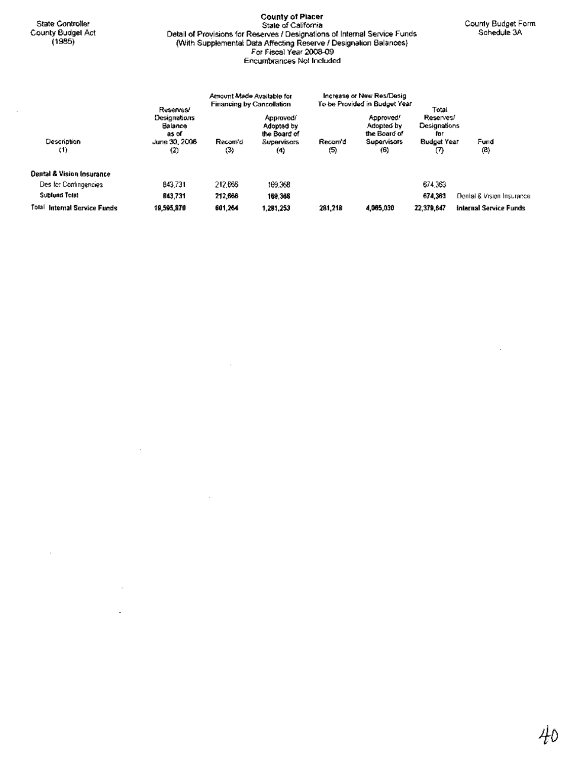State Controller County Budget Act (1985)

÷.

#### County of Placer State of California Detail of Provisions for Reserves I Designations of Internal Service Funds (With Supplemental Data Affecting Reserve I Designation Balances) For Fiscal Year 2008-09 Encumbrances Not Included

|                                      | Reserves/                                                  |                | Amount Made Available for<br><b>Financing by Cancellation</b>        |              | Increase or New Res/Desig<br>To be Provided in Budget Year           | Total                                                         |                               |
|--------------------------------------|------------------------------------------------------------|----------------|----------------------------------------------------------------------|--------------|----------------------------------------------------------------------|---------------------------------------------------------------|-------------------------------|
| Description<br>(1)                   | Designations<br>Balance<br>as of<br>June 30, 2008<br>$(2)$ | Recom'd<br>(3) | Approved/<br>Adopted by<br>the Board of<br><b>Supervisors</b><br>(4) | Recom'd<br>ශ | Approved!<br>Adopted by<br>the Board of<br><b>Supervisors</b><br>(6) | Reserves/<br><b>Designations</b><br>for<br>Budget Year<br>(7) | Fund<br>(B)                   |
| <b>Dental &amp; Vision Insurance</b> |                                                            |                |                                                                      |              |                                                                      |                                                               |                               |
| Des for Contingencies                | 843,731                                                    | 212,666        | 169,368                                                              |              |                                                                      | 674.363                                                       |                               |
| Subfund Tolat                        | B43.731                                                    | 212,666        | 169.368                                                              |              |                                                                      | 674,363                                                       | Denial & Vision Insurance     |
| Tolal<br>Internal Service Funds      | 19,595,870                                                 | 601.264        | 1,281,253                                                            | 281,218      | 4,065,030                                                            | 22.379.647                                                    | <b>Internal Service Funds</b> |

 $\overline{\phantom{a}}$ 

÷,

 $\overline{\phantom{a}}$ 

 $\ddot{\phantom{0}}$ 

 $\overline{\phantom{a}}$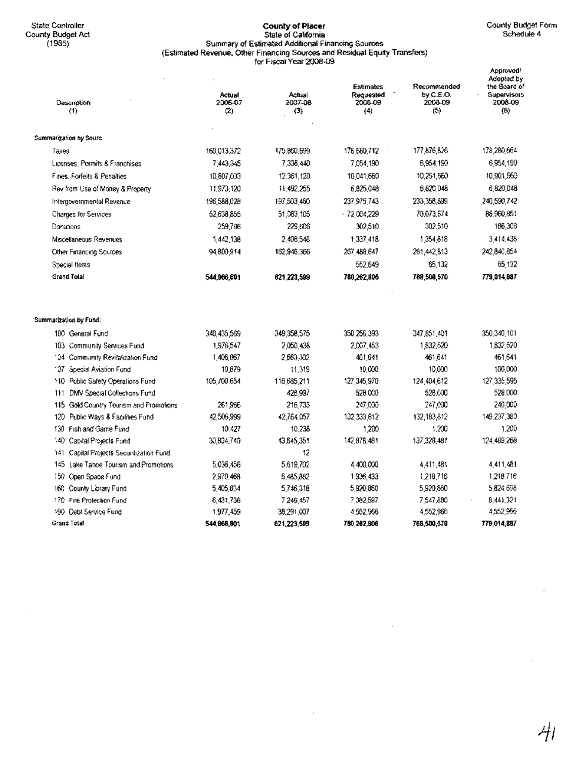$\ddot{\phantom{0}}$ 

#### State Controller **County of Placer** County Budget Form County BUdget Act. State of California Schedule 4 (1985) Summary of Estimated Additional Financing Sources (Estimated Revenue, Other Financing Sources and Residual Equity Transfers) for Fiscal Year 2008-09

| Description<br>(1)                       | Actual<br>2006-07<br>(2) | Actual<br>2007-08<br>(3) | <b>Estimates</b><br>Requested<br>2008-09<br>(4) | Recommended<br>by C.E.O.<br>2008-09<br>(5) | Approved/<br>Adopted by<br>the Board of<br>Supervisors<br>2008-09<br>(6) |
|------------------------------------------|--------------------------|--------------------------|-------------------------------------------------|--------------------------------------------|--------------------------------------------------------------------------|
| Summarization by Sourc                   |                          |                          |                                                 |                                            |                                                                          |
| Taxes                                    | 169,013,372              | 175,860,699              | 176,680,712                                     | 177,876,826                                | 178,280,664                                                              |
| Licenses, Permits & Franchises           | 7,443,345                | 7,338,440                | 7,054,190                                       | 6,954,190                                  | 6,954,190                                                                |
| Fines, Forfeits & Penalties              | 10,807,033               | 12.361.120               | 10.041,660                                      | 10,251,660                                 | 10,901,560                                                               |
| Rev from Use of Money & Property         | 11,973,120               | 11,492,255               | 6,825,048                                       | 6,820,048                                  | 6,820,048                                                                |
| Intergovernmental Revenue                | 196,588,028              | 197,503,450              | 237,975,743                                     | 233,358,899                                | 240,590,742                                                              |
| Charges for Services                     | 52.638.855               | 51,083,105               | $-72,004,229$                                   | 70,073,674                                 | 88,960,851                                                               |
| Donations                                | 259,796                  | 229,606                  | 302,510                                         | 302,510                                    | 186,308                                                                  |
| Miscellaneous Revenues                   | 1,442,138                | 2408548                  | 1,337,418                                       | 1.354.818                                  | 3,414,438                                                                |
| Other Financing Sources                  | 94.800.914               | 162,946,366              | 267,488,647                                     | 261,442,813                                | 242,840,854                                                              |
| Special flems                            |                          |                          | 552,649                                         | 65.132                                     | 65,132                                                                   |
| <b>Grand Tolal</b>                       | 544,966,601              | 621.223,599              | 780,262,806                                     | 788,500,570                                | 779,014,887                                                              |
| Summarization by Fund;                   |                          |                          |                                                 |                                            |                                                                          |
| 100 General Fund                         | 340,435,569              | 349,358,575              | 350,256,393                                     | 347.851.401                                | 350,340,101                                                              |
| 103 Community Services Fund              | 1,976,547                | 2,050,438                | 2,007,453                                       | 1,832,520                                  | 1,832,520                                                                |
| 104 Community Revitalization Fund        | 1,406,667                | 2.663.302                | 461,641                                         | 461,641                                    | 461,641                                                                  |
| 107 Special Aviation Fund                | 10,679                   | 11.319                   | 10,000                                          | 10,000                                     | 100,000                                                                  |
| 110 Public Safety Operations Fund        | 105 /00 654              | 116,685,211              | 127,345,970                                     | 124,404,612                                | 127,335,595                                                              |
| DMV Special Collections Fund<br>111      |                          | 426,997                  | 520 000                                         | 528,000                                    | 528,000                                                                  |
| 115 Gold Country Tourism and Promotions  | 261.966                  | 216,733                  | 247,000                                         | 247,000                                    | 240,000                                                                  |
| Public Ways & Facilities Fund<br>120     | 42 506 999               | 42.764.057               | 132,333,612                                     | 132.183.812                                | 149,237,380                                                              |
| 130 Fish and Game Fund                   | 10,427                   | 10,238                   | 1,200                                           | 1.200                                      | 1,200                                                                    |
| 140.<br>Capital Projects Fund            | 30,834,740               | 43.645.351               | 142,878,481                                     | 137.328.481                                | 124, 489, 268                                                            |
| 141 Capital Projects Securitization Fund |                          | 12                       |                                                 |                                            |                                                                          |
| 145 Lake Tabce Tourism and Promotions    | 5,036,456                | 5,619,702                | 4,400,000                                       | 4,411,481                                  | 4,411,481                                                                |
| 150 Open Space Fund                      | 2,970,468                | 6,485,882                | 1,936,433                                       | 1,218,716                                  | 1,218,716                                                                |
| 160 County Library Fund                  | 5,405,834                | 5746,318                 | 5,920,860                                       | 5,920,860                                  | 5,824,698                                                                |
| 170 Fire Protection Fund                 | 6,431,736                | 7,246,457                | 7,382,597                                       | 7,547,880                                  | 8,441,321                                                                |
| 190 Debt Service Fund                    | 1,977,459                | 38,291,007               | 4,552,956                                       | 4,552,966                                  | 4,552,966                                                                |
| Grand Total                              | 544.966.601              | 621,223,599              | 780,262,906                                     | 768,500,570                                | 779,014,887                                                              |

 $\cdot$ 

 $\cdot$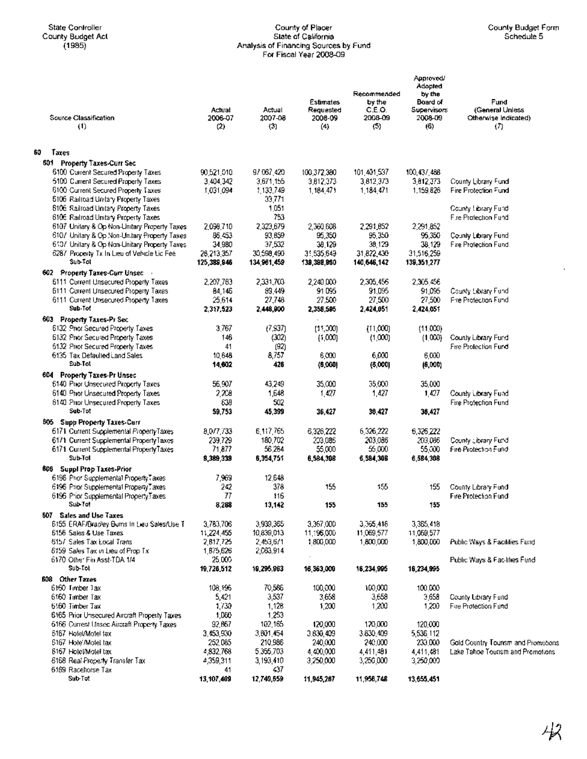## State Controller County of Placer County of Placer County of Placer County of Placer County Dudget Form County Budget Act State of California Schedule 5 (1985) Analysis of Financing Sources by Fund For Fiscal Year 2008-09

l,

|    | Source Classification<br>$_{(1)}$                                                           | Actual<br>2006-07<br>(2) | Actual<br>2007-08<br>(3) | <b>Estimates</b><br>Requested<br>2008-09<br>(4) | Recommended<br>by the<br>C.E.O.<br>2008-09<br>(5) | Approved/<br>Adopted<br>by the<br>Board of<br>Supervisors<br>2008-09<br>(6) | Fund<br>(General Unless<br>Otherwise Indicated)<br>(7) |
|----|---------------------------------------------------------------------------------------------|--------------------------|--------------------------|-------------------------------------------------|---------------------------------------------------|-----------------------------------------------------------------------------|--------------------------------------------------------|
| 60 | Taxes                                                                                       |                          |                          |                                                 |                                                   |                                                                             |                                                        |
|    | <b>601 Property Taxes-Curr Sec</b>                                                          |                          |                          |                                                 |                                                   |                                                                             |                                                        |
|    | 6100 Current Secured Property Taxes                                                         | 90,521,510               | 9/067,420                | 100,372,380                                     | 101,401,537                                       | 100,437,488                                                                 |                                                        |
|    | 6100 Current Secured Property Taxes                                                         | 3.404.342                | 3,671,155                | 3,812,373                                       | 3,812,373                                         | 3,812,373                                                                   | County Library Fund                                    |
|    | 6100 Current Secured Property Taxes                                                         | 1,031,094                | 1,133,749                | 1,184,471                                       | 1,184,471                                         | 1,159,826                                                                   | Fire Protection Fund                                   |
|    | 6106 Railroad Unitary Property Taxes                                                        |                          | 33,771                   |                                                 |                                                   |                                                                             |                                                        |
|    | 6106 Railroad Unitary Property Taxes                                                        |                          | 1,051                    |                                                 |                                                   |                                                                             | County ! ibrary Fund                                   |
|    | 6106 Railroad Unitary Property Taxes                                                        |                          | 753                      |                                                 |                                                   |                                                                             | Fire Pratection Fund                                   |
|    | 6107 Unitary & Op Non-Unitary Property Taxes                                                | 2,098,710                | 2,323,679                | 2,360,608                                       | 2,291,852                                         | 2,291,852                                                                   |                                                        |
|    | 6107 Unitary & Op Non-Unitary Property Taxes                                                | 86.453                   | 93.859                   | 95,350                                          | 95,350                                            | 95.350                                                                      | County Library Fund<br>Fire Protection Fund            |
|    | 6107 Unitary & Op Non-Unitary Property Taxes<br>6287 Property Tx In Lieu of Vehicle Lic Fee | 34,980<br>28,213,357     | 37,532<br>30,598,490     | 38.129<br>31.535.649                            | 38,129<br>31,822,430                              | 38.129<br>31,516,259                                                        |                                                        |
|    | Sub-Tol                                                                                     | 125,389,946              | 134,961,459              | 139,398,960                                     | 140,646,142                                       | 139,351,277                                                                 |                                                        |
|    | 602 Property Taxes-Curr Unsec                                                               |                          |                          |                                                 |                                                   |                                                                             |                                                        |
|    | 6111 Current Unsecured Property Taxes                                                       | 2,207,763                | 2,331,703                | 2,240,000                                       | 2,305,456                                         | 2,305,456                                                                   |                                                        |
|    | 6111 Current Unsecured Property Taxes                                                       | 84,146                   | 89.449                   | 91095                                           | 91,095                                            | 91,095                                                                      | County Library Fund                                    |
|    | 6111 Current Unsecured Property Taxes                                                       | 25,614                   | 27,748                   | 27,500                                          | 27,500                                            | 27,500                                                                      | Fire Protection Fund                                   |
|    | Sub-Tot                                                                                     | 2,317,523                | 2,448,900                | 2,358,505                                       | 2,424,051                                         | 2,424,051                                                                   |                                                        |
|    | 603 Property Taxes-Pr Sec                                                                   |                          |                          |                                                 |                                                   |                                                                             |                                                        |
|    | 6132 Prior Secured Property Taxes                                                           | 3,767                    | (7, 937)                 | (11,000)                                        | (11,000)                                          | (11,000)                                                                    |                                                        |
|    | 6132 Prior Secured Property Taxes                                                           | 146                      | (302)                    | (1,000)                                         | (1,000)                                           | (1,000)                                                                     | County Library Fund                                    |
|    | 6132 Prior Secured Properly Taxes                                                           | 41                       | (92)                     |                                                 |                                                   |                                                                             | <b>Fire Protection Fund</b>                            |
|    | 6135 Tax Defaulted Land Sales                                                               | 10,648                   | 8,757                    | 6,000                                           | 6,000                                             | 6,000                                                                       |                                                        |
|    | Sub-Tot                                                                                     | 14,602                   | 426                      | (6,000)                                         | (8,000)                                           | (6,000)                                                                     |                                                        |
|    | 604 Property Taxes-Pr Unsec                                                                 |                          |                          |                                                 |                                                   |                                                                             |                                                        |
|    | 6140 Prior Unsecured Property Taxes                                                         | 56,907                   | 43,249                   | 35,000                                          | 35,000                                            | 35,000                                                                      |                                                        |
|    | 6140 Prior Unsecuted Property Taxes                                                         | 2,208                    | 1,648                    | 1,427                                           | 1,427                                             | 1,427                                                                       | County Library Fund                                    |
|    | 6140 Prior Unsecured Property Taxes                                                         | 639                      | 502                      |                                                 |                                                   |                                                                             | Fire Protection Fund                                   |
|    | Sub-Tot                                                                                     | 59,753                   | 45,399                   | 36,427                                          | 38,427                                            | 36,427                                                                      |                                                        |
|    | 605 Supp Property Taxes-Curr                                                                |                          |                          |                                                 |                                                   |                                                                             |                                                        |
|    | 6171 Current Supplemental PropertyTaxes                                                     | 8,077,733                | 6,117,765                | 6,326,222                                       | 6,326,222                                         | 6,326,222                                                                   |                                                        |
|    | 6171 Current Supplemental PropertyTaxes                                                     | 239.729                  | 180,702                  | 203,086                                         | 203,086                                           | 203,086                                                                     | County citizary Fund                                   |
|    | 6171 Current Supplemental PropertyTaxes                                                     | 71,877                   | 56.264                   | 55,000                                          | 55,000                                            | 55,000                                                                      | Fire Protection Fund                                   |
|    | Sub-Tot                                                                                     | 8,389,339                | 6,354,751                | 6,584,308                                       | 6,584,308                                         | 6,584,308                                                                   |                                                        |
|    | 606 Suppl Prop Taxes-Prior                                                                  |                          |                          |                                                 |                                                   |                                                                             |                                                        |
|    | 6196 Prior Supplemental PropertyTaxes<br>6196 Prior Supplemental PropertyTaxes              | 7,969<br>242             | 12.648<br>378            | 155                                             | 155                                               |                                                                             |                                                        |
|    | 6196 Prior Supplemental Property Taxes                                                      | 77                       | 116                      |                                                 |                                                   | 155                                                                         | County Library Fund<br>Fire Protection Fund            |
|    | Sub Tot                                                                                     | 8,288                    | 13,142                   | 155                                             | 155                                               | 155                                                                         |                                                        |
|    | <b>807</b> Sales and Use Taxes                                                              |                          |                          |                                                 |                                                   |                                                                             |                                                        |
|    | 6155 ERAF/Bradley Burns In Lieu Sales/Use T                                                 | 3,783,706                | 3,939,365                | 3,367,000                                       | 3,365,416                                         | 3,365,418                                                                   |                                                        |
|    | 6156 Sales & Use Taxes                                                                      | 11,224,455               | 10,839,013               | 11,196,000                                      | 11,069,577                                        | 11,069,577                                                                  |                                                        |
|    | 6157 Sales Tax Local Trans                                                                  | 2,817,725                | 2,453,671                | 180G.00D                                        | 1,800,000                                         | 1,800,000                                                                   | Public Ways & Facilities Fund                          |
|    | 6159 Sales Tax in Lieu of Prop Tx                                                           | 1,875,626                | 2,063,914                |                                                 |                                                   |                                                                             |                                                        |
|    | 6170 Other Fin Asst-TDA 1/4                                                                 | 25,000                   |                          |                                                 |                                                   |                                                                             | Public Ways & Facilities Fund                          |
|    | Sub-Tot                                                                                     | 19,726,512               | 19,295,963               | 16,363,000                                      | 16,234,995                                        | 16,234,995                                                                  |                                                        |
|    | 608 Other Taxes                                                                             |                          |                          |                                                 |                                                   |                                                                             |                                                        |
|    | 6160 Timber Tax                                                                             | 108.196                  | 70,586                   | 100,000                                         | 100,000                                           | 100,000                                                                     |                                                        |
|    | 6160 Timber Tax                                                                             | 5,421                    | 3,537                    | 3,658                                           | 3,658                                             | 3,659                                                                       | County Library Fund                                    |
|    | 6560 Timber Tax                                                                             | 1/30                     | 1,128                    | 1,200                                           | 1,200                                             | 1,200                                                                       | Fire Protection Fund                                   |
|    | 6165 Prior Unsecured Aircraft Propesty Taxes                                                | 1,060                    | 1,253                    |                                                 |                                                   |                                                                             |                                                        |
|    | 6166 Current Unsec Aircraft Property Taxes                                                  | 92,857                   | 102,165                  | 120,000                                         | 120,000                                           | 120,000                                                                     |                                                        |
|    | 6167 Hotel/Motel fax                                                                        | 3,453,930                | 3,801,454                | 3,830,409                                       | 3.830,409                                         | 5,536 112                                                                   |                                                        |
|    | 5167 Hote Motel tax                                                                         | 252,085                  | 210,986                  | 240,000                                         | 240,000                                           | 233,000                                                                     | Gold Country Tourism and Promotions                    |
|    | 6167 Hotel Motel tax                                                                        | 4,832,768                | 5.355,703                | 4,400,000                                       | 4,411,481                                         | 4,411,481                                                                   | Lake Tahoe Tourism and Promotions                      |
|    | 6168 Real Property Transfer Tax<br>6169 Racehorse Tax                                       | 4,359,311<br>41          | 3,193,410<br>437         | 3,250,000                                       | 3,250,000                                         | 3,250,000                                                                   |                                                        |
|    | Sub-Tot                                                                                     | 13, 107, 409             | 12,740,659               | 11,945,267                                      | 11,956,748                                        | 13,655.451                                                                  |                                                        |
|    |                                                                                             |                          |                          |                                                 |                                                   |                                                                             |                                                        |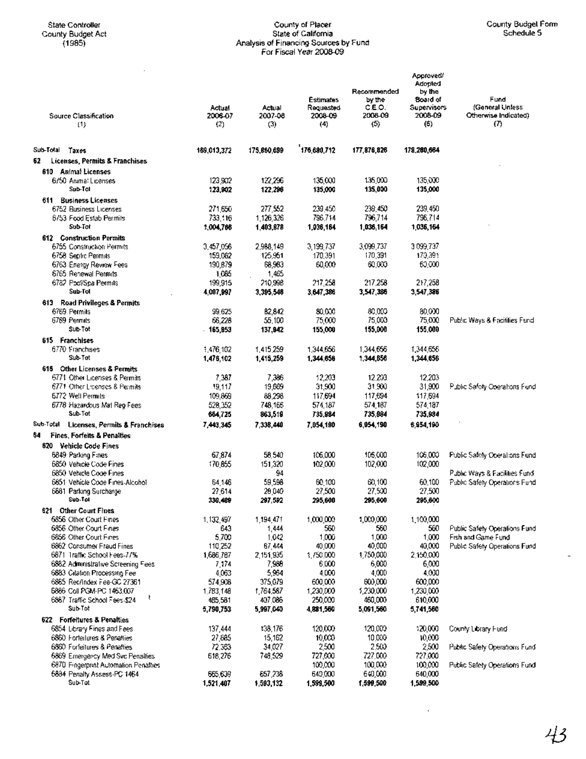$\bar{z}$ 

## **State Controller County of Placer County Budget Form County Budget Act State of California** Schedule 5 **(1985) Analysis of Financing Sources by Fund** ForF~caIYear~9

| <b>Source Classification</b>                        | Actual<br>2006-07    | Actual<br>2007-08    | <b>Estimates</b><br>Requested<br>2008-09 | Recommended<br>by the<br>C.E.O.<br>2008-09 | Approved<br>Adopted<br>by the<br>Board of<br>Supervisors<br>2008-09 | Fund<br>(General Unless<br>Otherwise Indicated)     |
|-----------------------------------------------------|----------------------|----------------------|------------------------------------------|--------------------------------------------|---------------------------------------------------------------------|-----------------------------------------------------|
| (1)                                                 | (2)                  | (3)                  | (4)                                      | (5)                                        | (6)                                                                 | $\sigma$                                            |
| Sub-Total<br>Taxes                                  | 169,013,372          | 175,860,699          | 176,680,712                              | 177,876,826                                | 178,280,664                                                         |                                                     |
| Licenses, Permits & Franchises<br>62                |                      |                      |                                          |                                            |                                                                     |                                                     |
| <b>Animal Licenses</b><br>610                       |                      |                      |                                          |                                            |                                                                     |                                                     |
| 6/50 Anima: Licenses                                | 123,902              | 122,296              | 135,000                                  | 135,000                                    | 135,000                                                             |                                                     |
| Sub-Tal                                             | 123,902              | 122.296              | 135,000                                  | 135,000                                    | 135,000                                                             |                                                     |
| 611 Business Licenses                               |                      |                      |                                          |                                            |                                                                     |                                                     |
| 6752 Business Licenses                              | 271,650              | 277,552              | 239,450                                  | 239,450                                    | 239,450                                                             |                                                     |
| 6753 Food Estab Permils                             | 733,116              | 1,126,326            | 796,714                                  | 796,714                                    | 796,714                                                             |                                                     |
| Sub-Tot                                             | 1,004,768            | 1,403,878            | 1,036,164                                | 1,036,164                                  | 1,036,164                                                           |                                                     |
| 612 Construction Permits                            |                      |                      |                                          |                                            |                                                                     |                                                     |
| 6755 Construction Permits<br>6758 Septic Permits    | 3,457,056<br>159,062 | 2,988,149<br>125,951 | 3,199,737<br>170,391                     | 3,099,737<br>170,391                       | 3099.737<br>170,391                                                 |                                                     |
| 6763 Energy Review Fees                             | 190,879              | 68,983               | 60,000                                   | 60.000                                     | 60,000                                                              |                                                     |
| 6765 Renewal Permits                                | 1,085                | 1,465                |                                          |                                            |                                                                     |                                                     |
| 6782 Pool/Spa Permits                               | 199,915              | 210,998              | 217,258                                  | 217,258                                    | 217,258                                                             |                                                     |
| Sub-Tol                                             | 4,007,997            | 3,395,546            | 3,647,386                                | 3,547,386                                  | 3,547,386                                                           |                                                     |
| 613 Road Privileges & Permits                       |                      |                      |                                          |                                            |                                                                     |                                                     |
| 6769 Permils                                        | 99.625               | B2,842               | 80.000                                   | 80,003                                     | 80.000                                                              |                                                     |
| 6769 Permits<br>Sub-Tot                             | 66.228               | 55.100               | 75,000                                   | 75,000                                     | 75,000                                                              | Public Ways & Facilities Fund                       |
|                                                     | 165,853              | 137,942              | 155,000                                  | 155,000                                    | 155,000                                                             |                                                     |
| 615 Franchises<br>6770 Franchises                   | 1,476,102            | 1.415.259            | 1.344,656                                | 1,344,656                                  | 1,344,656                                                           |                                                     |
| Sub-Tot                                             | 1,476,102            | 1,415,259            | 1,344,656                                | 1,344,856                                  | 1,344,656                                                           |                                                     |
| 616 Other Licenses & Permits                        |                      |                      |                                          |                                            |                                                                     |                                                     |
| 6771 Other Licenses & Permits                       | 7,387                | 7,386                | 12,203                                   | 12,203                                     | 12,203                                                              |                                                     |
| 6771 Other Licenses & Permits                       | 19,117               | 19,669               | 31,900                                   | 31,900                                     | 31,900                                                              | Public Safety Operations Fund                       |
| 6772 Well Permits                                   | 109,869              | 88,298               | 117,694                                  | 117,694                                    | 117,694                                                             |                                                     |
| 6778 Hazardous Mat Reg Fees                         | 528,352              | 748,166              | 574,187                                  | 574,187                                    | 574,187                                                             |                                                     |
| Sub-Tot                                             | 684,725              | 863,519              | 735,984                                  | 735.884                                    | 735,934                                                             |                                                     |
| Sub-Total Licenses, Permits & Franchises            | 7,443,345            | 7,338,440            | 7,054,190                                | 6,954,190                                  | 6,954,190                                                           |                                                     |
| 64<br>Fines, Forfelts & Penalties                   |                      |                      |                                          |                                            |                                                                     |                                                     |
| <b>820 - Vehicle Code Fines</b>                     |                      |                      |                                          |                                            |                                                                     |                                                     |
| 6849 Parking Fines<br>6850 Vehicle Code Fines       | 67,874<br>170,855    | 58,540<br>151,320    | 106,000<br>102,000                       | 105,000<br>102,000                         | 106,000<br>102,000                                                  | Public Safety Operations Fund                       |
| 6850 Vehicle Code Fines                             |                      | 94                   |                                          |                                            |                                                                     | Public Ways & Facilities Fund                       |
| 6851 Vehicle Code Fines-Alcohol                     | 64,146               | 59,598               | 60,100                                   | 60.100                                     | 60.100                                                              | Public Safety Operations Fund                       |
| 6681 Parking Surcharge                              | 27,614               | 20,040               | 27,500                                   | 27,500                                     | 27.500                                                              |                                                     |
| Sub-Tol                                             | 330,489              | 297,592              | 295,600                                  | 295,600                                    | 295,600                                                             |                                                     |
| 621 Other Court Fines                               |                      |                      |                                          |                                            |                                                                     |                                                     |
| 6856 Other Court Fines                              | 1,132,497            | 1,194,471            | 1,000,000                                | 1,000,000                                  | 1,100,000                                                           |                                                     |
| 6856 Other Court Fines                              | 643                  | 1,444                | 560                                      | 560                                        | 560                                                                 | Public Safety Operations Fund                       |
| 6856 Other Court Fines<br>6862 Consumer Fraud Fines | 5,700<br>110,252     | 1,042<br>87,444      | 1,000<br>40,000                          | 1,000<br>40,000                            | 1,000<br>40,000                                                     | Fish and Game Fund<br>Public Safety Operations Fund |
| 6871 Traffic School Fees-77%                        | 1,686,787            | 2,151,935            | 1,750,000                                | 1,750,000                                  | 2.150,000                                                           |                                                     |
| 6882 Administrative Screening Fees                  | 7,174                | 7,998                | 6,000                                    | 6,000                                      | 6,000                                                               |                                                     |
| 6883 Citation Processing Fee                        | 4,063                | 5,964                | 4,000                                    | 4,000                                      | 4,000                                                               |                                                     |
| 6865 Rec/Index Fee-GC 27361                         | 574,908              | 375,679              | 600,000                                  | 600,000                                    | 600,000                                                             |                                                     |
| 6886 Coll PGM-PC 1463.007<br>t,                     | 1,783,148            | 1,764,587            | 1,230,000                                | 1,230,000                                  | 1,230,000                                                           |                                                     |
| 6867 Traffic School Fees-\$24<br>Sub-Tot            | 485,581<br>5,790,753 | 407,086<br>5,997,040 | 250,000<br>4,881,560                     | 460,000<br>5,091,560                       | 610,000<br>5,741,560                                                |                                                     |
| 622 Forfeltures & Penalties                         |                      |                      |                                          |                                            |                                                                     |                                                     |
| 6854 Library Fines and Fees                         | 137,444              | 138,176              | 120,000                                  | 120,000                                    | 120,000                                                             | County Library Fund                                 |
| 6860 Forteilures & Penallies                        | 27,685               | 15,162               | 10,000                                   | 10,000                                     | 10,000                                                              |                                                     |
| 6860 Forfeitures & Penalties                        | 72.353               | 34,027               | 2,500                                    | 2,500                                      | 2,500                                                               | Public Safety Operations Fund                       |
| 6869 Emergency Med Svc Penalties                    | 618,276              | 748,529              | 727,000                                  | 727.000                                    | 727,000                                                             |                                                     |
| 6870 Fingerprint Automation Penalties               |                      |                      | 100,000                                  | 100,000                                    | 100,000                                                             | Public Safety Operations Fund                       |
| 5884 Penalty Assess-PC 1464                         | 665,639              | 657,238              | 649,000                                  | 640,000                                    | 640,000                                                             |                                                     |
| Sub-Tot                                             | 1,521,407            | 1,593,132            | 1,599,500                                | 1,599,500                                  | 1,599,500                                                           |                                                     |

 $\hat{\boldsymbol{\epsilon}}$ 

 $\overline{\phantom{a}}$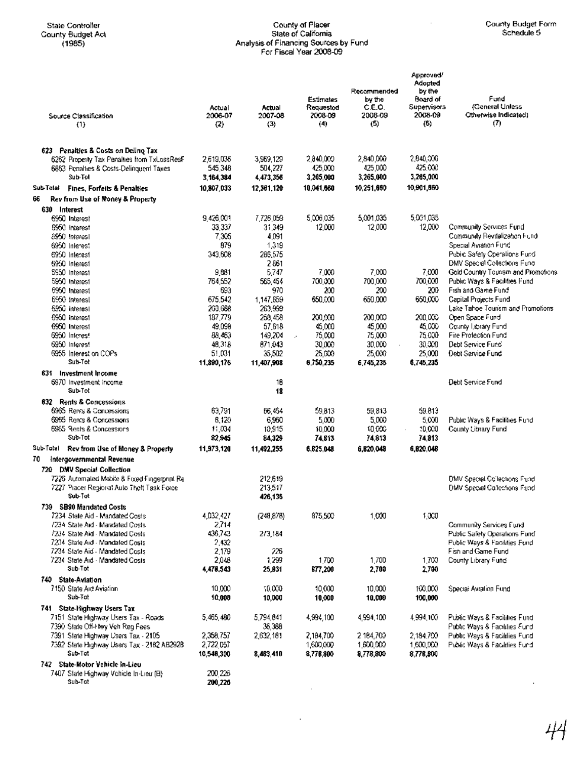#### State Controller County of Placer County of Placer County County County County County County County County County County County County County County County County County County County County County County County County Cou County Budget Act State of California Schedule 5 (1985) Analysis of Financing Sources by Fund For Fiscal Year 2008-09

| Source Classification                                                                  | Actual<br>2006-07      | Actual<br>2007-08    | <b>Estimates</b><br>Requestod<br>2008-09 | Recommended<br>by the<br>C.E.O.<br>2008-09 | Approved/<br>Adopted<br>by the<br>Board of<br>Supervisors<br>2008-09 | Fund<br><i>(General Unless</i><br>Otherwise Indicated)         |
|----------------------------------------------------------------------------------------|------------------------|----------------------|------------------------------------------|--------------------------------------------|----------------------------------------------------------------------|----------------------------------------------------------------|
| (1)                                                                                    | (2)                    | (3)                  | (4)                                      | (5)                                        | (5)                                                                  | $\sigma$                                                       |
|                                                                                        |                        |                      |                                          |                                            |                                                                      |                                                                |
| 623 Penalties & Costs on Deline Tax                                                    |                        |                      |                                          |                                            |                                                                      |                                                                |
| 6262 Property Tax Penalties from TxLossResF<br>6863 Penalties & Costs-Delinquent Taxes | 2,619,036<br>545,348   | 3,969,129<br>504,227 | 2,840,000<br>425,000                     | 2,840,000<br>425,000                       | 2,840,000<br>425,000                                                 |                                                                |
| Sub Tol                                                                                | 3,164,384              | 4,473,356            | 3,265,000                                | 3,265,000                                  | 3,265,000                                                            |                                                                |
| Sub-Tolal<br><b>Fines. Forfeits &amp; Penalties</b>                                    | 10,807,033             | 12,361,120           | 10,041,560                               | 10,251,660                                 | 10,901,860                                                           |                                                                |
| Rev from Use of Money & Property<br>65                                                 |                        |                      |                                          |                                            |                                                                      |                                                                |
| 630 Interest                                                                           |                        |                      |                                          |                                            |                                                                      |                                                                |
| 6950 Interest                                                                          | 9,426,001              | 7,726,059            | 5,006,035                                | 5,001,035                                  | 5.001.035                                                            |                                                                |
| 5950 Interest                                                                          | 33,337                 | 31,349               | 12,000                                   | 12,000                                     | 12,000                                                               | Community Services Fund                                        |
| 8950 Interest                                                                          | 7,305                  | 4,091                |                                          |                                            |                                                                      | Community Revitalization Fund                                  |
| 6950 Interest                                                                          | 879<br>343,608         | 1,319                |                                          |                                            |                                                                      | Special Aviation Fund<br>Public Safety Operations Fund         |
| 6950 Interest<br>6950 Interest                                                         |                        | 286,575<br>2861      |                                          |                                            |                                                                      | DMV Special Collections Fund                                   |
| 5950 Interest                                                                          | 9,881                  | 5,747                | 7,000                                    | 7,000                                      | 7,000                                                                | Gold Country Tourism and Promotions                            |
| 5950 Interest                                                                          | 764,552                | 565.454              | 700,000                                  | 700,000                                    | 700,000                                                              | Public Ways & Facilities Fund                                  |
| 5950 Interest                                                                          | 693                    | 970                  | 200                                      | 200                                        | 200                                                                  | Fish and Game Fund                                             |
| 6950 Interest                                                                          | 675,542                | 1,147,659            | 650,000                                  | 650,000                                    | 650,000                                                              | Capital Projects Fund                                          |
| 5950 Interest                                                                          | 203,688<br>187.779     | 263,999              |                                          | 200,000                                    | 200,000                                                              | Lake Tahoe Tourism and Promotions<br>Open Space Fund           |
| 5950 Interest<br>6950 Interest                                                         | 49.098                 | 256,458<br>57,618    | 200,000<br>45,000                        | 45,000                                     | 45,000                                                               | County Library Fund                                            |
| 6950 Interes!                                                                          | 88,463                 | 149,204              | 75,000<br>÷.                             | 75,000                                     | 75.000                                                               | Fire Protection Fund                                           |
| 6950 Interest                                                                          | 48,318                 | 871,043              | 30,000                                   | 30,000                                     | 30,300                                                               | Debt Service Fund                                              |
| 6955 Interestion COPs                                                                  | 51,031                 | 35,502               | 25,000                                   | 25,000                                     | 25,000                                                               | Debt Service Fund                                              |
| Sub-Tot                                                                                | 11,890,175             | 11,407,908           | 6,750,235                                | 6,745,235                                  | 6,745,235                                                            |                                                                |
| 631 Investment Income                                                                  |                        |                      |                                          |                                            |                                                                      |                                                                |
| 6970 Investment income<br>Sub-Tot                                                      |                        | 16<br>18             |                                          |                                            |                                                                      | Debt Service Fund                                              |
| 632 Rents & Concessions                                                                |                        |                      |                                          |                                            |                                                                      |                                                                |
| 6965 Rents & Concessions                                                               | 63,791                 | 66.454               | 59.813                                   | 59,813                                     | 59.813                                                               |                                                                |
| 6965 Rents & Concessions                                                               | 6,120                  | 6,960                | 5,000                                    | 5,000                                      | 5,000                                                                | Public Ways & Facilities Fund                                  |
| 6965 Rents & Concessions                                                               | 11,034                 | 10,915               | 10,000                                   | 10.000                                     | 10,000                                                               | County Cibrary Fund                                            |
| Sub Tot                                                                                | 82,945                 | 84,329               | 74,813                                   | 74,813                                     | 74,813                                                               |                                                                |
| Sub-Total<br>Rev from Use of Money & Property                                          | 11,973,120             | 11,492,255           | 6,825,048                                | 6,820,048                                  | 6,820,048                                                            |                                                                |
| 70<br>Intergovernmental Revenue                                                        |                        |                      |                                          |                                            |                                                                      |                                                                |
| 720 DMV Special Collection                                                             |                        |                      |                                          |                                            |                                                                      |                                                                |
| 7226 Automated Mobile & Fixed Fingerprint Re-                                          |                        | 212.619              |                                          |                                            |                                                                      | DMV Special Collections Fund                                   |
| 7227 Piacer Regional Auto Theft Task Force<br>Sub-Tot                                  |                        | 213,517<br>426,136   |                                          |                                            |                                                                      | DMV Special Collections Fund                                   |
| 739 SB90 Mandated Costs                                                                |                        |                      |                                          |                                            |                                                                      |                                                                |
| 7234 State Aid - Mandated Costs                                                        | 4,032,427              | (248.878)            | 875,500                                  | 1,000                                      | 1,000                                                                |                                                                |
| 7234 State Ard - Mandated Costs                                                        | 2,714                  |                      |                                          |                                            |                                                                      | Community Services Fund                                        |
| /234 State Aid - Mandated Costs                                                        | 436,743                | 2/3,184              |                                          |                                            |                                                                      | Public Safety Operations Fund                                  |
| 7234 State Aid - Mandated Costs                                                        | 2,432                  |                      |                                          |                                            |                                                                      | Public Ways & Facilities Fund                                  |
| 7234 State Aid - Mandated Costs<br>7234 State Aid - Mandated Costs                     | 2,179<br>2,046         | 226<br>1,299         | 1,700                                    | 1,700                                      | 1,700                                                                | Fish and Game Fund<br>County Library Fund                      |
| Sub-Tot                                                                                | 4,478,543              | 25,831               | 877,200                                  | 2,700                                      | 2,700                                                                |                                                                |
| 740 State-Aviation                                                                     |                        |                      |                                          |                                            |                                                                      |                                                                |
| 7150. State Aid Aviation.                                                              | 10,000                 | 10,000               | 10,000                                   | 10,000                                     | 100,000                                                              | Special Aviation Fund                                          |
| Sub-Tot                                                                                | 10,000                 | 10,000               | 10,000                                   | 10,000                                     | 100,000                                                              |                                                                |
| 741 State-Highway Users Tax                                                            |                        |                      |                                          |                                            |                                                                      |                                                                |
| 7151 State Highway Users Tax - Roads                                                   | 5,465,486              | 5,794,841            | 4,994,100                                | 4,994,100                                  | 4,994,100                                                            | Public Ways & Facilities Fund                                  |
| 7390 State Off-Hwy Veh Reg Fees                                                        |                        | 36,388               |                                          |                                            |                                                                      | Public Ways & Facilities Fund                                  |
| 7391 State Highway Users Tax - 2105<br>7592 State Highway Users Tax - 2182 AB2928      | 2,358,757<br>2,722,057 | 2,632,181            | 2,184,700<br>1,600,000                   | 2 184,700<br>1,600,000                     | 2,184,700<br>1,600,000                                               | Public Ways & Facilities Fund<br>Public Ways & Facilities Fund |
| Sub-Tot                                                                                | 10,548,300             | 8,463,410            | 8,778,800                                | 8,778,800                                  | 8,778,800                                                            |                                                                |
| 742 State-Motor Vehicle In-Lieu                                                        |                        |                      |                                          |                                            |                                                                      |                                                                |
| 7407 State Highway Vchicle In-Lieu (B)                                                 | 200 226                |                      |                                          |                                            |                                                                      |                                                                |
| Sub-Tot                                                                                | 200,226                |                      |                                          |                                            |                                                                      |                                                                |
|                                                                                        |                        |                      |                                          |                                            |                                                                      |                                                                |

 $\sim 10^{-11}$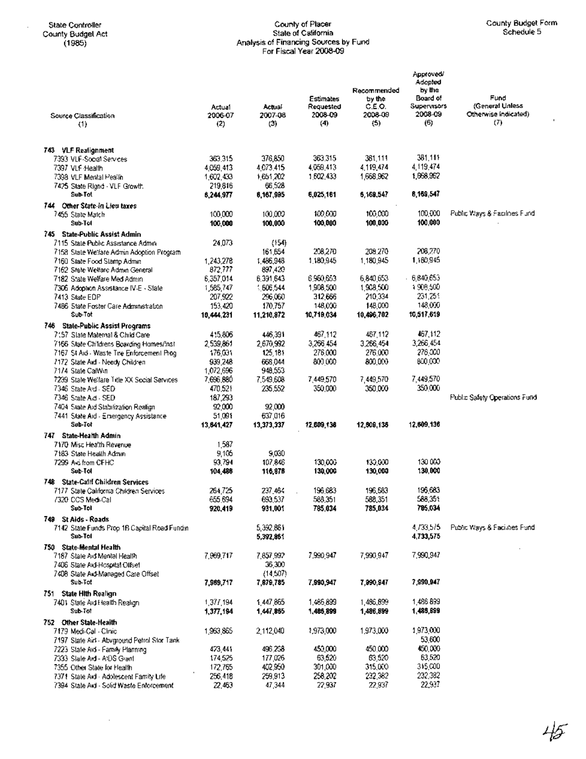$\sim$ 

#### State Controller County of Placer County Budget Form County Budget Act State of California Schedule 5 (1985) Analysis of Financing Sources by Fund For Fiscal Year 2008-09

Ŷ.

| Source Classification                                                               | Actual<br>2006-07      | Actual<br>2007-08    | <b>Estimates</b><br>Requested<br>2008-09 | Recommended<br>by the<br>C.E.O.<br>2008-09 | Approved<br>Adopted<br>by the<br>Board of<br><b>Supervisors</b><br>2008-09 | Fund<br>(General Unless<br>Otherwise Indicated) |
|-------------------------------------------------------------------------------------|------------------------|----------------------|------------------------------------------|--------------------------------------------|----------------------------------------------------------------------------|-------------------------------------------------|
| (1)                                                                                 | (2)                    | (3)                  | (4)                                      | (5)                                        | (6)                                                                        | (7)                                             |
|                                                                                     |                        |                      |                                          |                                            |                                                                            |                                                 |
| 743 VLF Realignment                                                                 |                        |                      |                                          |                                            |                                                                            |                                                 |
| 7393 VLF-Social Services                                                            | 363,315<br>4,059,413   | 376,850<br>4.073.415 | 363,315<br>4,059,413                     | 381,111<br>4.119.474                       | 381,111<br>4.119.474                                                       |                                                 |
| 7397 VLF Health<br>7398 VLF Mental Pealin                                           | 1,602,433              | 1,651,202            | 1602.433                                 | 1,668,962                                  | 1,668,962                                                                  |                                                 |
| 7425 State Right - VLF Growth                                                       | 219,816                | 66,528               |                                          |                                            |                                                                            |                                                 |
| Sub-Tol                                                                             | 6,244,977              | 6,167,995            | 6,025,161                                | 6,169,547                                  | 6,169,547                                                                  |                                                 |
| 744 Other State-in Lieu taxes                                                       |                        |                      |                                          |                                            |                                                                            |                                                 |
| 7455 State Match                                                                    | 100,000                | 100,000              | 100,000                                  | 100,000                                    | 100,000                                                                    | Public Ways & Facilities Fund                   |
| Sub-Tot                                                                             | 100,000                | 100,000              | 100,000                                  | 100,000                                    | 100,000                                                                    |                                                 |
| 745 State-Public Assist Admin<br>7115 State Public Assistance Admin                 | 24.073                 | ${154}$              |                                          |                                            |                                                                            |                                                 |
| 7158 State Welfare Admin Adoption Program                                           |                        | 161,654              | 208,270                                  | 208.270                                    | 208,270                                                                    |                                                 |
| 7160 State Food Stamp Admin                                                         | 1,243,278              | 1,486,948            | 1,180,945                                | 1.180.945                                  | 1,180,945                                                                  |                                                 |
| 7162 State Welfare Admin General                                                    | 872,777                | 897,420              |                                          |                                            |                                                                            |                                                 |
| 7182 State Welfare Med Admin                                                        | 6,357,014              | 6,391,643            | 6,960,653                                | 6,840,653                                  | - 6,840,653                                                                |                                                 |
| 7306 Adoption Assistance IV-E - State                                               | 1,585,747              | 606,544              | 1,908,500                                | 1,908,500                                  | 1908,500                                                                   |                                                 |
| 7413 State EDP<br>7486 State Foster Care Administration                             | 207,922<br>153,420     | 296,060<br>170,757   | 312,666<br>148,000                       | 210,334<br>148,000                         | 231,251<br>148,000                                                         |                                                 |
| Sub-Tot                                                                             | 10,444.231             | 11,210,872           | 10,719,034                               | 10,496,702                                 | 10,517,619                                                                 |                                                 |
| 746 State-Public Assist Programs                                                    |                        |                      |                                          |                                            |                                                                            |                                                 |
| 7157 State Maternal & Child Care                                                    | 415.806                | 446,391              | 467,112                                  | 467,112                                    | 467,112                                                                    |                                                 |
| 7166 State Childrens Boarding Homes/Inst                                            | 2,539,861              | 2,670,992            | 3,266,454                                | 3,266,454                                  | 3,266,454                                                                  |                                                 |
| 7167 St Aid - Waste Tire Enforcement Prog-                                          | 176,001                | 125,181              | 276,000                                  | 276 000                                    | 276,000                                                                    |                                                 |
| 7172 State Ard - Needy Children                                                     | 939,248                | 668.044              | 800,000                                  | 800,000                                    | 800,000                                                                    |                                                 |
| 7174 State CalWin<br>7239 State Welfare Title XX Social Services                    | 1,072,696<br>7,696,880 | 948,553<br>7,549,608 | 7,449,570                                | 7,449,570                                  | 7,449,570                                                                  |                                                 |
| 7346 State A d - SED                                                                | 470.521                | 235.552              | 350,000                                  | 350,000                                    | 350,000                                                                    |                                                 |
| 7346 State Aid - SED                                                                | 187,293                |                      |                                          |                                            |                                                                            | Public Safety Operations Fund                   |
| 7404 State Aid Stabilization Realign                                                | 92,000                 | 92,000               |                                          |                                            |                                                                            |                                                 |
| 7441 State Aid - Emergency Assistance                                               | 51.091                 | 637,016              |                                          |                                            |                                                                            |                                                 |
| Sub-Tot                                                                             | 13,641,427             | 13,373,337           | 12,609,136                               | 12,609,136                                 | 12,609,136                                                                 |                                                 |
| 747 State-Health Admin                                                              |                        |                      |                                          |                                            |                                                                            |                                                 |
| 7170 Misc Health Revenue<br>7183 State Health Admin                                 | 1,587<br>9,105         | 9,030                |                                          |                                            |                                                                            |                                                 |
| 7299 Aki from CFHC                                                                  | 93,794                 | 107.846              | 130,000                                  | 130,000                                    | 130000                                                                     |                                                 |
| Sub-Tol                                                                             | 104,486                | 116,976              | 130,000                                  | 130,000                                    | 130,000                                                                    |                                                 |
| 748 State-Calif Children Services                                                   |                        |                      |                                          |                                            |                                                                            |                                                 |
| 7177 State California Children Services                                             | 264,725                | 237.464              | 196.683                                  | 196,583                                    | 196.683                                                                    |                                                 |
| 7320 CCS Med-Call                                                                   | 655,694                | 693,537              | 588,351                                  | 588,351                                    | 588,351                                                                    |                                                 |
| Sub-Tol                                                                             | 920,419                | 931,001              | 785,034                                  | 785,034                                    | 785,034                                                                    |                                                 |
| 749 St Alds - Roads<br>7142 State Funds Prop 1B Capital Road Fundin                 |                        | 5,392,861            |                                          |                                            | 4,733,575                                                                  | Public Ways & Facilities Fund                   |
| Sub-Tol                                                                             |                        | 5,392,861            |                                          |                                            | 4,733,575                                                                  |                                                 |
| 750 State-Mental Health                                                             |                        |                      |                                          |                                            |                                                                            |                                                 |
| 7187 State Aid Mental Health                                                        | 7,969,717              | 7,857,992            | 7,990,947                                | 7,990,947                                  | 7,990,947                                                                  |                                                 |
| 7406 State Aid-Hospital Offset                                                      |                        | 36,300               |                                          |                                            |                                                                            |                                                 |
| 7408 State Ard-Managed Care Offset                                                  |                        | (14,507)             |                                          |                                            |                                                                            |                                                 |
| Sub-Tot                                                                             | 7,969,717              | 7,879,785            | 7,990,947                                | 7,990,947                                  | 7,990,947                                                                  |                                                 |
| 751 State Hith Realign                                                              |                        | 1,447,865            | 1,465,899                                | 1,486,899                                  | 1,486 899                                                                  |                                                 |
| 7401 State Aid Health Realign<br>Sub-Tot                                            | 1,377,194<br>1,377,194 | 1,447,865            | 1,486,899                                | 1,486,899                                  | 1,486,899                                                                  |                                                 |
| 752 Other State-Health                                                              |                        |                      |                                          |                                            |                                                                            |                                                 |
| 7179 Medi-Cal - Clinic                                                              | 1,963,865              | 2,112,040            | 1,973,000                                | 1,973,000                                  | 1,973,000                                                                  |                                                 |
| 7197 State Aid - Abviground Petrol Stor Tank                                        |                        |                      |                                          |                                            | 53,600                                                                     |                                                 |
| 7223 State Aid - Farnily Planning                                                   | 473,441                | 496,238              | 450,000                                  | 450,000                                    | 450,000                                                                    |                                                 |
| 7333 Slale Ard - A/DS Grant                                                         | 174,525                | 177,026              | 63,520                                   | 63,520                                     | 63,520                                                                     |                                                 |
| 7355 Other State for Flealth                                                        | 172,765<br>256,418     | 402,950<br>259,913   | 301,000<br>258,202                       | 315,000<br>232,382                         | 315,000<br>232,382                                                         |                                                 |
| 7371 State Aid - Adolescent Family Life<br>7394 State Aid - Solid Waste Enforcement | 22,463                 | 47,344               | 22,937                                   | 22,937                                     | 22,937                                                                     |                                                 |
|                                                                                     |                        |                      |                                          |                                            |                                                                            |                                                 |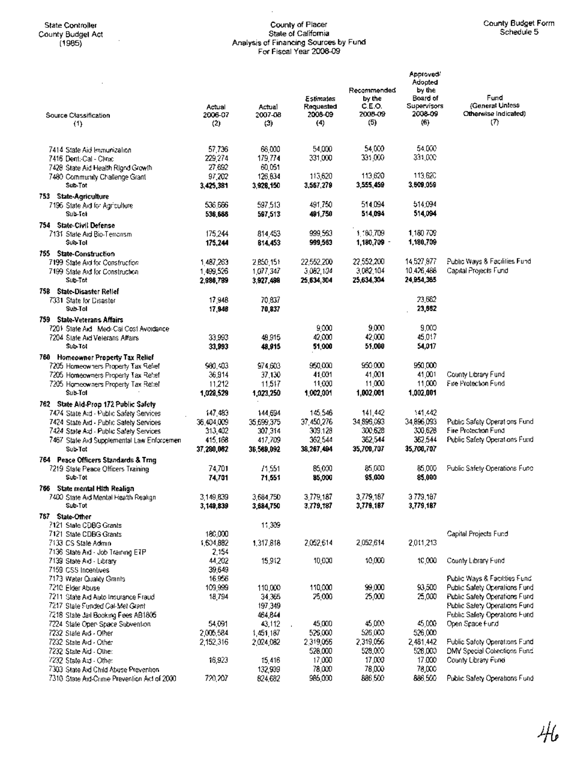## State Controller County of Placer County Budget Form County Budget Act State·of California Schedule 5 (1985) Analysis of Financing Sources by Fund For Fiscal Year 2008-09

| Source Classification<br>(1)                                                    | Actual<br>2006-07<br>(2) | Actual<br>2007-08<br>(3) | Estimates<br>Requested<br>2008-09<br>(4) | Recommended<br>by the<br>C.E.O.<br>2008-09<br>(5) | Approved'<br>Adopted<br>by the<br>Board of<br>Supervisors<br>2008-09<br>(6) | Fund<br>(General Uniess<br>Otherwise Indicated)<br>(7)         |
|---------------------------------------------------------------------------------|--------------------------|--------------------------|------------------------------------------|---------------------------------------------------|-----------------------------------------------------------------------------|----------------------------------------------------------------|
|                                                                                 |                          |                          |                                          |                                                   |                                                                             |                                                                |
| 7414 State Aid Immunization                                                     | 57,736                   | 66,000                   | 54,000                                   | 54,000                                            | 54.000                                                                      |                                                                |
| 7416 Dent:-Cal - Clinic                                                         | 229,274                  | 179,774                  | 331,000                                  | 331,000                                           | 331.OOC                                                                     |                                                                |
| 7428 State Aid Health Rignd Growth                                              | 27.692                   | 60,051                   |                                          |                                                   |                                                                             |                                                                |
| 7480 Community Challenge Grant<br>Sub-Tot                                       | 97,202                   | 126,634                  | 113,620                                  | 113,620<br>3,555,459                              | 113,620<br>3.809.059                                                        |                                                                |
|                                                                                 | 3,425,381                | 3,928,150                | 3,567,279                                |                                                   |                                                                             |                                                                |
| 753 State-Agriculture<br>7196 State Aid for Agriculture                         | 536,666                  | 597,513                  | 491,750                                  | 514094                                            | 514,094                                                                     |                                                                |
| Sub-Tot                                                                         | 536,666                  | 597,513                  | 491,750                                  | 514,094                                           | 514,094                                                                     |                                                                |
| 754 State-Civil Defense                                                         |                          |                          |                                          |                                                   |                                                                             |                                                                |
| 7131 State Aid Bio-Terrorism                                                    | 175,244                  | 814,453                  | 999,553                                  | 1,100,709                                         | 1,180,709                                                                   |                                                                |
| Sub-Tol                                                                         | 175,244                  | 814,453                  | 999,563                                  | 1,180,709 -                                       | 1,180,709                                                                   |                                                                |
| 755 State-Construction<br>7199 State Aid for Construction                       | 1487,263                 | 2,850,151                | 22,552,200                               | 22,552,200                                        | 14 527 877                                                                  | Public Ways & Facilities Fund                                  |
| 7199 State Aid for Construction                                                 | 1,499,526                | 1,077,347                | 3,082,104                                | 3,082,104                                         | 10,426,486                                                                  | Capital Projects Fund                                          |
| Sub-Tot                                                                         | 2,986,789                | 3,927,498                | 25,634,304                               | 25,634,304                                        | 24.954,365                                                                  |                                                                |
| 758 State-Disaster Relief                                                       |                          |                          |                                          |                                                   |                                                                             |                                                                |
| 7331 State for Disaster                                                         | 17,948                   | 70,837                   |                                          |                                                   | 23.562                                                                      |                                                                |
| Sub-Tol                                                                         | 17,948                   | 70,837                   |                                          |                                                   | 23,662                                                                      |                                                                |
| 759 State-Veterans Affairs                                                      |                          |                          | 9.000                                    | 9.000                                             | 9,000                                                                       |                                                                |
| 7201 State Aid Medi-Cai Cost Avoidance<br>7204 State Ard Veterans Affairs       | 33,993                   | 48,915                   | 42,000                                   | 42,000                                            | 45,017                                                                      |                                                                |
| Sub-Tol                                                                         | 33,993                   | 49,915                   | 51,000                                   | 55,000                                            | 54,017                                                                      |                                                                |
| 760 Homeowner Property Tax Relief                                               |                          |                          |                                          |                                                   |                                                                             |                                                                |
| 7205 Homeowners Property Tax Relief                                             | 980.403                  | 974,603                  | 950.000                                  | 950,000                                           | 950.000                                                                     |                                                                |
| 7205 Homeowners Property Tax Reflef                                             | 36,914                   | 37,130                   | 41,001                                   | 41,001                                            | 41,001                                                                      | County Library Fund                                            |
| 7205 Homeowners Property Tax Rettel<br>Sub-Tol                                  | 11,212<br>1,028,529      | 11.517                   | 11,000<br>1,002,001                      | 11,000<br>1,002,001                               | 11,000<br>1,002,001                                                         | Fire Protection Fund                                           |
|                                                                                 |                          | 1,023,250                |                                          |                                                   |                                                                             |                                                                |
| 762 State Ald-Prop 172 Public Safety<br>7474 State Aid - Public Safety Services | 147,483                  | 144,694                  | 145,546                                  | 141,442                                           | 141.42                                                                      |                                                                |
| 7424 State Aid - Public Salety Services                                         | 36,404,009               | 35,699,375               | 37,450,276                               | 34,896,093                                        | 34,896,093                                                                  | Public Safety Operations Fund                                  |
| 7424 State Aid - Public Safety Services                                         | 313,402                  | 307 314                  | 309.128                                  | 300,628                                           | 300,628                                                                     | Fire Protection Fund                                           |
| 7467 State Aid Supplemental Law Enfeccement                                     | 415,168                  | 417,709                  | 362,544                                  | 362,544                                           | 362,544                                                                     | Public Safety Operations Fund                                  |
| Sub-Tot                                                                         | 37, 280, 062             | 36.569.092               | 38,267,494                               | 35,700,707                                        | 35,700,707                                                                  |                                                                |
| 764 Peace Officers Standards & Trng                                             | 74,701                   | 71,551                   | 85,000                                   | 85,000                                            | 85,000                                                                      | Public Safety Operations Func-                                 |
| 7219 State Peace Officers Training<br>Sub-Tot                                   | 74,701                   | 71,551                   | 85,000                                   | 85,000                                            | 85,000                                                                      |                                                                |
| 766 State mental Hith Realign                                                   |                          |                          |                                          |                                                   |                                                                             |                                                                |
| 7400 State Aid Mental Health Realign                                            | 3,149,839                | 3,684,750                | 3,779,187                                | 3,779,187                                         | 3 779.187                                                                   |                                                                |
| Sub-Tot                                                                         | 3,149,839                | 3,684,750                | 3,779,187                                | 3,779,187                                         | 3,779,187                                                                   |                                                                |
| 767 State-Other                                                                 |                          |                          |                                          |                                                   |                                                                             |                                                                |
| 7121 State CDBG Grants<br>7121 State CDBG Grants                                | 180,000                  | 11,309                   |                                          |                                                   |                                                                             | Capital Projects Fund                                          |
| 7133 CS State Admin                                                             | 1,604,882                | 1,317,818                | 2,052,614                                | 2,052,614                                         | 2,011,213                                                                   |                                                                |
| 7136 State Aid - Job Training ETP                                               | 2,154                    |                          |                                          |                                                   |                                                                             |                                                                |
| 7139 State Aid - Library                                                        | 44,202                   | 15,912                   | 10,000                                   | 10,000                                            | 10,000                                                                      | County Library Fund                                            |
| 7159 CSS Incentives                                                             | 39,649                   |                          |                                          |                                                   |                                                                             |                                                                |
| 7173 Water Quality Grants<br>7210 Elder Abuse                                   | 16,956<br>109,999        | 110,000                  | 110,000                                  | 99,000                                            | 93,500                                                                      | Public Ways & Facilities Fund<br>Public Safety Operations Fund |
| 7211 State Aid Auto Insurance Fraud                                             | 18,794                   | 34,365                   | 25,000                                   | 25,000                                            | 25,000                                                                      | Public Safety Operations Fund                                  |
| 7217 State Funded Cal-Met Grant                                                 |                          | 197,349                  |                                          |                                                   |                                                                             | Public Safety Operations Fund                                  |
| 7218 State Jail Booking Fees AB1805                                             |                          | 464,844                  |                                          |                                                   |                                                                             | Public Safety Operations Fund                                  |
| 7224 State Open Space Subvention.                                               | 54,091                   | 43,112                   | 45,000                                   | 45,000                                            | 45,000                                                                      | Open Space Fund                                                |
| 7232 State Aid - Other                                                          | 2,005,584                | 1.451.187                | 526,000                                  | 526,000<br>2,319,056                              | 526,000                                                                     |                                                                |
| 7232 State Aid - Other<br>7232 State Aid - Other                                | 2,152,316                | 2,024,082                | 2,319,056<br>528,000                     | 528,000                                           | 2,481,442<br>528,000                                                        | Public Safety Operations Fund<br>DMV Special Collections Fund  |
| 7232 State Aid - Other                                                          | 16,923                   | 15,416                   | 17,000                                   | 17,000                                            | 17.000                                                                      | County Library Fund                                            |
| 7303 State Aid Child Abuse Prevention                                           |                          | 132,939                  | 78.000                                   | 78,000                                            | 78,000                                                                      |                                                                |
| 7310 State Aid-Crime Prevention Act of 2000.                                    | 720,207                  | 824,682                  | 985,000                                  | 886,500                                           | 886,500                                                                     | Public Safety Operations Fund                                  |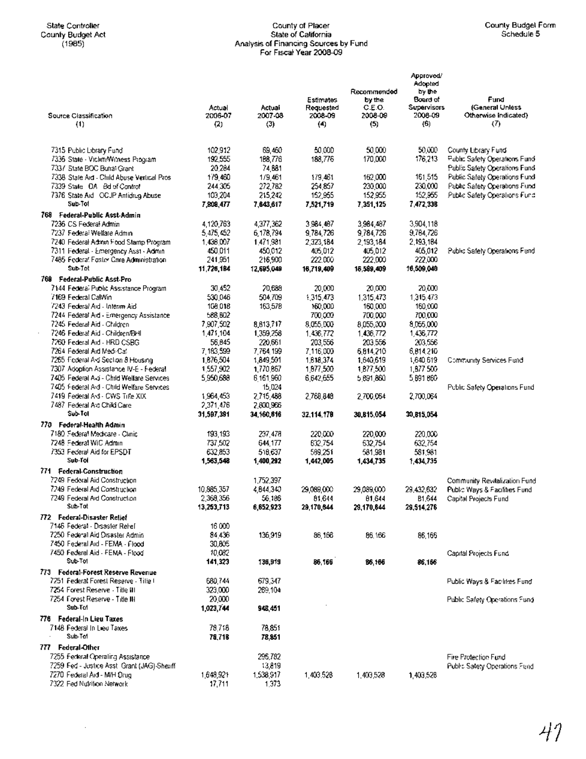$\sim$ 

## State Controller County of Placer County Budget Form County Budget Act State of California Schedule 5 (1985) Analysis of Financing Sources by Fund For Fiscal Year 2008-09

| Source Classification<br>(1)                                                      | Actual<br>2006-07<br>(2) | Actual<br>2007-08<br>(3) | Estimates<br>Requested<br>2008-09<br>(4) | Recommended<br>by the<br>C.E.O.<br>2008-09<br>(5) | Approved/<br>Adopted<br>by the<br>Board of<br><b>Supervisors</b><br>2008-09<br>(6) | Fund<br>(General Unless<br>Otherwise Indicated)<br>(7)         |
|-----------------------------------------------------------------------------------|--------------------------|--------------------------|------------------------------------------|---------------------------------------------------|------------------------------------------------------------------------------------|----------------------------------------------------------------|
|                                                                                   |                          |                          |                                          |                                                   |                                                                                    |                                                                |
| 7315 Public Library Fund<br>7336 State - Viclim/Witness Program                   | 102,912<br>192,555       | 69,460<br>188,776        | 50,000<br>183,776                        | 50,000<br>170,000                                 | 50.000.<br>176,213                                                                 | County Library Fund<br>Public Safety Operations Fund           |
| 7337 State BOC Burral Grant                                                       | 20,284                   | 74,881                   |                                          |                                                   |                                                                                    | Public Safety Operations Fund                                  |
| 7338 State Aid - Child Abuse Vertical Pros.                                       | 179,460                  | 1/9,461                  | 179,461                                  | 162,000                                           | 161,515                                                                            | Public Safety Operations Fund                                  |
| 7339 State DA Bd of Control                                                       | 244.305                  | 272,782                  | 254,857                                  | 230,000<br>152,955                                | 230,000<br>152,955                                                                 | Public Safety Operations Fund<br>Public Safety Operations Fund |
| 7376 State Aid OCJP Antidrug Abuse<br>Sub-Tol                                     | 103,204<br>7,808,477     | 215,242<br>7,643,617     | 152,955<br>7,521,719                     | 7,351,125                                         | 7,472,338                                                                          |                                                                |
| 768 Federal-Public Asst Admin                                                     |                          |                          |                                          |                                                   |                                                                                    |                                                                |
| 7236 CS Federal Admin                                                             | 4,120,763                | 4,377,362                | 3984,467                                 | 3,984,487                                         | 3,904,118                                                                          |                                                                |
| 7237 Federal Welfare Admin<br>7240 Federal Admin Food Stamp Program               | 5,475,452<br>1,436,007   | 6,178,794<br>1,471,981   | 9,784,726<br>2,323,184                   | 9,784,726<br>2,193,184                            | 9,764,726<br>2,193,184                                                             |                                                                |
| 7311 Federal - Emergency Asst - Admin                                             | 450,011                  | 450,012                  | 405,012                                  | 405,012                                           | 405,012                                                                            | Public Safely Operations Fund                                  |
| 7485 Federal Foster Care Administration                                           | 241,951                  | 216,900                  | 222.000                                  | 222.000                                           | 222,000                                                                            |                                                                |
| Sub-Tot                                                                           | 11,726,184               | 12,695,049               | 16,719,409                               | 15,589,409                                        | 16,509,040                                                                         |                                                                |
| 769 Federal-Public Asst-Pro<br>7144 Federal Public Assistance Program             | 30,452                   | 20,688                   | 20,000                                   | 20,000                                            | 20,030                                                                             |                                                                |
| 7169 Federal CalWin                                                               | 530,046                  | 504.709                  | 1,315,473                                | 1,315,473                                         | 1,315,473                                                                          |                                                                |
| 7243 Federal Aid - Interim Aid                                                    | 108,018                  | 163,578                  | 150,000                                  | 160,000                                           | 160,000                                                                            |                                                                |
| 7244 Federal Aid - Emergency Assistance<br>7245 Federal Aid - Children            | 588,802<br>7,907,502     | 8,813,717                | 700,000<br>8,055,000                     | 700,000<br>8,055,300                              | 700,000<br>8,055,000                                                               |                                                                |
| 7246 Federal Aid - Children/BHI                                                   | 1,471,104                | 1,359,258                | 1,436,772                                | 1,436,772                                         | 1,436,772                                                                          |                                                                |
| 7260 Federal Aid - HRD CSBG                                                       | 56.845                   | 220,661                  | 203.556                                  | 203,556                                           | 203,556                                                                            |                                                                |
| 7264 Federal Aid Medi-Cal<br>7265 Federal Avi Section 8 Housing                   | 7,183,599<br>1,876,504   | 7,764,199<br>1,849,501   | 7,116,000<br>1,818,374                   | 6,814,210<br>1,640,619                            | 6,814,210<br>1,540,519                                                             | Community Services Fund                                        |
| 7307 Adoption Assistance IV-E - Federal                                           | 1,557,902                | 1,770,867                | 1,877,500                                | 1,877,500                                         | 1,877 500                                                                          |                                                                |
| 7405 Federal A-3 - Child Welfare Services                                         | 5,950,688                | 6 161 960                | 6,642,655                                | 5 891,860                                         | 5,891,860                                                                          |                                                                |
| 7405 Federal Ard - Child Welfare Services                                         |                          | 15,024                   |                                          |                                                   |                                                                                    | Public Safety Operations Fund                                  |
| 7419 Federal Axt - CWS Tille XIX<br>7487 Federal Axi Child Care                   | 1,964,453<br>2,371,476   | 2,715,488<br>2,800,966   | 2,769,849                                | 2,700,064                                         | 2,700,064                                                                          |                                                                |
| Sub-Tol                                                                           | 31,597,391               | 34, 160, 616             | 32,114,178                               | 30,815,054                                        | 30,815,054                                                                         |                                                                |
| 770 Federal-Health Admin                                                          |                          |                          |                                          |                                                   |                                                                                    |                                                                |
| 7180 Federal Medicare - Clinic<br>7248 Federal WiC Admin                          | 193,193                  | 237,478                  | 220,000                                  | 220,000                                           | 220,000                                                                            |                                                                |
| 7353 Federal Aid for EPSDT                                                        | 737,502<br>632,853       | 644,177<br>518,637       | 632.754<br>589,251                       | 632,754<br>581.981                                | 632,754<br>581,981                                                                 |                                                                |
| Sub-Tol                                                                           | 1,563,548                | 1,400,292                | 1,442,005                                | 1,434,735                                         | 1.434,735                                                                          |                                                                |
| 771 Federal-Construction                                                          |                          |                          |                                          |                                                   |                                                                                    |                                                                |
| 7249 Federal Aid Construction<br>7249 Federal Aid Construction                    | 10,885,357               | 1,752,397<br>4,844,340   | 29,089,000                               | 29.089.000                                        | 29,432,632                                                                         | Community Revitalization Fund<br>Public Ways & Facilities Fund |
| 7249 Federal Aid Construction                                                     | 2,368,356                | 56,186                   | 81,644                                   | 81,644                                            | B1,644                                                                             | Capital Projects Fund                                          |
| Sub-Tot                                                                           | 13,253,713               | 6,652,923                | 29,170,644                               | 29,170,644                                        | 29,514,276                                                                         |                                                                |
| 772 Federal-Disaster Relief<br>7146 Federal - Disaster Rehef                      | 16 000                   |                          |                                          |                                                   |                                                                                    |                                                                |
| 7250 Federal Aid Oisaster Admin-                                                  | 84.436                   | 136,919                  | 86,166                                   | 86. IGS                                           | 86,166                                                                             |                                                                |
| 7450 Federal Aid - FEMA - Flood                                                   | 30,805                   |                          |                                          |                                                   |                                                                                    |                                                                |
| 7450 Federal Aid - FEMA - Flood<br>Sub-Tol                                        | 10,082<br>141,323        |                          | 86,166                                   |                                                   |                                                                                    | Capital Projects Fund                                          |
| 773 Federal-Forest Reserve Revenue                                                |                          | 136,919                  |                                          | 86,166                                            | 86,166                                                                             |                                                                |
| 7251 Federal Forest Reserve - Tille I                                             | 680,744                  | 679,347                  |                                          |                                                   |                                                                                    | Public Ways & Facilities Fund                                  |
| 7254 Forest Reserve - Title III                                                   | 323,000                  | 269,104                  |                                          |                                                   |                                                                                    |                                                                |
| 7254 Forest Reserve - Title III<br>Sub-Tol                                        | 20,000<br>1,023,744      | 948,451                  |                                          |                                                   |                                                                                    | Public Safety Operations Fund                                  |
| 776 Federal-In Lieu Taxes                                                         |                          |                          |                                          |                                                   |                                                                                    |                                                                |
| 7148 Federal in Lieu Taxes                                                        | 78,718                   | 78,851                   |                                          |                                                   |                                                                                    |                                                                |
| Sub-Tot                                                                           | 78,718                   | 78,851                   |                                          |                                                   |                                                                                    |                                                                |
| 777 Federal-Other                                                                 |                          | 296,782                  |                                          |                                                   |                                                                                    |                                                                |
| 7255 Federal Operating Assistance<br>7259 Fed - Justice Asst, Grant (JAG)-Sheriff |                          | 13,819                   |                                          |                                                   |                                                                                    | Fire Protection Fund<br>Public Satety Operations Fund          |
| 7270 Federal Ard - M/H Orug                                                       | 1,648,921                | 1,538,917                | 1,403,528                                | 1,403,528                                         | 1,403,528                                                                          |                                                                |
| 7322 Fed Nutrition Network                                                        | 17,711                   | 1,373                    |                                          |                                                   |                                                                                    |                                                                |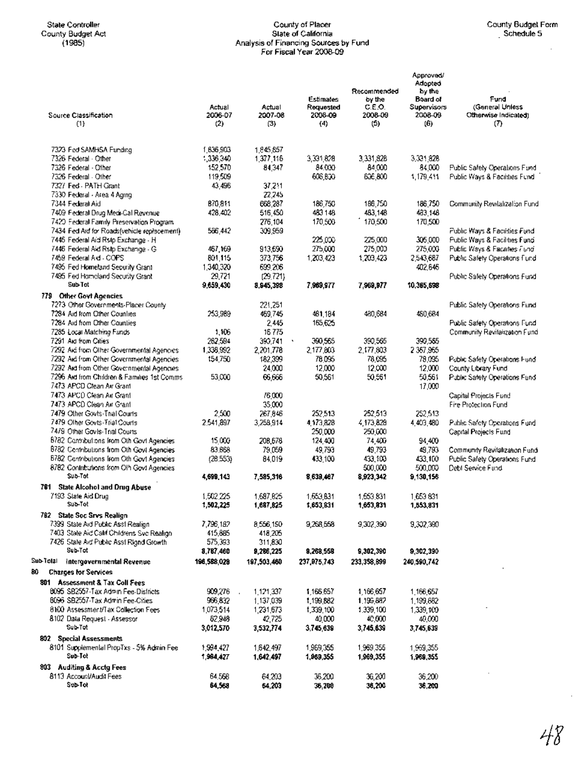## State Controller County of Placer County Budget Form County Budget Act State of California Schedule 5 (1985) Analysis of Financing Sources by Fund For Fiscal Year *2008-09*

 $\bar{z}$ 

| Source Classification<br>(1)                                   | Actual<br>2006-07<br>$^{(2)}$ | Actual<br>2007-08<br>(3) | Estimates<br>Requested<br>2008-09<br>(4) | Recommended<br>by the<br>C.E.O.<br>2008-09<br>(5) | Approved/<br>Adopted<br>by the<br>Board of<br>Supervisors<br>2008-09<br>(6) | Fund<br>(General Uniess<br>Otherwise Indicated)<br>(7) |
|----------------------------------------------------------------|-------------------------------|--------------------------|------------------------------------------|---------------------------------------------------|-----------------------------------------------------------------------------|--------------------------------------------------------|
| 7323 Fed SAMHSA Funding                                        | 1,836,903                     | 1,845,857                |                                          |                                                   |                                                                             |                                                        |
| 7326 Federal - Other                                           | 1,336,340                     | 1,377,116                | 3,331,828                                | 3,331,828                                         | 3,331,828                                                                   |                                                        |
| 7326 Federal - Other                                           | 152,570                       | 84,347                   | 84.000                                   | 84,000                                            | 84,000                                                                      | Public Safety Operations Fund                          |
| 7326 Federal - Other                                           | 119,509                       |                          | 606,800                                  | 636,800                                           | 1,179,411                                                                   | Public Ways & Facilities Fund                          |
| 7327 Fed - PATH Grant                                          | 43,496                        | 37,211                   |                                          |                                                   |                                                                             |                                                        |
| 7330 Federal - Area 4 Agriro                                   |                               | 22,245                   |                                          |                                                   |                                                                             |                                                        |
| 7344 Federal Aid                                               | 870 811                       | 668,287                  | 186,750                                  | 186,750                                           | 186.750                                                                     | Community Revitalization Fund                          |
| 7409 Federal Drug Medi-Cal Revenue                             | 428,402                       | 516,450                  | 483148                                   | 483,148                                           | 483,148                                                                     |                                                        |
| 7420 Federal Family Preservation Program                       |                               | 276,104                  | 170,500                                  | 170,500                                           | 170,500                                                                     |                                                        |
| 7434 Fed Ard for Roads(vehicle replacement)                    | 566,442                       | 309,959                  |                                          |                                                   |                                                                             | Public Ways & Facilities Fund                          |
| 7445 Federal Aid Rsip Exchange - H                             |                               |                          | 225,000                                  | 225,000                                           | 305,000                                                                     | Public Ways & Facilities Fund                          |
| 7446 Federal Aid Rsip Exchange - G                             | 467,169                       | 913,690                  | 275,000                                  | 275,000                                           | 275,000                                                                     | Public Ways & Facilities Fund                          |
| 7459 Federal Ard - COPS                                        | 801.115                       | 373,756                  | 1,203,423                                | 1,203,423                                         | 2,543,687                                                                   | Public Safety Operations Fund                          |
| 7495 Fed Homeland Security Grant                               | 1,340,320                     | 699,206                  |                                          |                                                   | 402,646                                                                     |                                                        |
| 7495 Fed Homeland Security Grant                               | 29,721                        | (29.721)                 |                                          |                                                   |                                                                             | Public Safety Operations Fund                          |
| Sub-Tot                                                        | 9,659,430                     | 8,945,398                | 7,969,977                                | 7,969,977                                         | 10,365,598                                                                  |                                                        |
| 779 Other Govt Agencies                                        |                               |                          |                                          |                                                   |                                                                             |                                                        |
| 7273 Other Governments-Placer County                           |                               | 221,251                  |                                          |                                                   |                                                                             | Public Safety Operations Fund                          |
| 7284 Aid from Other Counties                                   | 253,989                       | 469,745                  | 481,184                                  | 480,684                                           | 480,6B4                                                                     |                                                        |
| 7284 Aid from Other Counties                                   |                               | 2.445                    | 165,625                                  |                                                   |                                                                             | Public Safety Operations Fund                          |
| 7285 Local Matching Funds                                      | 1,106                         | 16775                    |                                          |                                                   |                                                                             | Community Revitalization Fund                          |
| 7291 Ard from Cities                                           | 262,594                       | 390,741                  | 390,565                                  | 390,565                                           | 390,565                                                                     |                                                        |
| 7292 Aid from Other Governmental Agencies                      | 1,338,992                     | 2,201,778                | 2,177,803                                | 2,177,803                                         | 2 367,965                                                                   |                                                        |
| 7292 Aid from Other Governmental Agencies                      | 154,750                       | 182,399                  | 78,095                                   | 78,095                                            | 78,095                                                                      | Public Safety Operations Fund                          |
| 7292 Ard from Other Governmental Agencies                      |                               | 24,000                   | 12,000                                   | 12,000                                            | 12,000                                                                      | County Library Fund                                    |
| 7296 Ard from Children & Families 1st Comms                    | 53,000                        | 66,666                   | 50,561                                   | 50,561                                            | 50,561                                                                      | Public Safety Operations Fund                          |
| 7473 APCD Clean Air Grant                                      |                               |                          |                                          |                                                   | 17,000                                                                      |                                                        |
| 7473 APCD Clean Air Grant                                      |                               | 76,000                   |                                          |                                                   |                                                                             | Capital Projects Fund                                  |
| 7473 APCD Clean Air Grant                                      |                               | 35,000                   |                                          |                                                   |                                                                             | Fire Protection Fund                                   |
| 7479 Other Govts-Thal Courts                                   | 2,500                         | 267.846                  | 252,513                                  | 252,513                                           | 252,513                                                                     |                                                        |
| 7479 Olher Govts-Triat Courts<br>7479 Other Govis-Trial Courts | 2,541,897                     | 3,258,914                | 4,173,828<br>250,000                     | 4,173,828<br>250,000                              | 4,403,480                                                                   | Public Safety Operations Fund                          |
| 8782 Contributions from Oth Govt Agencies                      | 15,000                        | 208,678                  | 124,400                                  | 74,406                                            | 94,400                                                                      | Capital Projects Fund                                  |
| 8782 Contributions from Oth Govt Agencies                      | 83,868                        | 79.059                   | 49.793                                   | 49,793                                            | 49,793                                                                      | Community Revitalization Fund                          |
| B782 Contributions from Oth Gov1 Agencies                      | (28.553)                      | 84,019                   | 433,100                                  | 433, 103                                          | 433,100                                                                     | Public Safety Operations Fund                          |
| 8782 Contributions from Oth Govt Agencies                      |                               |                          |                                          | 500,000                                           | 500,000                                                                     | Debt Service Fund                                      |
| Sub-Tot                                                        | 4,699,143                     | 7,585,316                | 8,639,467                                | 8,923,342                                         | 9,130,156                                                                   |                                                        |
| 781 State Alcohol and Drug Abuse                               |                               |                          |                                          |                                                   |                                                                             |                                                        |
| 7193 State Aid Drug                                            | 1,502,225                     | 1,687,825                | 1,553,831                                | 1,553,831                                         | 1,653,831                                                                   |                                                        |
| Sub-Tot                                                        | 1,902,225                     | 1,687,625                | 1,653,831                                | 1,693,831                                         | 1,553,831                                                                   |                                                        |
| 782 State Soc Srvs Realign                                     |                               |                          |                                          |                                                   |                                                                             |                                                        |
| 7399 State Aid Public Asst Realign                             | 7,796,182                     | 8,556,150                | 9,268,558                                | 9,302,390                                         | 9,302,390                                                                   |                                                        |
| 7403 State Aid Calif Childrens Svc Realign                     | 415,885                       | 418,205                  |                                          |                                                   |                                                                             |                                                        |
| 7426 State Aid Public Asst Righd Growth                        | 575.393                       | 311,830                  |                                          |                                                   |                                                                             |                                                        |
| Sub-Tot                                                        | 8,767,460                     | 9,286,225                | 9,268,558                                | 9,302,390                                         | 9,302,390                                                                   |                                                        |
| Sub-Tolal<br>Intergovernmental Revenue                         | 196,588,029                   | 197,503,460              | 237,975,743                              | 233,358,899                                       | 240,590,742                                                                 |                                                        |
| 80                                                             |                               |                          |                                          |                                                   |                                                                             |                                                        |
| <b>Charges for Services</b>                                    |                               |                          |                                          |                                                   |                                                                             |                                                        |
| 801 Assessment & Tax Coll Fees                                 |                               |                          |                                          |                                                   |                                                                             |                                                        |
| 8095 SB2557-Tax Admin Fee-Districts                            | 909,276                       | 1,121,337                | 1,166,657                                | 1,166,657                                         | 1,166,657                                                                   |                                                        |
| 8096 SB2557-Tax Admin Fee-Cities                               | 966,832                       | 1,137,039                | 1,199,882                                | 1,199,882                                         | 1,199,682                                                                   |                                                        |
| 8100 Assessment⁄Tax Collection Fees                            | 1,073,514                     | 1,231,673                | 1,339,100                                | 1,339,100                                         | 1,339,100                                                                   |                                                        |
| 8102 Data Request - Assessor<br>Sub-Tot                        | 52,948                        | 42,725                   | 40,000                                   | 40,000                                            | 40,000                                                                      |                                                        |
|                                                                | 3,012,570                     | 3,532,774                | 3,745,639                                | 3,745,639                                         | 3,745,639                                                                   |                                                        |
| 802 Special Assessments                                        |                               |                          |                                          |                                                   |                                                                             |                                                        |
| 8101 Supplemental PropTxs - 5% Admin Fee<br>Sub-Tot            | 1,994,427                     | 1,642,497                | 1,969,355                                | 1,969,355                                         | 1,969,355                                                                   |                                                        |
|                                                                | 1,984,427                     | 1,642,497                | 1,969,355                                | 1,969,355                                         | 1,969,355                                                                   |                                                        |
| 803 Auditing & Acctg Fees                                      |                               |                          |                                          |                                                   |                                                                             |                                                        |
| 8113 Account/Audit Fees<br>Sub-Tot                             | 64.558                        | 64,203                   | 36,200                                   | 36,200                                            | 36,200                                                                      |                                                        |
|                                                                | 64,568                        | 64,203                   | 36,200                                   | 36,200                                            | 36,200                                                                      |                                                        |

 $\cdot$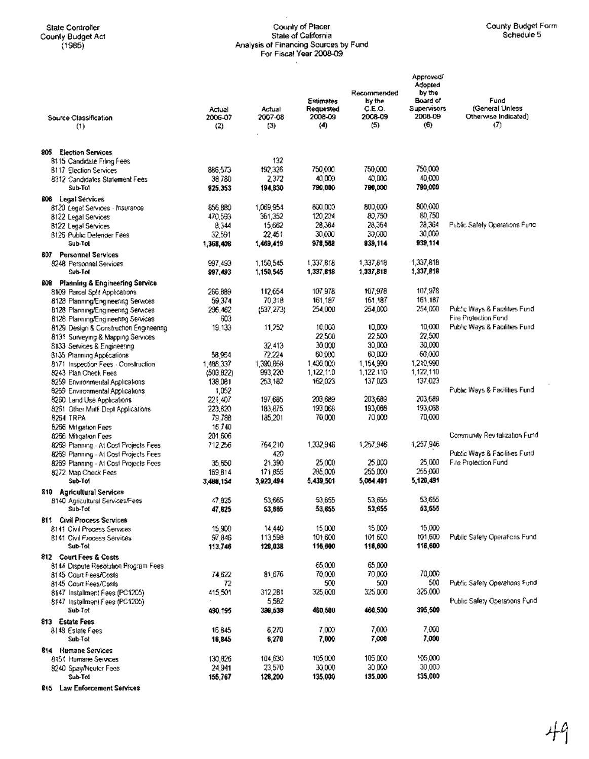## State Controller County Budget Form County of Placer County Budget Form County Budget Form County Budget Act State of California Schedule 5 (1985) Analysis of Financing Sources by Fund For Fiscal Year 2008-09

| Source Classification<br>(1)                                            | Actual<br>2006-07<br>(2) | Actual<br>2007-08<br>(3) | <b>Estimates</b><br>Requested<br>2006-09<br>(4) | Recommended<br>by the<br>C.E.O.<br>2008-09<br>(5) | Approved/<br>Adopted<br>by the<br>Board of<br>Supervisors<br>2008-09<br>(6) | Fund<br>(General Unless<br>Otherwise Indicated)<br>$\sigma$ |
|-------------------------------------------------------------------------|--------------------------|--------------------------|-------------------------------------------------|---------------------------------------------------|-----------------------------------------------------------------------------|-------------------------------------------------------------|
| 805<br><b>Election Services</b>                                         |                          |                          |                                                 |                                                   |                                                                             |                                                             |
| 8115 Candidate Fring Fees                                               |                          | 132                      |                                                 |                                                   |                                                                             |                                                             |
| <b>B117 Election Services</b>                                           | 886,573                  | 192,326                  | 750,000                                         | 750,000                                           | 750,000                                                                     |                                                             |
| 8312 Candidates Statement Fees                                          | 38,780                   | 2,372                    | 40,000                                          | 40,006                                            | 40,000                                                                      |                                                             |
| Sub-Tol                                                                 | 925,353                  | 194,830                  | 790,000                                         | 790,000                                           | 790,000                                                                     |                                                             |
| 806 Legal Services                                                      |                          |                          |                                                 |                                                   |                                                                             |                                                             |
| 8120 Legal Services - Insurance                                         | 856,880                  | 1,069,954                | 600,000                                         | 800.000                                           | 800.000                                                                     |                                                             |
| 8122 Legal Services                                                     | 470,593                  | 361,352                  | 120.204                                         | 80,750                                            | 80,750                                                                      |                                                             |
| 8122 Legal Services                                                     | 8,344                    | 15,662                   | 28.364                                          | 28,364                                            | 28,364<br>30,000                                                            | Public Safely Operations Fund                               |
| 8126 Public Defender Fees<br>Sub-Tol                                    | 32,591<br>1,368,408      | 22,451<br>1,469,419      | 30.000<br>978,588                               | 30,000<br>939,114                                 | 939,114                                                                     |                                                             |
| <b>807</b> Personnel Services                                           |                          |                          |                                                 |                                                   |                                                                             |                                                             |
| 8248 Personnel Services                                                 | 997,493                  | 1,150,545                | 1,337,818                                       | 1,337,818                                         | 1,337,818                                                                   |                                                             |
| Sub-Tot                                                                 | 997,493                  | 1,150,545                | 1,337,818                                       | 1,337,818                                         | 1,337,818                                                                   |                                                             |
| <b>Planning &amp; Engineering Service</b><br><b>BOB</b>                 |                          |                          |                                                 |                                                   |                                                                             |                                                             |
| 8109 Parcel Spht Applications                                           | 266,889                  | 112,654                  | 107,978                                         | 107,978                                           | 107,978                                                                     |                                                             |
| 8128 Planning/Engineering Services                                      | 59,374                   | 70,318                   | 161,187                                         | 161,187                                           | 161,167                                                                     |                                                             |
| 8128 Planning/Engineering Services                                      | 296.462                  | (537, 273)               | 254,000                                         | 254,000                                           | 254,000                                                                     | Public Ways & Facilities Fund                               |
| 8128 Planning/Engineering Services                                      | 603                      |                          |                                                 |                                                   |                                                                             | Fire Protection Fund                                        |
| 8129 Design & Construction Engineering                                  | 19,133                   | 11,252                   | 10,000                                          | 10,000                                            | 10,000                                                                      | Public Ways & Facilities Fund                               |
| 8135 Surveying & Mapping Services                                       |                          |                          | 22,500                                          | 22.500                                            | 22,500                                                                      |                                                             |
| 8133 Services & Engineering                                             |                          | 32.413                   | 30,000                                          | 30,000                                            | 30,000                                                                      |                                                             |
| 8135 Planning Applications                                              | 58,954                   | 72.224                   | 60,000                                          | 60,DO                                             | 60,000                                                                      |                                                             |
| 8171 Inspection Fees - Construction                                     | 1,488,337                | 1,390,868                | 1,400,000                                       | 1,154,990<br>1,122.110                            | 1,210,990<br>1,122,110                                                      |                                                             |
| 8243 Plan Check Fees<br>8259 Environmental Applications                 | (503, 822)<br>138,061    | 993,220<br>253,182       | 1,122,110<br>162,023                            | 137,023                                           | 137,023                                                                     |                                                             |
| 6259 Environmental Applications                                         | 1,052                    |                          |                                                 |                                                   |                                                                             | Public Ways & Facilities Fund                               |
| 8260 Land Use Applications                                              | 221,407                  | 197,685                  | 203,689                                         | 203,689                                           | 203,689                                                                     |                                                             |
| 8261 Other Mulli Dept Applications                                      | 223,620                  | 183,875                  | 193,068                                         | 193,068                                           | 193,068                                                                     |                                                             |
| 8264 TRPA                                                               | 79,788                   | 185,201                  | 70,000                                          | 70,000                                            | 70,000                                                                      |                                                             |
| 5266 Mitigation Fees                                                    | 16,740                   |                          |                                                 |                                                   |                                                                             |                                                             |
| 8266 Mitigation Fees                                                    | 201,606                  |                          |                                                 |                                                   |                                                                             | Community Revitalization Fund                               |
| 8269 Planning - At Cost Projects Fees                                   | 712,256                  | 764,210                  | 1,332,946                                       | 1,257,946                                         | 1,257,946                                                                   |                                                             |
| 8269 Planning - At Cost Projects Fees                                   |                          | 420                      |                                                 |                                                   |                                                                             | Public Ways & Facilities Fund                               |
| 8269 Planning - At Cost Projects Fees                                   | 35,650                   | 21,390                   | 25,000                                          | 25,000                                            | 25,000<br>255,000                                                           | Fire Protection Fund                                        |
| 8272 Map Check Fees<br>Sub-Tol                                          | 169,814                  | 171,855<br>3,923,494     | 285,000<br>5,439,501                            | 255.000<br>5,064,491                              | 5,120,491                                                                   |                                                             |
|                                                                         | 3,466,154                |                          |                                                 |                                                   |                                                                             |                                                             |
| <b>Agricultural Services</b><br>810.<br>8140 Agricultural Services/Fees | 47,825                   | 53.665                   | 53,655                                          | 53.655                                            | 53,655                                                                      |                                                             |
| Sub-Tot                                                                 | 47,825                   | 53,665                   | 53,655                                          | 53,655                                            | 53,655                                                                      |                                                             |
| <b>811 Civil Process Services</b>                                       |                          |                          |                                                 |                                                   |                                                                             |                                                             |
| 8141 Civil Process Services                                             | 15,900                   | 14,440                   | 15,000                                          | 15,000                                            | 15,000                                                                      |                                                             |
| <b>8141 Civil Process Services</b>                                      | 97,846                   | 113,598                  | 101,600                                         | 101.600                                           | 101,600                                                                     | Public Safety Operations Fund                               |
| Sub-Tot                                                                 | 113,746                  | 128,038                  | 116,600                                         | 116,600                                           | 116,600                                                                     |                                                             |
| 812 Court Fees & Costs                                                  |                          |                          |                                                 |                                                   |                                                                             |                                                             |
| 8144 Dispute Resolution Program Fees                                    |                          |                          | 85,000                                          | 65,000                                            | 70,000                                                                      |                                                             |
| 8145 Court Fees/Costs<br>8145 Court Fees/Costs                          | 74,622<br>72             | 81,676                   | 70,000<br>500                                   | 70,000<br>500                                     | 500                                                                         | Public Safety Operations Fund                               |
| 8147 Installment Fees (PC12C5)                                          | 415,501                  | 312,281                  | 325,000                                         | 325,000                                           | 325.000                                                                     |                                                             |
| 8147 Installment Fees (PC1205)                                          |                          | 5,582                    |                                                 |                                                   |                                                                             | Public Safety Operations Fund                               |
| Sub-Tot                                                                 | 490,195                  | 309,539                  | 460,500                                         | 460,500                                           | 395,500                                                                     |                                                             |
| 813 Estate Fees                                                         |                          |                          |                                                 |                                                   |                                                                             |                                                             |
| 8148 Esiate Fees                                                        | 16,645                   | 6,270                    | 7,000                                           | 7,000                                             | 7,000                                                                       |                                                             |
| Sub-Tot                                                                 | 16,845                   | 6,270                    | 7,000                                           | 7,000                                             | 7,000                                                                       |                                                             |
| 814 Humane Services                                                     |                          |                          |                                                 |                                                   |                                                                             |                                                             |
| 8151 Humane Services                                                    | 130,826                  | 104,630                  | 105,000                                         | 105,000                                           | 105,000                                                                     |                                                             |
| 8240 Spay/Neuter Fees                                                   | 24,941                   | 23,570                   | 30,000                                          | 30,000                                            | 30,000                                                                      |                                                             |
| Sub-Tot                                                                 | 155,767                  | 128,200                  | 135,000                                         | 135,000                                           | 135,000                                                                     |                                                             |

law Enforcement Services

 $\bar{.}$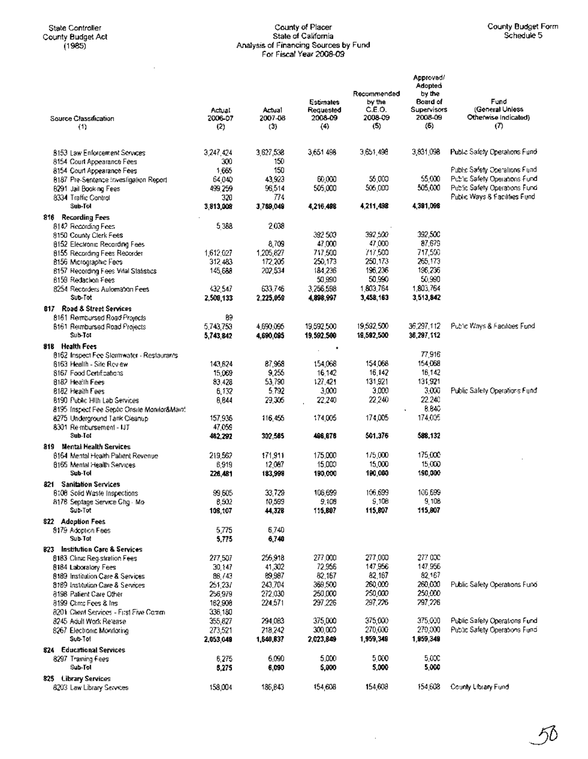$\bar{z}$ 

## State Controller County of Placer County Budget Form County BUdget Act State of Califomia Schedule 5 (1985) Analysis of Financing Sources by Fund For Fiscal Year 2008-09

|                                                                    | Actual               | Actual            | Estimates<br>Requested | Recommended<br>by the<br>C.E.O. | Approved/<br>Adopted<br>by the<br>Board of<br><b>Supervisors</b> | Fund<br>(General Uniess          |
|--------------------------------------------------------------------|----------------------|-------------------|------------------------|---------------------------------|------------------------------------------------------------------|----------------------------------|
| Source Classification<br>(1)                                       | 2006-07<br>(2)       | 2007-08<br>(3)    | 2008-09<br>(4)         | 2008-09<br>(5)                  | 2008-09<br>(6)                                                   | Otherwise Indicated)<br>$\sigma$ |
|                                                                    |                      |                   |                        |                                 |                                                                  |                                  |
| 8153 Law Enforcement Services                                      | 3,247,424            | 3,627,538         | 3,651 498              | 3,651,498                       | 3,831,098                                                        | Public Safety Operations Fund    |
| 8154 Court Appearance Fees                                         | 300                  | 150               |                        |                                 |                                                                  |                                  |
| 8154 Court Appearance Fees                                         | 1,665                | 150               |                        |                                 |                                                                  | Pablic Safety Operations Fund    |
| 8187 Pre-Sentence Investigation Report                             | 64,040               | 43,923            | 60,000                 | 56,000                          | 55,000                                                           | Public Safety Operations Fund    |
| 6291 Jail Book ng Fees                                             | 499,259              | 96,514            | 505,000                | 506,000                         | 505,000                                                          | Public Safety Operations Fund    |
| 8334 Traffic Control<br>Sub-Tol                                    | 320<br>3,813,008     | 774<br>3,769,049  | 4,216,498              | 4,211,498                       | 4,391,098                                                        | Public Ways & Facilities Fund    |
| 816 Recording Fees                                                 |                      |                   |                        |                                 |                                                                  |                                  |
| 8142 Recording Fees                                                | 5388                 | 2,038             |                        |                                 |                                                                  |                                  |
| 8150 County Clerk Fees                                             |                      |                   | 392 500                | 392,500                         | 392,500                                                          |                                  |
| 8152 Electronic Recording Fees                                     |                      | 8,709             | 47,000                 | 47,000                          | 87,679                                                           |                                  |
| 8155 Recording Fees Recorder                                       | 1,612,027            | 1,205,827         | 717,500                | 717,500                         | 717,500                                                          |                                  |
| 8156 Micrographic Fees                                             | 312,483              | 172,206           | 250,173                | 250,173                         | 265,173                                                          |                                  |
| 8157 Recording Fees Vital Statistics                               | 145,688              | 202,534           | 184,236                | 196,236                         | 196,236                                                          |                                  |
| 8159 Redaction Fees                                                |                      |                   | 50,990                 | 50,990                          | 50,990                                                           |                                  |
| 8254 Recorders Automation Fees                                     | -32,547              | 633,746           | 3,256,598              | 1,803,764                       | 1,803,764                                                        |                                  |
| Sub-Tot                                                            | 2,508,133            | 2,225,059         | 4,898,997              | 3,458,163                       | 3,513,842                                                        |                                  |
| 817 Road & Street Services                                         |                      |                   |                        |                                 |                                                                  |                                  |
| 8161 Rembursed Road Projects                                       | 89                   |                   |                        |                                 |                                                                  | Public Ways & Facilities Fund    |
| 8161 Reimbursed Road Projects<br>Sub-Tot                           | 5,743,753            | 4,690,095         | 19,592,500             | 19,592.500<br>19,592,500        | 36,297,112<br>36,297,112                                         |                                  |
|                                                                    | 5,743,842            | 4,690,095         | 19,592,500             |                                 |                                                                  |                                  |
| 818 Health Fees<br>8162 Inspect Fee Stermwater - Restaurants       |                      |                   |                        |                                 | 77,916                                                           |                                  |
| 6163 Health - Site Review                                          | 143,824              | 87,968            | 154,068                | 154,068                         | 154,058                                                          |                                  |
| 8167 Food Certifications                                           | 15,069               | 9,255             | 16,142                 | 16,142                          | 16,142                                                           |                                  |
| 8182 Health Fees                                                   | 83.428               | 53,790            | 127,421                | 131,921                         | 131,921                                                          |                                  |
| 8182 Health Fees                                                   | 6,132                | 5.792             | 3,000                  | 3,000                           | 3,000                                                            | Public Safety Operations Fund    |
| 8190 Public Hith Lab Services                                      | 6,644                | 29,305            | 22,240                 | 22,240                          | 22.240                                                           |                                  |
| 8195 Inspect Fee Septic Onsite Monitor&Maint                       |                      |                   |                        |                                 | 8.840                                                            |                                  |
| 8275 Underground Tank Cleanup                                      | 157,936              | 116,455           | 174,005                | 174,005                         | 174,005                                                          |                                  |
| 8301 Reimbursement - IJT                                           | 47,059               |                   |                        |                                 |                                                                  |                                  |
| Sub-Tot                                                            | 462,292              | 302,585           | 496,676                | 501,376                         | 588,132                                                          |                                  |
| 819 Mental Health Services                                         |                      |                   |                        |                                 |                                                                  |                                  |
| 8164. Mental Health Patient Revenue.                               | 219,562              | 171,911           | 175,000                | 1/5,000                         | 175,000                                                          |                                  |
| 8165 Mental Health Services<br>Sub-Tol                             | 6,919                | 12,087<br>183,998 | 15,000<br>190,000      | 15,000<br>190,000               | 15,000<br>190,000                                                |                                  |
|                                                                    | 226,481              |                   |                        |                                 |                                                                  |                                  |
| 821 - Sanitation Services<br>6108 Solid Waste Inspections          | 99,605               | 33,729            | 106,699                | 106,699                         | 106.699                                                          |                                  |
| 8178 Septage Service Chg - Mo                                      | 8,502                | 10,599            | 9,108                  | \$,108                          | 9,108                                                            |                                  |
| Sub-Tot                                                            | 108,107              | 44,328            | 115,807                | 115,807                         | 115,807                                                          |                                  |
| 822 Adoption Fees                                                  |                      |                   |                        |                                 |                                                                  |                                  |
| 8179 Adoption Fees                                                 | 5,775                | 6,740             |                        |                                 |                                                                  |                                  |
| Sub-Tot                                                            | 5,775                | 6,740             |                        |                                 |                                                                  |                                  |
| 823 Institution Care & Services                                    |                      |                   |                        |                                 |                                                                  |                                  |
| 8183 Clinic Registration Fees                                      | 277,507              | 256,918           | 277,000                | 277,000                         | 277 000                                                          |                                  |
| 8184 Laboratory Fees                                               | 30,147               | 41,302            | 72,956                 | 147,956                         | 147,956                                                          |                                  |
| 8189 Institution Care & Services                                   | 88,743               | 89,987            | 82,167                 | 82,167                          | 82,167                                                           |                                  |
| 8189 Institution Care & Services                                   | 251,237              | 243,704           | 369,500                | 260,000                         | 260,000                                                          | Public Safety Operations Fund    |
| 8198 Palient Care Other                                            | 256,979              | 272,030           | 250,000                | 250,000<br>297,226              | 250,000<br>297,226                                               |                                  |
| 8199 Clinic Fees & Ins                                             | 162,908              | 224,571           | 297,225                |                                 |                                                                  |                                  |
| 8201 Client Services - First Five Commi<br>8245 Adult Work Release | 336,180<br>355,827   | 294,083           | 375,000                | 375,000                         | 375,000                                                          | Public Safety Operations Fund    |
|                                                                    |                      | 218,242           | 300,000                | 270,000                         | 270,000                                                          | Public Safety Operations Fund    |
| 8267 Electronic Monitoring<br>Sub-Tol                              | 273,521<br>2,053,049 | 1,640,837         | 2,023,849              | 1,959,349                       | 1,959,349                                                        |                                  |
| 824 - Educational Services                                         |                      |                   |                        |                                 |                                                                  |                                  |
| 8297 Training Fees                                                 | 6,275                | 6,090             | 5,000                  | 5,000                           | 5.000                                                            |                                  |
| Sub-Tol                                                            | 8,275                | 6,090             | 5,000                  | 5,000                           | 5,000                                                            |                                  |
| 825 Library Services                                               |                      |                   |                        |                                 |                                                                  |                                  |
| 8203 Law Library Services                                          | 158,004              | 186,843           | 154,608                | 154,608                         | 154,608                                                          | County Library Fund              |
|                                                                    |                      |                   |                        |                                 |                                                                  |                                  |

 $\bar{\beta}$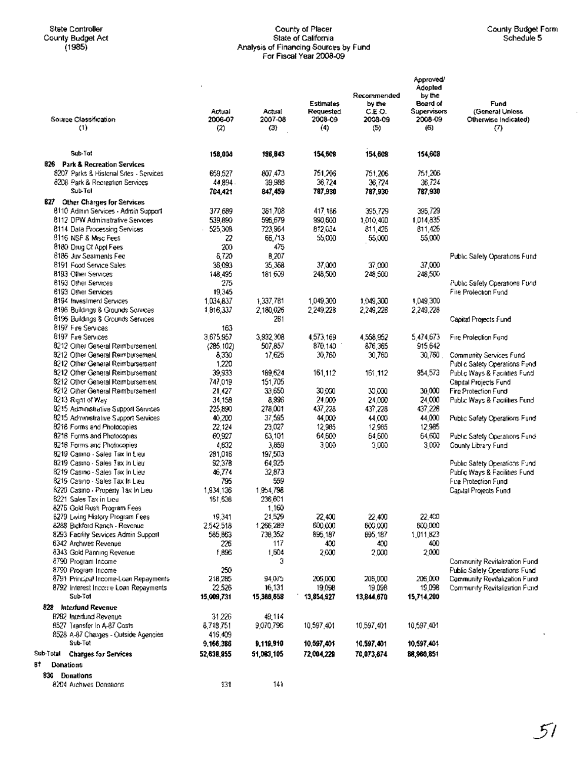Donations

## State Controller County of Placer County Budget Form County Budget Act State of California Schedule 5 (1985) Analysis of Financing Sources by Fund For Fiscal Year 2008-09

 $\mathcal{L}$ 

| Source Classification                                                     | Actual<br>2006-07    | Actual<br>2007-08    | <b>Estimates</b><br>Requested<br>2008-09 | Recommended<br>by the<br>C.E.O.<br>2003-09 | Approved/<br>Adopted<br>by the<br>Board of<br><b>Supervisors</b><br>2008-09 | Fund<br>(General Unless<br>Otherwise Indicated) |
|---------------------------------------------------------------------------|----------------------|----------------------|------------------------------------------|--------------------------------------------|-----------------------------------------------------------------------------|-------------------------------------------------|
| (1)                                                                       | (2)                  | (3)                  | (4)                                      | (5)                                        | (6)                                                                         | $\langle 7 \rangle$                             |
|                                                                           |                      |                      |                                          |                                            |                                                                             |                                                 |
| Sub-Tot                                                                   | 158,004              | 186,843              | 154,508                                  | 154,808                                    | 154,608                                                                     |                                                 |
| 826 Park & Recreation Services<br>8207 Parks & Historial Sites - Services | 659,527              | 807.473              | 751,206                                  | 751,206                                    | 751,206                                                                     |                                                 |
| 8208 Park & Recreation Services                                           | 44,894.              | 39.986               | 36,724                                   | 36,724                                     | 36,724                                                                      |                                                 |
| <b>Sub-Tol</b>                                                            | 704,421              | 847,459              | 787,930                                  | 787,930                                    | 787,930                                                                     |                                                 |
| 827 Other Charges for Services                                            |                      |                      |                                          |                                            |                                                                             |                                                 |
| 8110 Admin Services - Admin Support                                       | 377,689              | 351,708              | 417 186                                  | 395,729                                    | 395,729                                                                     |                                                 |
| 8112 DPW Administrative Services                                          | 539,890              | 596,679              | 990,600                                  | 1,010,400                                  | 1,014,835                                                                   |                                                 |
| 8114 Dala Processing Services                                             | 525,308              | 723,964              | 812,034                                  | 811.426                                    | 811,426                                                                     |                                                 |
| 8116 NSF & Misc Fees<br>8180 Drug Ct Appl Fees                            | 22<br>200            | 66,713<br>475        | 55,000                                   | 55,000                                     | 55,000                                                                      |                                                 |
| 8186 Juv Sealments Fed                                                    | 6,720                | 8,207                |                                          |                                            |                                                                             | Public Safety Operations Fund                   |
| 8191 Food Service Sales                                                   | 36,093               | 35,368               | 37,000                                   | 37,000                                     | 37,000                                                                      |                                                 |
| 8193 Other Services                                                       | 148,495              | 181,609              | 248,500                                  | 248,500                                    | 248,500                                                                     |                                                 |
| 8193 Other Services                                                       | 275                  |                      |                                          |                                            |                                                                             | Public Safety Operations Fund                   |
| <b>6193 Other Services</b>                                                | 19.345               |                      |                                          |                                            |                                                                             | Fire Prolection Fund                            |
| 8194 Investment Services                                                  | 1,034,837            | 1,337,781            | 1,049,300<br>2.249.228                   | 1,049,300                                  | 1,049,300                                                                   |                                                 |
| 8196 Buildings & Grounds Services<br>8196 Buildings 8 Grounds Services    | 1,816,337            | 2,180,026<br>261     |                                          | 2,249,228                                  | 2,249,228                                                                   | Capital Projects Fund                           |
| 8197 Fire Services                                                        | 163                  |                      |                                          |                                            |                                                                             |                                                 |
| 8197 Fire Services                                                        | 3,675,957            | 3,932,308            | 4,573,169                                | 4,558,952                                  | 5.474,673                                                                   | Fire Profection Fund                            |
| 8212 Other General Reimbursement                                          | (285, 102)           | 507,857              | 870,140                                  | 876,365                                    | 915,642                                                                     |                                                 |
| 8212 Other General Rembursement                                           | 8,330                | 17,625               | 30,760                                   | 30,760                                     | $30,760$ .                                                                  | Community Services Fund                         |
| 8212 Other General Reimbursement                                          | 1,220                |                      |                                          |                                            |                                                                             | Public Safety Operations Fund                   |
| 8212 Other General Reimbursement                                          | 39,933               | 169,624              | 161,112                                  | 161,112                                    | 954,573                                                                     | Public Ways & Facilities Fund                   |
| 8212 Other General Reimbursement<br>8212 Other General Reimbursement      | 747,019<br>21,427    | 151,705<br>33,650    | 30,000                                   | 30,000                                     | 30,000                                                                      | Capital Projects Fund<br>Fire Protection Fund   |
| 8213 Right of Way                                                         | 34,158               | 8,996                | 24,000                                   | 24,000                                     | 24,000                                                                      | Public Ways & Facilities Fund                   |
| 8215 Administrative Support Services                                      | 225,890              | 278,001              | 437,228                                  | 437,228                                    | 437,228                                                                     |                                                 |
| 8215 Administrative Support Services                                      | 40,200               | 37,595               | 44,000                                   | 44,000                                     | 44,000                                                                      | Public Safety Operations Fund                   |
| 8216 Forms and Photocopies                                                | 22.124               | 23.027               | 12,985                                   | 12,985                                     | 12,985                                                                      |                                                 |
| 8218 Forms and Photocopies                                                | 60,927               | 63,101               | 64,600                                   | 64,600                                     | 64,600                                                                      | Public Safety Operations Fund                   |
| 8218 Forms and Photocopies                                                | 4,632                | 3,859                | 3,000                                    | 3,000                                      | 3,000                                                                       | County Library Fund                             |
| 8219 Casino - Sales Tax In Lieu<br>8219 Casino - Sales Tax In Lieu        | 281,016<br>92,378    | 197,503<br>64.925    |                                          |                                            |                                                                             | Public Safety Operations Fund                   |
| 8219 Casino - Sales Tax In Lieu                                           | 46,774               | 32,873               |                                          |                                            |                                                                             | Public Ways & Facilities Fund                   |
| 8219 Casino - Sales Tax In Lieu                                           | 795                  | 559                  |                                          |                                            |                                                                             | Fire Protection Fund                            |
| 8220 Casino - Property Tax In Lieu                                        | 1,934,136            | 1,954,798            |                                          |                                            |                                                                             | Capital Projects Fund                           |
| 6221 Sales Tax in Lieu                                                    | 161,538              | 236.601              |                                          |                                            |                                                                             |                                                 |
| 8276 Gold Rush Program Fees                                               |                      | 1,160                |                                          |                                            |                                                                             |                                                 |
| 6279 Living History Program Fees                                          | 19,341               | 21,529               | 22,400                                   | 22,400                                     | 22,400                                                                      |                                                 |
| 8288 Bickford Ranch - Revenue<br>8293 Facility Services Admin Support     | 2,542.518<br>585,863 | 1,266,289<br>738,352 | 600,000<br>895,187                       | 600,000<br>895,187                         | 600,000<br>1,011,823                                                        |                                                 |
| 6342 Archives Revenue                                                     | 226                  | 117                  | 400                                      | 400                                        | 400                                                                         |                                                 |
| 8343 Gold Panning Revenue                                                 | 1,896                | 1,604                | 2,000                                    | 2,000                                      | 2,000                                                                       |                                                 |
| 8790 Program Income                                                       |                      | з                    |                                          |                                            |                                                                             | Community Revitalization Fund                   |
| 8790 Program Income                                                       | 250                  |                      |                                          |                                            |                                                                             | Public Safety Operations Fund                   |
| 8791 Principal Income-Loan Repayments                                     | 218,285              | 94.075               | 206,000                                  | 206,000                                    | 206,000                                                                     | Community Revitalization Fund                   |
| 8792 Interest Income Loan Repayments                                      | 22.526               | 16,131               | 19,098                                   | 19,098                                     | 19,098                                                                      | Community Revitalization Fund                   |
| Sub-Tol                                                                   | 15,009,731           | 15,368,658           | 13,854,927                               | 13,844,670                                 | 15,714,200                                                                  |                                                 |
| 828 Interfund Revenue<br><b>B282 Interfund Revenue</b>                    | 31,226               | 49,114               |                                          |                                            |                                                                             |                                                 |
| 8527 Transfer In A-87 Costs.                                              | 8,718,751            | 9,070,796            | 10,597,401                               | 10,597,401                                 | 10,597,401                                                                  |                                                 |
| 8528 A-87 Charges - Outside Agencies                                      | 416.409              |                      |                                          |                                            |                                                                             |                                                 |
| Sub-Tot                                                                   | 9,166,386            | 9,119,910            | 10,597,401                               | 10,597,401                                 | 10,597,401                                                                  |                                                 |
| Sub-Total<br><b>Charges for Services</b>                                  | 52,638,855           | 51,083,105           | 72,004,229                               | 70,073,874                                 | 88,960,851                                                                  |                                                 |
| 81<br><b>Donations</b>                                                    |                      |                      |                                          |                                            |                                                                             |                                                 |
| 830 Donations                                                             |                      |                      |                                          |                                            |                                                                             |                                                 |
| 8204 Archives Donations                                                   | 131                  | 141                  |                                          |                                            |                                                                             |                                                 |
|                                                                           |                      |                      |                                          |                                            |                                                                             |                                                 |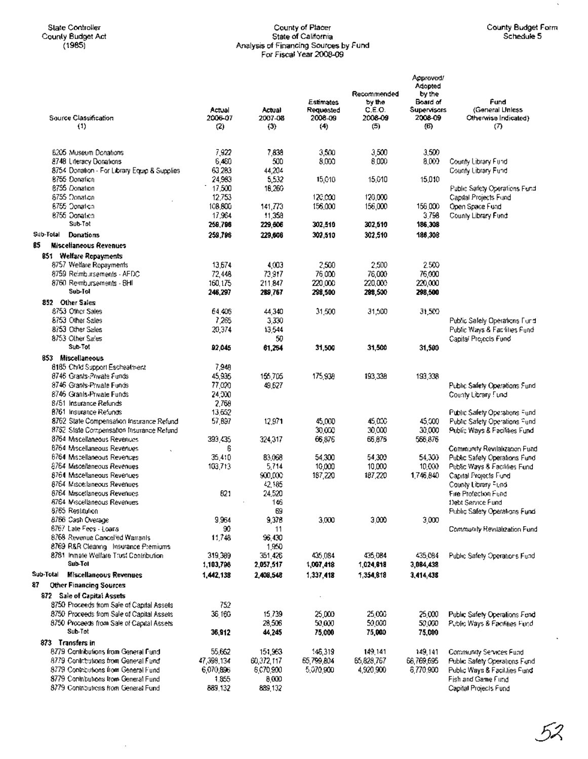$\bar{\mathcal{A}}$ 

#### State Controller County of Placer County Budget Form County Budget Act State of California Schedule 5 (1985) Analysis of Financing Sources by Fund For Fiscal Year 2008-09

 $\sim$ 

| Source Classification<br>(1)                                            | Actual<br>2005-07<br>(2) | Actual<br>2007-08<br>(3) | Estimates<br>Requested<br>2006-09<br>(4) | Recommended<br>by the<br>C.E.O.<br>2008-09<br>(5). | Approved/<br>Adopted<br>by the<br>Board of<br>Supervisors<br>2008-09<br>(6) | Fund<br>(General Unless<br>Otherwise Indicated)<br>Ω |
|-------------------------------------------------------------------------|--------------------------|--------------------------|------------------------------------------|----------------------------------------------------|-----------------------------------------------------------------------------|------------------------------------------------------|
|                                                                         |                          |                          |                                          |                                                    |                                                                             |                                                      |
|                                                                         |                          |                          |                                          |                                                    |                                                                             |                                                      |
| 6205 Museum Donations                                                   | 7,922                    | 7.833<br>500             | 3,500                                    | 3.500<br>8.000                                     | 3.500                                                                       |                                                      |
| 8748 Literacy Donations<br>8754 Donation - For Library Equip & Supplies | 6,460<br>63,283          | 44,204                   | 8,000                                    |                                                    | 8,000                                                                       | County Library Fund<br>County Library Fund           |
| 8755 Donation                                                           | 24,983                   | 5,532                    | 15,010                                   | 15,010                                             | 15.010                                                                      |                                                      |
| 8755 Donation                                                           | 17,500                   | 16,260                   |                                          |                                                    |                                                                             | Public Safety Operations Fund                        |
| 8755 Donation                                                           | 12,753                   |                          | 120,000                                  | 120,000                                            |                                                                             | Capital Projects Fund                                |
| 6755 Donation                                                           | 108,800                  | 141,773                  | 156,000                                  | 156,000                                            | 156,000                                                                     | Open Space Fund                                      |
| 8755 Donation                                                           | 17,964                   | 11,358                   |                                          |                                                    | 3,798                                                                       | County Library Fund                                  |
| Sub-Tot                                                                 | 259,796                  | 229,606                  | 302,510                                  | 302,510                                            | 186,308                                                                     |                                                      |
| Sub-Total<br><b>Donations</b>                                           | 259,796                  | 229,006                  | 302,510                                  | 302,510                                            | 186,308                                                                     |                                                      |
| 85<br><b>Miscellaneous Revenues</b>                                     |                          |                          |                                          |                                                    |                                                                             |                                                      |
| 851 Welfare Repayments                                                  |                          |                          |                                          |                                                    |                                                                             |                                                      |
| 8757 Welfare Repayments                                                 | 13,674                   | 4,003                    | 2,500                                    | 2,500                                              | 2.500                                                                       |                                                      |
| 8759 Reimbursements - AFDC                                              | 72,448                   | 73,917                   | 76 000                                   | 76,000                                             | 76,000                                                                      |                                                      |
| 8760 Reimbursements - SHI                                               | 160.175                  | 211.847                  | 220,000                                  | 220,000                                            | 220,000                                                                     |                                                      |
| Sub-Tol                                                                 | 246,297                  | 289,767                  | 298,500                                  | 298,500                                            | 298,500                                                                     |                                                      |
| 852 Other Sales                                                         |                          |                          |                                          |                                                    |                                                                             |                                                      |
| 8753 Other Sales                                                        | 64.406                   | 44,340                   | 31,500                                   | 31,500                                             | 31,500                                                                      |                                                      |
| 8753 Other Sales                                                        | 7,265                    | 3,330                    |                                          |                                                    |                                                                             | Public Safely Operations Fund                        |
| 8/53 Other Sales                                                        | 20,374                   | 13,544                   |                                          |                                                    |                                                                             | Public Ways & Facilities Fund                        |
| 8753 Other Sales                                                        |                          | 50                       |                                          |                                                    |                                                                             | Capital Projects Fund                                |
| Sub-Tot                                                                 | 92,045                   | 61,264                   | 31,500                                   | 31,500                                             | 31,500                                                                      |                                                      |
| 853 Miscellaneous                                                       |                          |                          |                                          |                                                    |                                                                             |                                                      |
| 8185 Child Support Eschealment                                          | 7,948                    |                          |                                          |                                                    |                                                                             |                                                      |
| 8746 Grants-Private Funds                                               | 45,935                   | 156,705                  | 175,938                                  | 193,338                                            | 193,338                                                                     |                                                      |
| 8746 Grants-Private Funds                                               | 77,020                   | 49.627                   |                                          |                                                    |                                                                             | Public Safety Operations Fund                        |
| 8746 Granis-Private Funds<br>8/51 Insurance Refunds                     | 24,000                   |                          |                                          |                                                    |                                                                             | County Library Fund                                  |
| B761 Insurance Refunds                                                  | 2,768<br>13,552          |                          |                                          |                                                    |                                                                             | Public Safety Operations Fund                        |
| 8762 State Compensation Insurance Refund                                | 57,897                   | 12,971                   | 45,000                                   | 45.DX                                              | 45,000                                                                      | Public Safety Operations Fund                        |
| 8752 State Compensation Insurance Refund                                |                          |                          | 30,000                                   | 30,000                                             | 30,000                                                                      | Public Ways & Facilities Fund                        |
| 8764 Miscellaneous Revenues                                             | 393,435                  | 324,317                  | 66,876                                   | 66,876                                             | 566,876                                                                     |                                                      |
| 8764 Miscellaneous Revenues                                             | ß                        |                          |                                          |                                                    |                                                                             | Community Revitalization Fund                        |
| <b>6764 Miscellaneous Revenues</b>                                      | 35,410                   | 83.068                   | 54,300                                   | 54,300                                             | 54.300                                                                      | Public Safely Operations Fund                        |
| 8764 Miscellaneous Revenues                                             | 103,713                  | 5,714                    | 10,000                                   | 10,000                                             | 10.030                                                                      | Public Ways & Facilities Fund                        |
| 8764 Miscellaneous Revenues                                             |                          | 900,000                  | 187,220                                  | 187,220                                            | 1,746,840                                                                   | Capital Projects Fund                                |
| 8764 Miscellaneous Revenues                                             |                          | 42,185                   |                                          |                                                    |                                                                             | County Library Fund                                  |
| 8764 Miscellaneous Revenues                                             | 821                      | 24,520                   |                                          |                                                    |                                                                             | Fire Protection Fund                                 |
| 8764 Miscellaneous Revenues                                             |                          | 146                      |                                          |                                                    |                                                                             | 10ebt Service Fund                                   |
| 8765 Restitution                                                        |                          | 69                       |                                          |                                                    |                                                                             | Public Safety Operations Fund                        |
| 8766 Cash Overage<br>8767 Late Fees - Loans                             | 9,964<br>90              | 9,376                    | 3,000                                    | 3.000                                              | 3,000                                                                       |                                                      |
| 8768 Revenue Cancelled Warrants                                         | 11,748                   | 11<br>96,430             |                                          |                                                    |                                                                             | Community Revitalization Fund                        |
| 8769 R&R Clearing Insurance Premiums                                    |                          | 1,950                    |                                          |                                                    |                                                                             |                                                      |
| 8781 Inmate Welfare Trust Contribution                                  | 319,389                  | 351.426                  | 435.084                                  | 435,084                                            | 435.084                                                                     | Public Safety Operations Fund                        |
| Sub-Tol                                                                 | 1,103,798                | 2,057,517                | 1,007,418                                | 1,024,818                                          | 3,084,438                                                                   |                                                      |
| Sub-Total<br><b>Miscellaneous Revenues</b>                              | 1,442,138                | 2,408,548                | 1,337,418                                | 1,354,818                                          | 3,414,438                                                                   |                                                      |
| 87<br>Other Financing Sources                                           |                          |                          |                                          |                                                    |                                                                             |                                                      |
| 872 Sale of Capital Assets                                              |                          |                          |                                          |                                                    |                                                                             |                                                      |
| 8750 Proceeds from Sale of Capital Assets                               | 752                      |                          |                                          |                                                    |                                                                             |                                                      |
| 8750 Proceeds from Sale of Capital Assets                               | 36,160                   | 15,739                   | 25,000                                   | 25,000                                             | 25,000                                                                      | Public Safety Operations Fend                        |
| 8750 Proceeds from Sale of Capital Assets                               |                          | 28,506                   | 50,000                                   | 50,000                                             | 50,000                                                                      | Public Ways & Facilities Fund                        |
| Sub-Tot                                                                 | 36,912                   | 44,245                   | 75,000                                   | 75,000                                             | 75,000                                                                      |                                                      |
| 873 Transfers in                                                        |                          |                          |                                          |                                                    |                                                                             |                                                      |
| 8779 Contributions from General Fund                                    | 55,662                   | 151,963                  | 146,319                                  | 149,141                                            | 149,141                                                                     | Community Services Fund                              |
| 8779. Contributions from General Fund.                                  | 47,398,134               | 60,372,117               | 65,799,804                               | 65,828,767                                         | 66,769,695                                                                  | Public Safety Operations Fund                        |
| 8779 Contributions from General Fund                                    | 6,070,896                | 5,070,900                | 5,070,900                                | 4,920,900                                          | 6,770,900                                                                   | Public Ways & Facilities Fund                        |
| 8779 Contributions from General Fund                                    | 1,855                    | 8,000                    |                                          |                                                    |                                                                             | Fish and Game Fund                                   |
| 8779 Controutiens from General Fund                                     | 889,132                  | 889,132                  |                                          |                                                    |                                                                             | Capital Projects Fund                                |

l,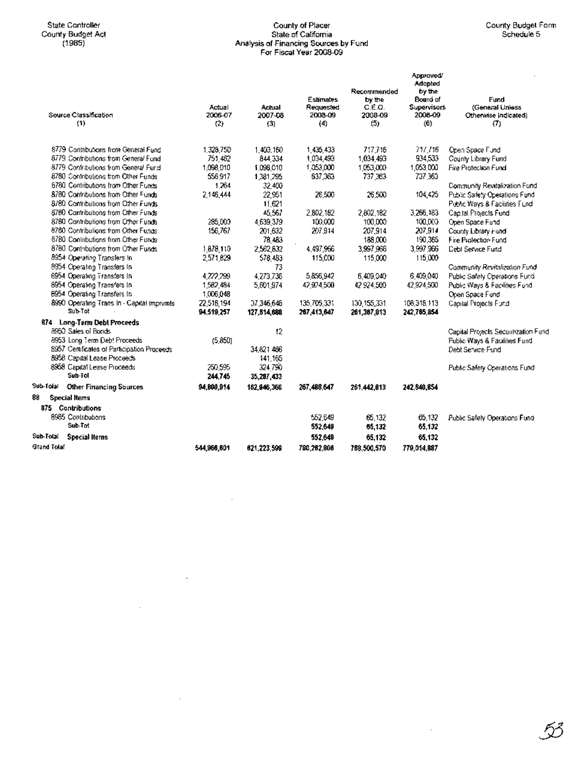# County of Placer<br>State of California<br>Analysis of Financing Sources by Fund<br>For Fiscal Year 2008-09

|                                             | Actual      | Actual      | <b>Estimates</b><br>Requested | Recommended<br>by the<br>C.E.O. | Approved/<br>Adopted<br>by the<br>Board of<br><b>Supervisors</b> | Fund<br>(General Unless              |
|---------------------------------------------|-------------|-------------|-------------------------------|---------------------------------|------------------------------------------------------------------|--------------------------------------|
| Source Classification                       | 2006-07     | 2007-08     | 2008-09                       | 2008-09                         | 2008-09                                                          | Otherwise Indicated)                 |
| (1)                                         | (2)         | (3)         | (4)                           | (5)                             | (6)                                                              | (7)                                  |
| 8779 Contributions from General Fund        | 1.328.750   | 1.403.160   | 1,435,433                     | 717.716                         | 717.716                                                          | Open Space Fund                      |
| 8779 Contributions from General Fund        | 751.462     | 844,334     | 1,034,493                     | 1,034,493                       | 934.533                                                          | County Library Fund                  |
| 8779 Contributions from General Fund        | 1,098.010   | 1,098,010   | 1.053.000                     | 1.053.000                       | 1,053,000                                                        | Fire Protection Fund                 |
| 8780 Contributions from Other Funds         | 556 917     | 1,381,295   | 637,363                       | 737.363                         | 737 363                                                          |                                      |
| 6780 Contributions from Other Funds         | 1264        | 32.400      |                               |                                 |                                                                  | Community Revitalization Fund        |
| 8780 Contributions from Other Funds         | 2.146,444   | 22,951      | 26,500                        | 26,500                          | 104,425                                                          | Public Safety Operations Fund        |
| 8/60 Contributions from Other Funds.        |             | 11,621      |                               |                                 |                                                                  | Public Ways & Facilities Fund        |
| 8780 Contributions from Other Funds         |             | 45,567      | 2,802,182                     | 2,802,182                       | 3,266,183                                                        | Capital Projects Fund                |
| 8780 Contributions from Other Funds         | 285,000     | 4.639.379   | 100,000                       | 100 000                         | 100,000                                                          | Open Space Fund                      |
| 8780 Contributions from Other Funds         | 156,767     | 201,632     | 207,914                       | 207,914                         | 207,914                                                          | County Library Hund                  |
| 8780 Contributions from Other Funds         |             | 78,483      |                               | 188,000                         | 190,365                                                          | Fire Profection Fund                 |
| 8780 Contributions from Other Funds         | 1,878,110   | 2,562,632   | 4,497,966                     | 3,997,966                       | 3.997.966                                                        | <b>Debt Service Fund</b>             |
| 8954 Operating Transfers In                 | 2.571.829   | 578.483     | 115,000                       | 115,000                         | 115,000                                                          |                                      |
| 8954 Operating Transfers In                 |             | 73          |                               |                                 |                                                                  | Community Revitalization Fund        |
| 6954 Operating Transfers In                 | 4,272,299   | 4,273,736   | 5,856,942                     | 6,409,040                       | 6,409,040                                                        | Public Safety Operations Fund        |
| 8954 Operating Transfers In                 | 1,582,484   | 5,601,974   | 42,924,500                    | 42 924 500                      | 42,924,500                                                       | Public Ways & Facilities Fund        |
| B954 Operating Transfers In                 | 1,006,048   |             |                               |                                 |                                                                  | Open Space Fund                      |
| 8990 Operating Trans In - Capital Imprimits | 22.518.194  | 37.346.646  | 135,705,331                   | 130.155.331                     | 108.318.113                                                      | Capital Projects Fund                |
| Sub-Tot                                     | 94,519,257  | 127,814,688 | 267,413,647                   | 261,367,813                     | 242,765,854                                                      |                                      |
| 874 Long-Term Debt Proceeds                 |             |             |                               |                                 |                                                                  |                                      |
| 8950 Sales of Bonds                         |             | 12          |                               |                                 |                                                                  | Capital Projects Securitization Fund |
| 8953 Long Term Debt Proceeds                | (5, 850)    |             |                               |                                 |                                                                  | Public Ways & Facilities Fund        |
| 8957 Certificates of Participation Proceeds |             | 34.821.466  |                               |                                 |                                                                  | Debt Service Fund                    |
| 8958 Capital Lease Proceeds                 |             | 141.165     |                               |                                 |                                                                  |                                      |
| 8958 Capital Lease Proceeds                 | 250.595     | 324790      |                               |                                 |                                                                  | Public Safety Operations Fund        |
| Sub-Tol                                     | 244,745     | 35,287,433  |                               |                                 |                                                                  |                                      |
| Sub-Tolal<br><b>Other Financing Sources</b> | 94,800,914  | 162,946,366 | 267.488.647                   | 261.442.613                     | 242.840.854                                                      |                                      |
| 88<br><b>Special Items</b>                  |             |             |                               |                                 |                                                                  |                                      |
| 875 Contributions                           |             |             |                               |                                 |                                                                  |                                      |
| 8985 Contributions                          |             |             | 552.649                       | 65.132                          | 65.132                                                           | Public Safely Operations Fund        |
| Sub-Tot                                     |             |             | 552,649                       | 65,132                          | 65,132                                                           |                                      |
| Sub-Total<br><b>Special Items</b>           |             |             | 552,649                       | 65.132                          | 65.132                                                           |                                      |
| <b>Grand Total</b>                          | 544,966,601 | 621,223,599 | 780,262,806                   | 788.500.570                     | 779,014,887                                                      |                                      |

 $\bar{z}$ 

 $\bar{z}$ 

 $\bar{\mathcal{A}}$ 

 $\bar{z}$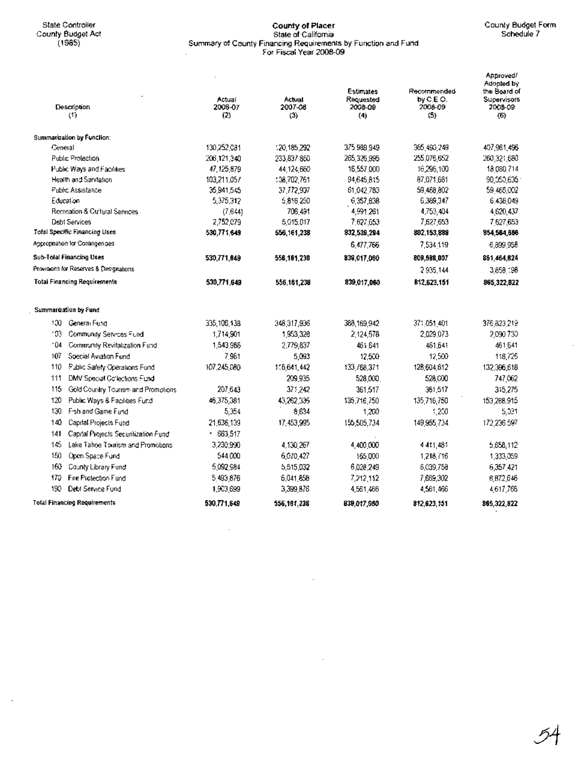$\mathcal{L}$ 

#### State Controller County **of Placer** County Budget Form County Budget Act State of California Schedule? (1985) Summary of County. Financing Requirements by Function and Fund For Fiscal Year 2008-09

ï

| Description<br>(1)                          | Actual<br>2006-07<br>(2) | Actual<br>2007-08<br>(3) | Estimates<br>Requested<br>2008-09<br>(4) | Recommended<br>by C.E.O.<br>2008-09<br>(5) | Approved!<br>Adopted by<br>the Board of<br>Supervisors<br>2008-09<br>(6) |
|---------------------------------------------|--------------------------|--------------------------|------------------------------------------|--------------------------------------------|--------------------------------------------------------------------------|
| Summarization by Function:                  |                          |                          |                                          |                                            |                                                                          |
| General                                     | 130,252,081              | 120.185.292              | 375 989 949                              | 365,490,249                                | 407,961,496                                                              |
| Public Protection                           | 206,121,340              | 233,837 860              | 265,326,995                              | 255,075,652                                | 260,321,680                                                              |
| Public Ways and Facilities                  | 47,125,879               | 44,124,660               | 16,557,000                               | 16,296,100                                 | 18,080,714                                                               |
| Health and Sanitation                       | 103,211,057              | 138,702,761              | 94,645,815                               | 87,071,681                                 | 90,050,635                                                               |
| Public Assistance                           | 35,941,545               | 37,772,907               | 61,042,783                               | 59,468,802                                 | 59,466,002                                                               |
| Education                                   | 5,375,312                | 5,816,250                | 6,357,838                                | 6,369,347                                  | 6,436,049                                                                |
| Recreation & Cultural Services              | (7, 644)                 | 706.491                  | 4,991,261                                | 4,753,404                                  | 4,620,437                                                                |
| Debt Services                               | 2,752,079                | 5,015,017                | 7.627,653                                | 7,627,653                                  | 7,627,653                                                                |
| <b>Total Specific Financing Uses</b>        | 530,771,649              | 556,161,238              | 832,539,294                              | 802.153.888                                | 854,584,666                                                              |
| Appropriation for Contingencies             |                          |                          | 6,477,766                                | 7,534 119                                  | 6,899,958                                                                |
| <b>Sub-Tolal Financing Uses</b>             | 530,771,649              | 556,161,238              | 839,017,060                              | 809,688,007                                | 861,464,624                                                              |
| Provisions for Reserves & Designations      |                          |                          |                                          | 2935,144                                   | 3,858,198                                                                |
| <b>Total Financing Requirements</b>         | 530,771,649              | 556,161,238              | 839,017,060                              | 812,623,151                                | 865,322,822                                                              |
| Summarization by Fund                       |                          |                          |                                          |                                            |                                                                          |
| 100 General Fund                            | 335,106,138              | 348.317.936              | 368,169,942                              | 371.051.401                                | 376,823.219                                                              |
| 103<br>Community Services Fund              | 1,714,901                | 1,953,328                | 2,124,578                                | 2.029.073                                  | 2.090.730                                                                |
| 04'<br>Community Revitalization Fund        | 1,543,986                | 2,779,837                | 461.641                                  | 461.641                                    | 461,641                                                                  |
| 107<br>Special Aviation Fund                | 7,961                    | 5,093                    | 12,500                                   | 12,500                                     | 118,725                                                                  |
| 110<br>Public Safety Operations Fund        | 107.245.080              | 1.6.641.442              | 133,768,371                              | 128,504,612                                | 132,396,618                                                              |
| 111<br>DMV Special Collections Fund         |                          | 209,935                  | 528,000                                  | 528,000                                    | 747,062                                                                  |
| 115<br>Gold Country Tourism and Promptions  | 207,643                  | 371,242                  | 361.517                                  | 361,517                                    | 315,275                                                                  |
| 120<br>Public Ways & Facilities Fund        | 46,375,381               | 43,262,336               | 135,716,750                              | 135,716,750                                | 153,288,915                                                              |
| 130<br>Fish and Game Fund                   | 5,354                    | 8,634                    | 1,200                                    | $+200$                                     | 5,031                                                                    |
| 140<br>Capital Projects Fund                | 21,636,139               | 17,453,995               | 155,505,734                              | 149,955,734                                | 172,236.597                                                              |
| 141<br>Capital Projects Securitization Fund | $-663,517$               |                          |                                          |                                            |                                                                          |
| 145<br>Lake Tahoe Tourism and Promotions    | 3.230.990                | 4.130.267                | 4,400,000                                | 4 411,481                                  | 5,658,112                                                                |
| 150<br>Open Space Fund                      | 544000                   | 6,070,427                | 155,000                                  | 1,218,716                                  | 1,333,359                                                                |
| 160<br>County Library Fund                  | 5,092,984                | 5,515,032                | 6,028,249                                | 6,039,758                                  | 6,357,421                                                                |
| Fire Protection Fund<br>170                 | 5,493,876                | 6,041,858                | 7,212,112                                | 7,669,302                                  | 8,872,646                                                                |
| 190<br>Debt Service Fund                    | 1,903,699                | 3,399,876                | 4,561,466                                | 4,561,466                                  | 4,617,766                                                                |
| <b>Total Financing Requirements</b>         | 530.771.649              | 556,161,238              | 839,017,060                              | 812.623.151                                | 865,322,822                                                              |

 $\bar{z}$ 

 $\hat{\mathcal{A}}$ 

 $\cdot$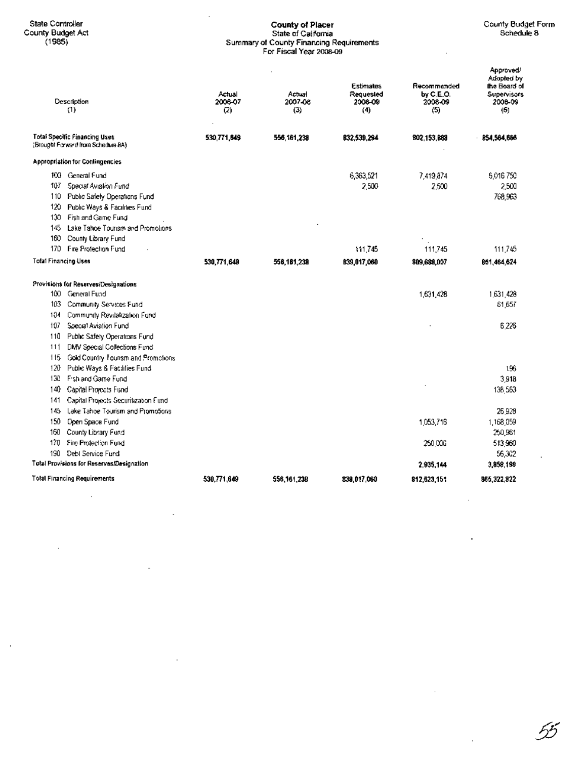J,

# County of Placer<br>State of California<br>Summary of County Financing Requirements<br>For Fiscal Year 2008-09

55

|                      | Description<br>(1)                                                         | Actual<br>2006-07<br>(2) | Actual<br>2007-08<br>(3) | <b>Estimates</b><br>Requested<br>2008-09<br>(4) | Recommended<br>by C.E.O.<br>2008-09<br>(5) | Approved/<br>Adopted by<br>the Board of<br>Supervisors<br>2008-09<br>(6) |
|----------------------|----------------------------------------------------------------------------|--------------------------|--------------------------|-------------------------------------------------|--------------------------------------------|--------------------------------------------------------------------------|
|                      | <b>Total Specific Financing Uses</b><br>(Brought Forward from Schedule 8A) | 530,771,849              | 556,161,238              | 832.539.294                                     | 802,153,889                                | 854,564,666                                                              |
|                      | Appropriation for Conlingencies                                            |                          |                          |                                                 |                                            |                                                                          |
|                      | 100 General Fund                                                           |                          |                          | 6,363,521                                       | 7,419,874                                  | 5,016 750                                                                |
| 107                  | Special Aviation Fund                                                      |                          |                          | 2,500                                           | 2,500                                      | 2,500                                                                    |
|                      | 110 Public Safety Operations Fund                                          |                          |                          |                                                 |                                            | 768,963                                                                  |
| 120                  | Public Ways & Facilities Fund                                              |                          |                          |                                                 |                                            |                                                                          |
| 130                  | Fish and Game Fund                                                         |                          |                          |                                                 |                                            |                                                                          |
| 145                  | Lake Tahoe Tourism and Promotions                                          |                          |                          |                                                 |                                            |                                                                          |
| 160                  | County Library Fund                                                        |                          |                          |                                                 |                                            |                                                                          |
| 170                  | Fire Profection Fund                                                       |                          |                          | 111,745                                         | 111,745                                    | 111,745                                                                  |
| Tolal Financing Uses |                                                                            | 530,771,649              | 556, 161, 238            | 839,017,060                                     | 809,688,007                                | 861,464,624                                                              |
|                      | Provisions for Reserves/Designations                                       |                          |                          |                                                 |                                            |                                                                          |
|                      | 100 General Fund                                                           |                          |                          |                                                 | 1,631,428                                  | 1,631,428                                                                |
| 103                  | Community Services Fund                                                    |                          |                          |                                                 |                                            | 61,657                                                                   |
| 104                  | Community Revitalization Fund                                              |                          |                          |                                                 |                                            |                                                                          |
| 107                  | Special Aviation Fund                                                      |                          |                          |                                                 |                                            | 6.226                                                                    |
| 110                  | Public Safely Operations Fund                                              |                          |                          |                                                 |                                            |                                                                          |
| 111                  | DMV Special Collections Fund                                               |                          |                          |                                                 |                                            |                                                                          |
| 115                  | Gold Country Tourism and Promotions                                        |                          |                          |                                                 |                                            |                                                                          |
| 120                  | Public Ways & Facilities Fund                                              |                          |                          |                                                 |                                            | 196                                                                      |
| 130                  | Fish and Game Fund                                                         |                          |                          |                                                 |                                            | 3.918                                                                    |
| 140                  | Capital Projects Fund                                                      |                          |                          |                                                 |                                            | 136 553                                                                  |
| 141                  | Capital Projects Securitization Fund                                       |                          |                          |                                                 |                                            |                                                                          |
| 145                  | Lake Tahoe Tourism and Promotions                                          |                          |                          |                                                 |                                            | 26,928                                                                   |
| 150                  | Open Space Fund                                                            |                          |                          |                                                 | 1,053,716                                  | 1,168,059                                                                |
| 160                  | County Library Fund                                                        |                          |                          |                                                 |                                            | 250,961                                                                  |
| 170                  | Fire Protection Fund                                                       |                          |                          |                                                 | 250.DOG                                    | 513,960                                                                  |
| 190                  | Debt Service Fund                                                          |                          |                          |                                                 |                                            | 56,302                                                                   |
|                      | Total Provisions for Reserves/Designation                                  |                          |                          |                                                 | 2.935.144                                  | 3,858,198                                                                |
|                      | i'olal Financing Requirements                                              | 530,771,649              | 556,161,238              | 839,017,060                                     | 812, 823, 151                              | 865, 322, 822                                                            |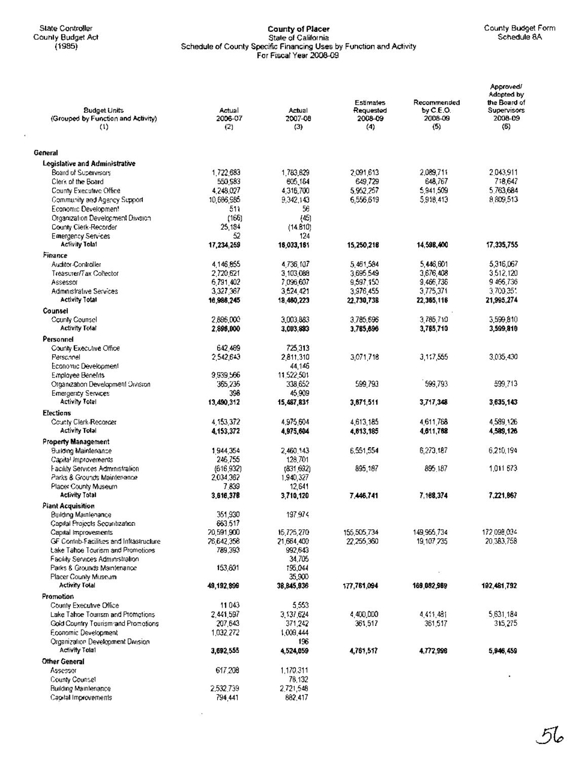$\bar{z}$ 

## State Controller **County of Placer** County Budget Form County Budget Act State of California Schedule 8A (1985) Schedule of County Specific Financing Uses by Function and Activity For Fiscal Year 2008-09

| <b>Budget Units</b><br>(Grouped by Function and Activity)<br>(1) | Actual<br>2006-07<br>(2) | Actual<br>2007-08<br>(3) | <b>Estimates</b><br>Requested<br>2008-09<br>(4) | Recommended<br>by $C.E.O.$<br>2008-09<br>(5) | Approved/<br>Adopted by<br>the Board of<br>Supervisors<br>2008-09<br>(6) |
|------------------------------------------------------------------|--------------------------|--------------------------|-------------------------------------------------|----------------------------------------------|--------------------------------------------------------------------------|
| General                                                          |                          |                          |                                                 |                                              |                                                                          |
| <b>Legislative and Administrative</b>                            |                          |                          |                                                 |                                              |                                                                          |
| Board of Supervisors                                             | 1,722,683                | 1,783,629                | 2.091.613                                       | 2,089,711                                    | 2043.911                                                                 |
| Clerk of the Board                                               | 550,583                  | 605,164                  | 649.729                                         | 648,767                                      | 718,647                                                                  |
| County Executive Office                                          | 4.248.027                | 4,316,700                | 5.962.257                                       | 5,941,509                                    | 5,763,684                                                                |
| Community and Agency Support                                     | 10.686.985               | 9.342.143                | 6,556,619                                       | 5,918,413                                    | 8.809.513                                                                |
| Economic Developmen!                                             | 511                      | 56                       |                                                 |                                              |                                                                          |
| Organization Development Division<br>County Cierk-Recorder       | (166)<br>25,184          | (45)<br>(14.810)         |                                                 |                                              |                                                                          |
| Emergency Services                                               | 52                       | 124                      |                                                 |                                              |                                                                          |
| Activity Tolat                                                   | 17,234,259               | 16,033,161               | 15,250,218                                      | 14.598.400                                   | 17,335,755                                                               |
| Finance                                                          |                          |                          |                                                 |                                              |                                                                          |
| <b>Auditor-Controller</b>                                        | 4.146.855                | 4,736,107                | 5,461,584                                       | 5,446,601                                    | 5,316,067                                                                |
| Treasurer/Tax Coltector                                          | 2,720.621                | 3,103,088                | 3.695.549                                       | 3.676.408                                    | 3.512.120                                                                |
| Assessor                                                         | 6.791.402                | 7.096.607                | 9,597.150                                       | 9,466,736                                    | 9466,736                                                                 |
| Administrative Services                                          | 3,327,367                | 3,524,421                | 3,976,455                                       | 3.775.371                                    | 3700 351                                                                 |
| Activity Total                                                   | 16,986,245               | 18,460,223               | 22,730,738                                      | 22,365,116                                   | 21,995,274                                                               |
| Counsel                                                          |                          |                          |                                                 |                                              |                                                                          |
| County Counsel                                                   | 2,896,000                | 3,003,883                | 3.785,696                                       | 3,785,710                                    | 3,599,810                                                                |
| <b>Activity Tolal</b>                                            | 2,896,000                | 3,003.883                | 3,785,896                                       | 3,785,710                                    | 3,599,810                                                                |
| Personnel                                                        |                          |                          |                                                 |                                              |                                                                          |
| County Executive Office                                          | 642 469                  | 725.313                  |                                                 |                                              |                                                                          |
| Personnel                                                        | 2.542.643                | 2,811,310                | 3,071,718                                       | 3,117,555                                    | 3,035,430                                                                |
| Economic Development                                             |                          | 44.146                   |                                                 |                                              |                                                                          |
| Employee Benefits                                                | 9 539 566                | 11.522.501               |                                                 | 599,793                                      | 599,713                                                                  |
| Organization Development Orvision<br><b>Emergency Services</b>   | 365,236<br>398           | 338.652<br>45,909        | 599.793                                         |                                              |                                                                          |
| <b>Activity Total</b>                                            | 13,490,312               | 15,487,831               | 3,871,511                                       | 3,717,348                                    | 3,635,143                                                                |
| <b>Elections</b>                                                 |                          |                          |                                                 |                                              |                                                                          |
| County Clerk-Recorder                                            | 4,153,372                | 4,975,604                | 4,613,185                                       | 4,611,768                                    | 4,589,126                                                                |
| <b>Activity Total</b>                                            | 4,153,372                | 4,975,604                | 4,613,185                                       | 4,611,768                                    | 4,589,126                                                                |
|                                                                  |                          |                          |                                                 |                                              |                                                                          |
| <b>Property Management</b><br><b>Building Maintenance</b>        | 1944,354                 | 2,460.143                | 6,551,554                                       | 6,273,187                                    | 6,210,194                                                                |
| Capital Improvements                                             | 246,755                  | 128,701                  |                                                 |                                              |                                                                          |
| Facility Services Administration                                 | (616.932)                | (831.692)                | 895,187                                         | 895.187                                      | 1.011.673                                                                |
| Parks & Grounds Maintenance                                      | 2.034.362                | 1,940,327                |                                                 |                                              |                                                                          |
| Placer County Museum                                             | 7.839                    | 12,641                   |                                                 |                                              |                                                                          |
| <b>Activity Total</b>                                            | 3,616,378                | 3,710,120                | 7.446.741                                       | 7.168,374                                    | 7.221.067                                                                |
| <b>Plant Acquisition</b>                                         |                          |                          |                                                 |                                              |                                                                          |
| Building Maintenance                                             | 351,930                  | 197,974                  |                                                 |                                              |                                                                          |
| Capital Projects Securitization                                  | 663.517                  |                          |                                                 |                                              |                                                                          |
| Capital Improvements                                             | 20,591,900               | 15,725,270               | 155,505,734                                     | 149,956,734                                  | 172 098 034                                                              |
| GF Contrib-Facilities and Infrastructure                         | 26,642,358               | 21,664,400               | 22,255,360                                      | 19,107,235                                   | 20,383,758                                                               |
| Lake Tahoe Tourism and Promotions                                | 789,393                  | 992.543                  |                                                 |                                              |                                                                          |
| Facility Services Administration<br>Parks & Grounds Maintenance  | 153,601                  | 34,705<br>195,044        |                                                 |                                              |                                                                          |
| Placer County Museum                                             |                          | 35,900                   |                                                 |                                              |                                                                          |
| Activity Tolal                                                   | 49,192,899               | 38,845,936               | 177,761,094                                     | 169,082,989                                  | 192,481,792                                                              |
| <b>Promotion</b>                                                 |                          |                          |                                                 |                                              |                                                                          |
| County Executive Office                                          | 11043                    | 5,553                    |                                                 |                                              |                                                                          |
| Lake Tahoe Tourism and Promotions                                | 2.441,597                | 3, \$37, 624             | 4,400,000                                       | 4,411,481                                    | 5,631,184                                                                |
| Gold Country Tourism and Promotions                              | 207,643                  | 371,242                  | 361,517                                         | 361,517                                      | 315,275                                                                  |
| Economic Development                                             | 1,032,272                | 1,009,444                |                                                 |                                              |                                                                          |
| Organization Development Division                                |                          | 196                      |                                                 |                                              |                                                                          |
| Activity Total                                                   | 3,692,555                | 4,524,059                | 4,761,517                                       | 4,772,998                                    | 5,946,459                                                                |
| Other General                                                    |                          |                          |                                                 |                                              |                                                                          |
| Assessor                                                         | 617,208                  | 1,170,311                |                                                 |                                              |                                                                          |
| County Counsel                                                   |                          | 78,132                   |                                                 |                                              |                                                                          |
| <b>Building Maintenance</b>                                      | 2,532,739                | 2,721,548                |                                                 |                                              |                                                                          |
| Capital Improvements                                             | 794.441                  | 882,417                  |                                                 |                                              |                                                                          |

 $\mathcal{L}^{\pm}$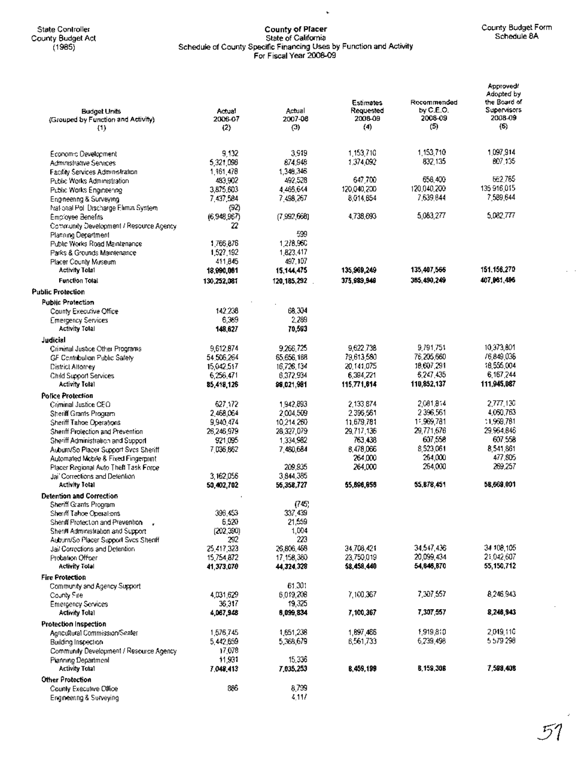State Controller<br>County Budget Act<br>(1985)

# County of Placer<br>State of California<br>Schedule of County Specific Financing Uses by Function and Activity<br>For Fiscal Year 2008-09

 $\ddot{\phantom{0}}$ 

 $\tau \rightarrow$ 

| <b>Budget Units</b><br>(Grouped by Function and Activity)<br>{1} | Actual<br>2006-07<br>(2) | Actual<br>2007-08<br>(3) | Estimates<br>Requested<br>2008-09<br>(4) | Recommended<br>by C.E.O.<br>2008-09<br>(5) | Approvedi<br>Adopted by<br>the Board of<br><b>Supervisors</b><br>2008-09<br>(5) |
|------------------------------------------------------------------|--------------------------|--------------------------|------------------------------------------|--------------------------------------------|---------------------------------------------------------------------------------|
| Economic Develociment.                                           | 9,132                    | 3,919                    | 1,153,710                                | 1.153.710                                  | 1097,914                                                                        |
| Administrative Services                                          | 5,321,098                | 874.948                  | 1,374,092                                | 832.135                                    | BO7 135                                                                         |
| <b>Facility Services Administration</b>                          | 1,161,478                | 1,348,346                |                                          |                                            |                                                                                 |
| Public Works Administration.                                     | 483.902                  | 492.528                  | 647,700                                  | 656.400                                    | 662.765                                                                         |
| Public Works Engineering                                         | 3.875.603                | 4,465,644                | 120,040,200                              | 120.040.200                                | 135916,015                                                                      |
| Engineering & Surveying                                          | 7,437,584                | 7,498,267                | 8.014.854                                | 7,639,844                                  | 7 589,644                                                                       |
| INational Poli Discharge Elimin System                           | (92)                     |                          |                                          |                                            |                                                                                 |
| Employee Benefits                                                | (6,948,967)              | (7,992,668)              | 4.738.693                                | 5,083,277                                  | 5,082,777                                                                       |
| Community Development / Resource Agency                          | 22                       |                          |                                          |                                            |                                                                                 |
| Planning Department                                              |                          | 599                      |                                          |                                            |                                                                                 |
| Public Works Road Maintenance                                    | 1,766,876                | 1,278,960                |                                          |                                            |                                                                                 |
| Parks & Grounds Maintenance                                      | 1,527,192                | 1,823,417                |                                          |                                            |                                                                                 |
| Placer County Museum                                             | 411,845                  | 497,107                  |                                          |                                            |                                                                                 |
| Activity Tolal                                                   | 18,990,061               | 15, 144, 475             | 135,969,249                              | 135,407,566                                | 151.156,270                                                                     |
| Function Total                                                   | 130,252,081              | 120, 185, 292 .          | 375,989,949                              | 385,490,249                                | 407,961,496                                                                     |
| <b>Public Protection</b>                                         |                          |                          |                                          |                                            |                                                                                 |
| <b>Public Protection</b>                                         |                          |                          |                                          |                                            |                                                                                 |
| County Executive Office                                          | 142.238                  | 68.304                   |                                          |                                            |                                                                                 |
| <b>Emergency Services</b>                                        | 6,389                    | 2,289                    |                                          |                                            |                                                                                 |
| <b>Activity Total</b>                                            | 148,627                  | 70,593                   |                                          |                                            |                                                                                 |
| Judicial                                                         |                          |                          |                                          |                                            |                                                                                 |
| Criminal Justice Other Programs                                  | 9,612,874                | 9,266,725                | 9,622,738                                | 9.791.751                                  | 10,373,801                                                                      |
| GF Contribution Public Safety                                    | 54 506 264               | 65,656,188               | 79,613,580                               | 76,205,660                                 | /6,849,036                                                                      |
| <b>District Altorney</b>                                         | 15,042.517               | 16.726.134               | 20.141.075                               | 18,607,291                                 | 18,555,004                                                                      |
| Child Support Services                                           | 6,256,471                | 6,372,934                | 6,394,221                                | 5,247,435                                  | 6.167.244                                                                       |
| <b>Activity Tolal</b>                                            | 85,418,126               | 98,021,981               | 115,771,614                              | 110,852,137                                | 111,945,087                                                                     |
| <b>Police Protection</b>                                         |                          |                          |                                          |                                            |                                                                                 |
| Criminal Justice CEO                                             | 627,172                  | 1.942.893                | 2.133.874                                | 2,081,814                                  | 2,777,130                                                                       |
| Sheriff Grants Program                                           | 2,468,064                | 2,004,509                | 2.396,561                                | 2396.561                                   | 4,050,763                                                                       |
| Sheriff Tahoe Operations                                         | 9,940,474                | 10,214,260               | 11,679,781                               | 11,969,781                                 | 11.969.781                                                                      |
| Sheriff Protection and Prevention                                | 26,246,979               | 28,327,079               | 29,717,136                               | 29,771,676                                 | 29.964.846                                                                      |
| Sheriff Administration and Support                               | 921,095                  | 1,334,982                | 763,438                                  | 607,558                                    | 607.558                                                                         |
| Auburn/So Placer Support Svcs Sheriff                            | 7036.862                 | 7,480,684                | 8,478,066                                | 8,523,061                                  | 8.541.861                                                                       |
| Automated Mcbile & Fixed Fingerprint                             |                          |                          | 264,000                                  | 264,000                                    | 477,805                                                                         |
| Placer Regional Auto Theft Task Force                            |                          | 209.935                  | 264,000                                  | 264,000                                    | 269,257                                                                         |
| Jail Corrections and Detention.<br>Activity Total                | 3.162.056                | 3,844,385                | 55,896,056                               | 55,878,451                                 | 58,669.001                                                                      |
|                                                                  | 50,402,702               | 55,358,727               |                                          |                                            |                                                                                 |
| <b>Detention and Correction</b>                                  |                          | (745)                    |                                          |                                            |                                                                                 |
| Sheriff Grants Propram<br>Sheriff Tahoe Operations               | 396,453                  | 337,439                  |                                          |                                            |                                                                                 |
| Shenif Protection and Prevention                                 | 6,520                    | 21,559                   |                                          |                                            |                                                                                 |
| Sheriff Administration and Support                               | (202, 390)               | 1,004                    |                                          |                                            |                                                                                 |
| Auburn/So Placer Support Svos Sheriff                            | 292                      | 223                      |                                          |                                            |                                                                                 |
| Jail Corrections and Detention                                   | 25,417,323               | 26,806,468               | 34,708,421                               | 34,547,436                                 | 34 108,105                                                                      |
| Probation Officer                                                | 15.754.872               | 17,158,380               | 23,750,019                               | 20,099,434                                 | 21,042,607                                                                      |
| <b>Activity Total</b>                                            | 41,373,070               | 44,324,328               | 58,458,440                               | 54,646,870                                 | 55,150,712                                                                      |
| <b>Fire Protection</b>                                           |                          |                          |                                          |                                            |                                                                                 |
| Community and Agency Support                                     |                          | 61,301                   |                                          |                                            |                                                                                 |
| County Fire                                                      | 4,031,629                | 6,019,208                | 7,100,367                                | 7,307,557                                  | 8,246,943                                                                       |
| <b>Emergency Services</b>                                        | 36,317                   | 19,325                   |                                          |                                            |                                                                                 |
| <b>Activity Total</b>                                            | 4,067,948                | 6,099,834                | 7,100,367                                | 7,307,557                                  | 8,246,943                                                                       |
| Protection Inspection                                            |                          |                          |                                          |                                            |                                                                                 |
| Agricultural Commission/Sealer                                   | 1,576,745                | 1,651,238                | 1,897,466                                | 1,919,810                                  | 2,019,110                                                                       |
| Building Inspection                                              | 5.442.659                | 5,368,679                | 6,561,733                                | 6,239,498                                  | 5579298                                                                         |
| Community Development / Resource Agency                          | 17,078                   |                          |                                          |                                            |                                                                                 |
| Pianning Department                                              | 11,931                   | 15,336                   |                                          |                                            |                                                                                 |
| <b>Activity Total</b>                                            | 7,048,413                | 7,035,253                | 8,459,199                                | 8,159,306                                  | 7,598,408                                                                       |
| Other Protection                                                 |                          |                          |                                          |                                            |                                                                                 |
| County Executive Office                                          | 886                      | 8,799                    |                                          |                                            |                                                                                 |
| Engineering & Surveying                                          |                          | 4,117                    |                                          |                                            |                                                                                 |

J,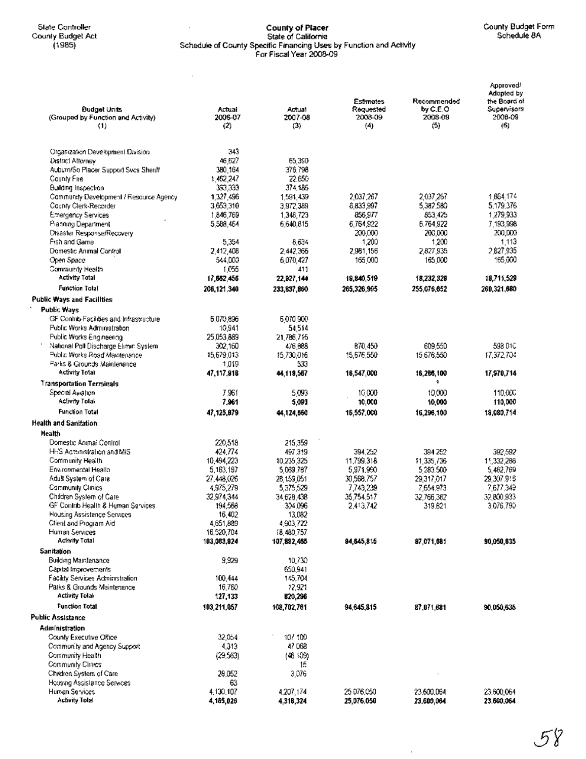## State Controller County of Placer County Budget Form County Budget Act State of California Schedule8A (1985) Schedule of County Specific Financing Uses by Function and Activity For Fiscal Year 2008-09

 $\sim 10^7$ 

| <b>Budget Units</b><br>(Grouped by Function and Activity)<br>(1) | Actual<br>2006-07<br>(2) | Actual<br>2007-08<br>(3) | Estimates<br>Requested<br>2008-09<br>(4) | Recommended<br>by C.E.O<br>2008-09<br>(5) | Approved!<br>Adopted by<br>the Board of<br>Supervisors<br>2008-09<br>(6) |
|------------------------------------------------------------------|--------------------------|--------------------------|------------------------------------------|-------------------------------------------|--------------------------------------------------------------------------|
| Organization Development Division                                | 343                      |                          |                                          |                                           |                                                                          |
| <b>District Afformey</b>                                         | 46,627                   | 65,390                   |                                          |                                           |                                                                          |
| Aubum/So Placer Support Svcs Sheriff                             | 380,164                  | 376.798                  |                                          |                                           |                                                                          |
| County Fire                                                      | 1.462,247                | 22.650                   |                                          |                                           |                                                                          |
| Building Inspection                                              | 393 333                  | 374.185                  | 2,037,267                                | 2,037,267                                 | 1,864.174                                                                |
| Community Development / Resource Agency<br>County Clerk-Recorder | 1,327,496<br>3653310     | 1,591,439<br>3,972,389   | 6,833,997                                | 5,382,580                                 | 5,179,376                                                                |
| <b>Emergency Services</b>                                        | 1,846,769                | 1,348,723                | 856,977                                  | 853.425                                   | 1,279,933                                                                |
| Pranning Department                                              | 5,588,464                | 6,640,815                | 6,764,922                                | 6,764,922                                 | 7,193,998                                                                |
| Disaster Response/Recovery                                       |                          |                          | 200,000                                  | 200,000                                   | 200,DDO                                                                  |
| Fish and Game                                                    | 5.354                    | 8.634                    | 1,200                                    | 1,200                                     | 1,113                                                                    |
| Domestic Animal Control                                          | 2,412,408                | 2.442.366                | 2,981,156                                | 2,827,935                                 | 2,827,935                                                                |
| Open Space                                                       | 544.000                  | 6,070,427                | 165,000                                  | 165,000                                   | 165,000                                                                  |
| Community Health                                                 | 1,055                    | 411                      |                                          |                                           |                                                                          |
| <b>Activity Total</b>                                            | 17,662,456               | 22,927,144               | 19,840,519                               | 18,232,329                                | 18,711,529                                                               |
| <b>Function Total</b>                                            | 206.121.340              | 233,837,860              | 265,326,995                              | 255.076.652                               | 260.321.680                                                              |
| <b>Public Ways and Facilities</b>                                |                          |                          |                                          |                                           |                                                                          |
| Public Ways                                                      |                          |                          |                                          |                                           |                                                                          |
| GF Contrib-Facilities and Infrastructure                         | 6.070,896                | 6.070.900                |                                          |                                           |                                                                          |
| Public Works Administration                                      | 10,941                   | 54.514                   |                                          |                                           |                                                                          |
| Public Works Engineering                                         | 25,053,889               | 21 786 715               |                                          |                                           |                                                                          |
| Mational Poll Discharge Elimin System                            | 302,160                  | 476,688                  | 870.450                                  | 609550                                    | 593 D1C                                                                  |
| Public Works Road Maintenance<br>Parks & Grounds Mainlenance     | 15,679,013               | 15.730.016<br>533        | 15,676,550                               | 15,676,550                                | 17,372,704                                                               |
| Activity Total                                                   | 1.019<br>47,117,918      | 44, 119, 567             | 16,547,000                               | 16,286,100                                | 17,970,714                                                               |
| <b>Transportation Terminals</b>                                  |                          |                          |                                          | ۰                                         |                                                                          |
| Special Awahon                                                   | 7.961                    | 5.093                    | 10,000                                   | 10,000                                    | 110,000                                                                  |
| Aclivity Tolal                                                   | 7,961                    | 5,093                    | 10,000                                   | 10,000                                    | 110,000                                                                  |
| <b>Function Total</b>                                            | 47,125,879               | 44,124,660               | 16,557,000                               | 16,298,100                                | 18.080.714                                                               |
| <b>Health and Sanitation</b>                                     |                          |                          |                                          |                                           |                                                                          |
| Health                                                           |                          |                          |                                          |                                           |                                                                          |
| Domestic Animal Control                                          | 220,518                  | 215,359                  |                                          |                                           |                                                                          |
| HHS Acconistration and MIS                                       | 424.774                  | 497,319                  | 394.252                                  | 394 252                                   | 392,592                                                                  |
| Community Health                                                 | 10,494,223               | 10 235 325               | 11,799,318                               | 11,335,736                                | 11:332.286                                                               |
| Environmental Health                                             | 5,163,197                | 5,069,767                | 5,971,990                                | 5 283 500                                 | 5,462,769                                                                |
| Adult System of Care                                             | 27,448,026               | 28,159,051               | 30,568,757                               | 29,317,017                                | 29,307,916                                                               |
| Community Clinics                                                | 4,975,279                | 5,375,529                | 7.743.239                                | 7.654.973                                 | 7,677,349                                                                |
| Children System of Care                                          | 32,974,344               | 34 678 438               | 35.754.517                               | 32,766,382                                | 32,800.933                                                               |
| GF Contrib Health & Human Services                               | 194,568                  | 304 096                  | 2,413,742                                | 319,621                                   | 3,076,790                                                                |
| Housing Assistance Services                                      | 16,402                   | 13,082                   |                                          |                                           |                                                                          |
| Client and Program Aid<br>Human Services                         | 4,651,889<br>16,520,704  | 4,903,722<br>18,480,757  |                                          |                                           |                                                                          |
| <b>Activity Total</b>                                            | 103,083,924              | 107,882,465              | 84, 845, 815                             | 87.071.681                                | 90,050,635                                                               |
| Sanitation                                                       |                          |                          |                                          |                                           |                                                                          |
| Building Maintenance                                             | 9,929                    | 10,730                   |                                          |                                           |                                                                          |
| Capital Improvements                                             |                          | 660,941                  |                                          |                                           |                                                                          |
| Facility Services Administration                                 | 100,444                  | 145,704                  |                                          |                                           |                                                                          |
| Parks & Grounds Maintenance                                      | 16,760                   | 12,921                   |                                          |                                           |                                                                          |
| <b>Activity Tolal</b>                                            | 127,133                  | 820,296                  |                                          |                                           |                                                                          |
| Function Total                                                   | 103,211,057              | 108,702,761              | 94.645.815                               | 87,071,681                                | 90,050,635                                                               |
| Public Assistance                                                |                          |                          |                                          |                                           |                                                                          |
| Administration                                                   |                          |                          |                                          |                                           |                                                                          |
| County Executive Office                                          | 32,054                   | 10/100                   |                                          |                                           |                                                                          |
| Community and Agency Support                                     | 4,313                    | 47068                    |                                          |                                           |                                                                          |
| Community Health                                                 | (29, 563)                | (46, 509)                |                                          |                                           |                                                                          |
| Community Clrakes                                                |                          | 15                       |                                          |                                           |                                                                          |
| Children System of Care                                          | 28.052                   | 3,076                    |                                          |                                           |                                                                          |
| Housing Assistance Services                                      | 63                       |                          |                                          |                                           |                                                                          |
| Human Services                                                   | 4,130,107                | 4,207,174                | 25 076,050                               | 23,600,064                                | 23,600,064                                                               |
| <b>Activity Tolal</b>                                            | 4,185,026                | 4,318,324                | 25,076,050                               | 23,600,064                                | 23,600,064                                                               |

 $\bar{z}$